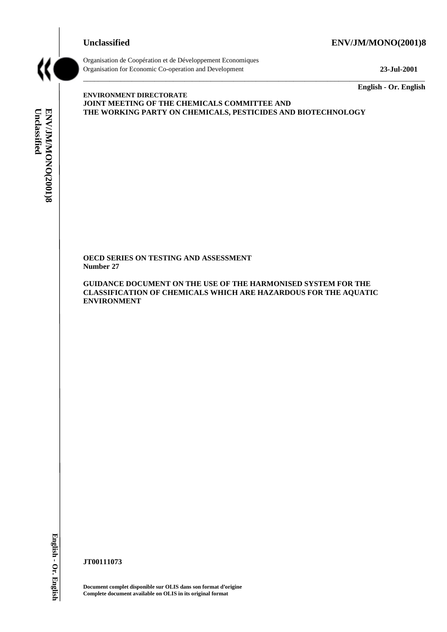## **Unclassified ENV/JM/MONO(2001)8**



Organisation de Coopération et de Développement Economiques Organisation for Economic Co-operation and Development **23-Jul-2001**

**English - Or. English**

**ENVIRONMENT DIRECTORATE JOINT MEETING OF THE CHEMICALS COMMITTEE AND THE WORKING PARTY ON CHEMICALS, PESTICIDES AND BIOTECHNOLOGY**

 $\_$  ,  $\_$  ,  $\_$  ,  $\_$  ,  $\_$  ,  $\_$  ,  $\_$  ,  $\_$  ,  $\_$  ,  $\_$  ,  $\_$  ,  $\_$  ,  $\_$  ,  $\_$  ,  $\_$  ,  $\_$  ,  $\_$  ,  $\_$  ,  $\_$  ,  $\_$  ,  $\_$  ,  $\_$  ,  $\_$  ,  $\_$  ,  $\_$  ,  $\_$  ,  $\_$  ,  $\_$  ,  $\_$  ,  $\_$  ,  $\_$  ,  $\_$  ,  $\_$  ,  $\_$  ,  $\_$  ,  $\_$  ,  $\_$  ,

**OECD SERIES ON TESTING AND ASSESSMENT Number 27**

**GUIDANCE DOCUMENT ON THE USE OF THE HARMONISED SYSTEM FOR THE CLASSIFICATION OF CHEMICALS WHICH ARE HAZARDOUS FOR THE AQUATIC ENVIRONMENT**

**JT00111073**

**Document complet disponible sur OLIS dans son format d'origine Complete document available on OLIS in its original format**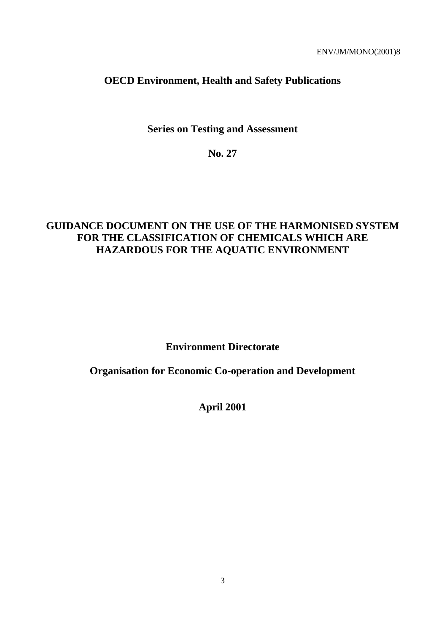## **OECD Environment, Health and Safety Publications**

**Series on Testing and Assessment**

**No. 27**

## **GUIDANCE DOCUMENT ON THE USE OF THE HARMONISED SYSTEM FOR THE CLASSIFICATION OF CHEMICALS WHICH ARE HAZARDOUS FOR THE AQUATIC ENVIRONMENT**

**Environment Directorate**

**Organisation for Economic Co-operation and Development**

**April 2001**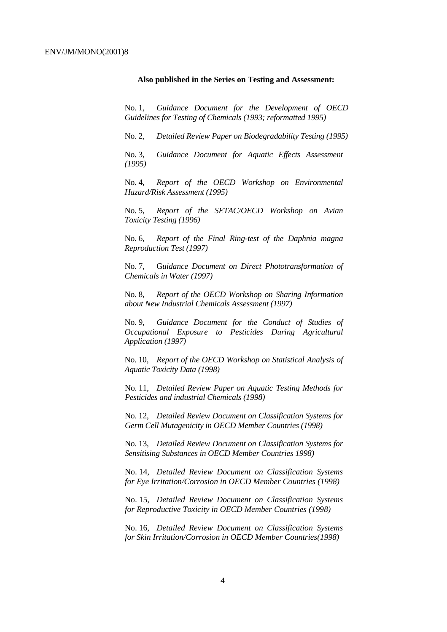#### **Also published in the Series on Testing and Assessment:**

No. 1, *Guidance Document for the Development of OECD Guidelines for Testing of Chemicals (1993; reformatted 1995)*

No. 2, *Detailed Review Paper on Biodegradability Testing (1995)*

No. 3, *Guidance Document for Aquatic Effects Assessment (1995)*

No. 4, *Report of the OECD Workshop on Environmental Hazard/Risk Assessment (1995)*

No. 5, *Report of the SETAC/OECD Workshop on Avian Toxicity Testing (1996)*

No. 6, *Report of the Final Ring-test of the Daphnia magna Reproduction Test (1997)*

No. 7, G*uidance Document on Direct Phototransformation of Chemicals in Water (1997)*

No. 8, *Report of the OECD Workshop on Sharing Information about New Industrial Chemicals Assessment (1997)*

No. 9, *Guidance Document for the Conduct of Studies of Occupational Exposure to Pesticides During Agricultural Application (1997)*

No. 10, *Report of the OECD Workshop on Statistical Analysis of Aquatic Toxicity Data (1998)*

No. 11, *Detailed Review Paper on Aquatic Testing Methods for Pesticides and industrial Chemicals (1998)*

No. 12, *Detailed Review Document on Classification Systems for Germ Cell Mutagenicity in OECD Member Countries (1998)*

No. 13*, Detailed Review Document on Classification Systems for Sensitising Substances in OECD Member Countries 1998)*

No. 14, *Detailed Review Document on Classification Systems for Eye Irritation/Corrosion in OECD Member Countries (1998)*

No. 15, *Detailed Review Document on Classification Systems for Reproductive Toxicity in OECD Member Countries (1998)*

No. 16, *Detailed Review Document on Classification Systems for Skin Irritation/Corrosion in OECD Member Countries(1998)*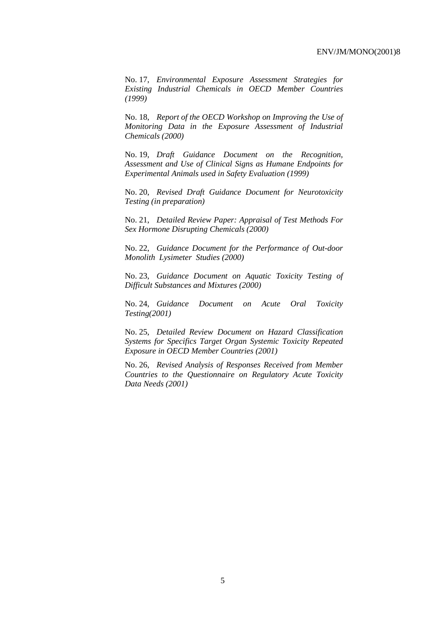No. 17, *Environmental Exposure Assessment Strategies for Existing Industrial Chemicals in OECD Member Countries (1999)*

No. 18, *Report of the OECD Workshop on Improving the Use of Monitoring Data in the Exposure Assessment of Industrial Chemicals (2000)*

No. 19, *Draft Guidance Document on the Recognition, Assessment and Use of Clinical Signs as Humane Endpoints for Experimental Animals used in Safety Evaluation (1999)*

No. 20, *Revised Draft Guidance Document for Neurotoxicity Testing (in preparation)*

No. 21, *Detailed Review Paper: Appraisal of Test Methods For Sex Hormone Disrupting Chemicals (2000)*

No. 22, *Guidance Document for the Performance of Out-door Monolith Lysimeter Studies (2000)*

No. 23, *Guidance Document on Aquatic Toxicity Testing of Difficult Substances and Mixtures (2000)*

No. 24, *Guidance Document on Acute Oral Toxicity Testing(2001)*

No. 25, *Detailed Review Document on Hazard Classification Systems for Specifics Target Organ Systemic Toxicity Repeated Exposure in OECD Member Countries (2001)*

No. 26, *Revised Analysis of Responses Received from Member Countries to the Questionnaire on Regulatory Acute Toxicity Data Needs (2001)*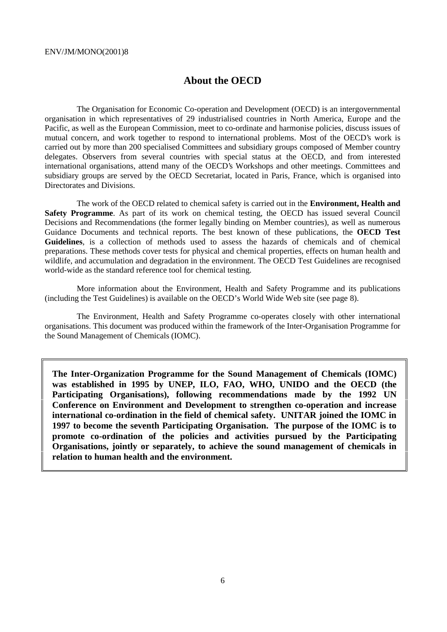## **About the OECD**

The Organisation for Economic Co-operation and Development (OECD) is an intergovernmental organisation in which representatives of 29 industrialised countries in North America, Europe and the Pacific, as well as the European Commission, meet to co-ordinate and harmonise policies, discuss issues of mutual concern, and work together to respond to international problems. Most of the OECD's work is carried out by more than 200 specialised Committees and subsidiary groups composed of Member country delegates. Observers from several countries with special status at the OECD, and from interested international organisations, attend many of the OECD's Workshops and other meetings. Committees and subsidiary groups are served by the OECD Secretariat, located in Paris, France, which is organised into Directorates and Divisions.

The work of the OECD related to chemical safety is carried out in the **Environment, Health and Safety Programme**. As part of its work on chemical testing, the OECD has issued several Council Decisions and Recommendations (the former legally binding on Member countries), as well as numerous Guidance Documents and technical reports. The best known of these publications, the **OECD Test Guidelines**, is a collection of methods used to assess the hazards of chemicals and of chemical preparations. These methods cover tests for physical and chemical properties, effects on human health and wildlife, and accumulation and degradation in the environment. The OECD Test Guidelines are recognised world-wide as the standard reference tool for chemical testing.

More information about the Environment, Health and Safety Programme and its publications (including the Test Guidelines) is available on the OECD's World Wide Web site (see page 8).

The Environment, Health and Safety Programme co-operates closely with other international organisations. This document was produced within the framework of the Inter-Organisation Programme for the Sound Management of Chemicals (IOMC).

**The Inter-Organization Programme for the Sound Management of Chemicals (IOMC) was established in 1995 by UNEP, ILO, FAO, WHO, UNIDO and the OECD (the Participating Organisations), following recommendations made by the 1992 UN Conference on Environment and Development to strengthen co-operation and increase international co-ordination in the field of chemical safety. UNITAR joined the IOMC in 1997 to become the seventh Participating Organisation. The purpose of the IOMC is to promote co-ordination of the policies and activities pursued by the Participating Organisations, jointly or separately, to achieve the sound management of chemicals in relation to human health and the environment.**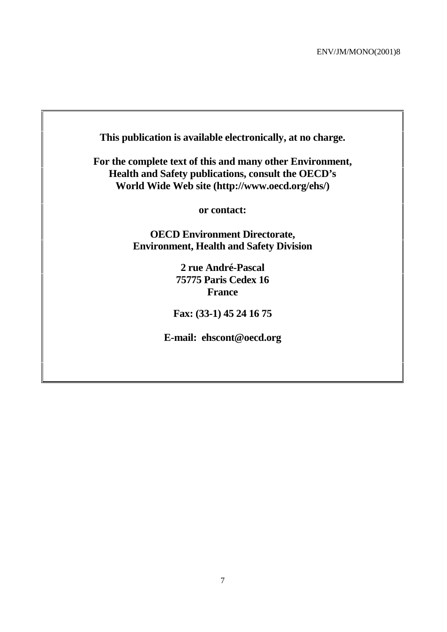| This publication is available electronically, at no charge. |
|-------------------------------------------------------------|
| For the complete text of this and many other Environment,   |
| Health and Safety publications, consult the OECD's          |
| World Wide Web site (http://www.oecd.org/ehs/)              |
| or contact:                                                 |
| <b>OECD Environment Directorate,</b>                        |
| <b>Environment, Health and Safety Division</b>              |
| 2 rue André-Pascal                                          |
| 75775 Paris Cedex 16                                        |
| <b>France</b>                                               |
| Fax: (33-1) 45 24 16 75                                     |
| E-mail: ehscont@oecd.org                                    |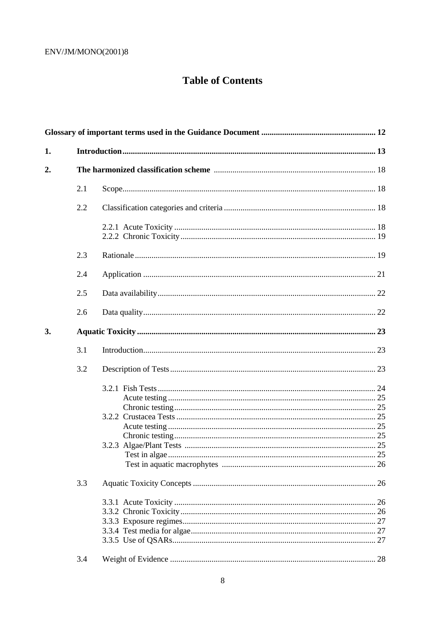# **Table of Contents**

| 1. |     |  |             |
|----|-----|--|-------------|
| 2. |     |  |             |
|    | 2.1 |  |             |
|    | 2.2 |  |             |
|    |     |  |             |
|    | 2.3 |  |             |
|    | 2.4 |  |             |
|    | 2.5 |  |             |
|    | 2.6 |  |             |
| 3. |     |  |             |
|    | 3.1 |  |             |
|    | 3.2 |  |             |
|    |     |  | $\ldots 26$ |
|    | 3.3 |  |             |
|    | 3.4 |  |             |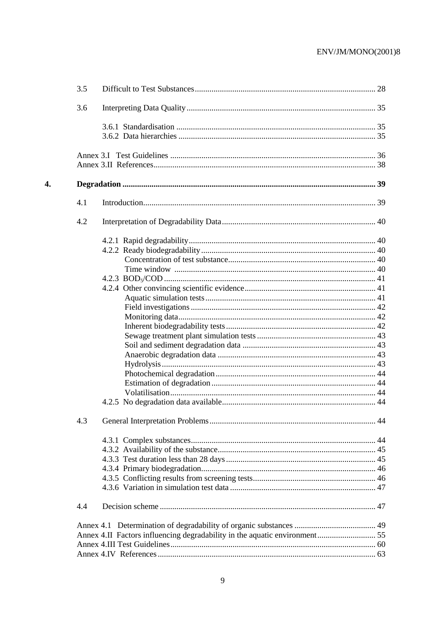|    | 3.5 |                                  |    |
|----|-----|----------------------------------|----|
|    | 3.6 |                                  |    |
|    |     |                                  |    |
|    |     |                                  |    |
|    |     |                                  |    |
|    |     |                                  |    |
| 4. |     |                                  |    |
|    | 4.1 |                                  |    |
|    | 4.2 |                                  |    |
|    |     |                                  |    |
|    |     |                                  |    |
|    |     |                                  |    |
|    |     |                                  |    |
|    |     |                                  |    |
|    |     |                                  |    |
|    |     |                                  |    |
|    |     |                                  |    |
|    |     |                                  |    |
|    |     |                                  |    |
|    |     |                                  |    |
|    |     |                                  |    |
|    |     |                                  |    |
|    |     |                                  |    |
|    |     |                                  |    |
|    |     |                                  |    |
|    |     |                                  |    |
|    |     |                                  |    |
|    | 4.3 | General Interpretation Problems. | 44 |
|    |     |                                  |    |
|    |     |                                  |    |
|    |     |                                  |    |
|    |     |                                  |    |
|    |     |                                  |    |
|    |     |                                  |    |
|    | 4.4 |                                  |    |
|    |     |                                  |    |
|    |     |                                  |    |
|    |     |                                  |    |
|    |     |                                  |    |
|    |     |                                  |    |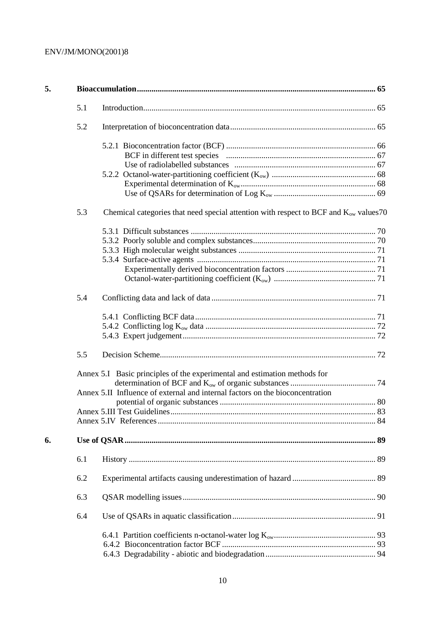| 5. |     |                                                                                            |  |
|----|-----|--------------------------------------------------------------------------------------------|--|
|    | 5.1 |                                                                                            |  |
|    | 5.2 |                                                                                            |  |
|    |     |                                                                                            |  |
|    |     |                                                                                            |  |
|    |     |                                                                                            |  |
|    |     |                                                                                            |  |
|    |     |                                                                                            |  |
|    |     |                                                                                            |  |
|    | 5.3 | Chemical categories that need special attention with respect to BCF and $K_{ow}$ values 70 |  |
|    |     |                                                                                            |  |
|    |     |                                                                                            |  |
|    |     |                                                                                            |  |
|    |     |                                                                                            |  |
|    |     |                                                                                            |  |
|    |     |                                                                                            |  |
|    | 5.4 |                                                                                            |  |
|    |     |                                                                                            |  |
|    |     |                                                                                            |  |
|    |     |                                                                                            |  |
|    | 5.5 |                                                                                            |  |
|    |     | Annex 5.I Basic principles of the experimental and estimation methods for                  |  |
|    |     |                                                                                            |  |
|    |     | Annex 5.II Influence of external and internal factors on the bioconcentration              |  |
|    |     |                                                                                            |  |
|    |     |                                                                                            |  |
|    |     |                                                                                            |  |
| 6. |     |                                                                                            |  |
|    | 6.1 |                                                                                            |  |
|    | 6.2 |                                                                                            |  |
|    | 6.3 |                                                                                            |  |
|    | 6.4 |                                                                                            |  |
|    |     |                                                                                            |  |
|    |     |                                                                                            |  |
|    |     |                                                                                            |  |
|    |     |                                                                                            |  |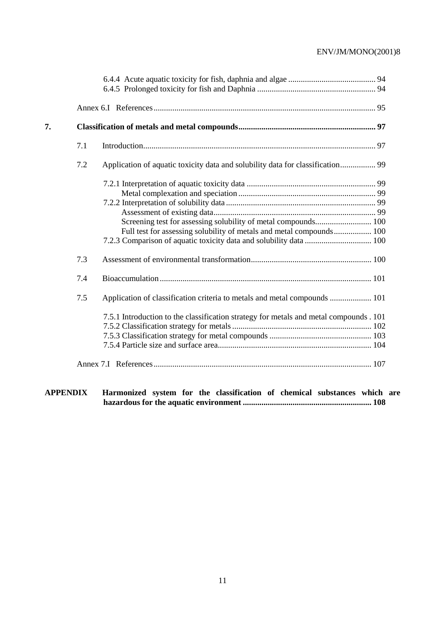| 7.1 |                                                                                        |  |
|-----|----------------------------------------------------------------------------------------|--|
| 7.2 | Application of aquatic toxicity data and solubility data for classification 99         |  |
|     |                                                                                        |  |
|     |                                                                                        |  |
|     |                                                                                        |  |
|     |                                                                                        |  |
|     | Screening test for assessing solubility of metal compounds 100                         |  |
|     | Full test for assessing solubility of metals and metal compounds 100                   |  |
|     |                                                                                        |  |
| 7.3 |                                                                                        |  |
| 7.4 |                                                                                        |  |
| 7.5 | Application of classification criteria to metals and metal compounds  101              |  |
|     | 7.5.1 Introduction to the classification strategy for metals and metal compounds . 101 |  |
|     |                                                                                        |  |
|     |                                                                                        |  |
|     |                                                                                        |  |
|     |                                                                                        |  |
|     |                                                                                        |  |

**APPENDIX Harmonized system for the classification of chemical substances which are hazardous for the aquatic environment .............................................................. 108**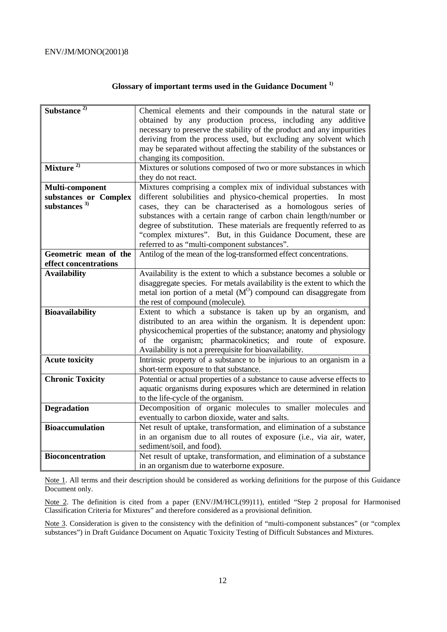| Substance <sup>2)</sup> | Chemical elements and their compounds in the natural state or             |
|-------------------------|---------------------------------------------------------------------------|
|                         | obtained by any production process, including any additive                |
|                         | necessary to preserve the stability of the product and any impurities     |
|                         | deriving from the process used, but excluding any solvent which           |
|                         | may be separated without affecting the stability of the substances or     |
|                         | changing its composition.                                                 |
| Mixture <sup>2)</sup>   | Mixtures or solutions composed of two or more substances in which         |
|                         | they do not react.                                                        |
| Multi-component         | Mixtures comprising a complex mix of individual substances with           |
| substances or Complex   | different solubilities and physico-chemical properties. In most           |
| substances $3)$         | cases, they can be characterised as a homologous series of                |
|                         | substances with a certain range of carbon chain length/number or          |
|                         | degree of substitution. These materials are frequently referred to as     |
|                         | "complex mixtures". But, in this Guidance Document, these are             |
|                         | referred to as "multi-component substances".                              |
| Geometric mean of the   | Antilog of the mean of the log-transformed effect concentrations.         |
| effect concentrations   |                                                                           |
| <b>Availability</b>     | Availability is the extent to which a substance becomes a soluble or      |
|                         | disaggregate species. For metals availability is the extent to which the  |
|                         | metal ion portion of a metal $(MO)$ compound can disaggregate from        |
|                         | the rest of compound (molecule).                                          |
| <b>Bioavailability</b>  | Extent to which a substance is taken up by an organism, and               |
|                         | distributed to an area within the organism. It is dependent upon:         |
|                         | physicochemical properties of the substance; anatomy and physiology       |
|                         | of the organism; pharmacokinetics; and route of exposure.                 |
|                         | Availability is not a prerequisite for bioavailability.                   |
| <b>Acute toxicity</b>   | Intrinsic property of a substance to be injurious to an organism in a     |
|                         | short-term exposure to that substance.                                    |
| <b>Chronic Toxicity</b> | Potential or actual properties of a substance to cause adverse effects to |
|                         | aquatic organisms during exposures which are determined in relation       |
|                         | to the life-cycle of the organism.                                        |
| <b>Degradation</b>      | Decomposition of organic molecules to smaller molecules and               |
|                         | eventually to carbon dioxide, water and salts.                            |
| <b>Bioaccumulation</b>  | Net result of uptake, transformation, and elimination of a substance      |
|                         | in an organism due to all routes of exposure (i.e., via air, water,       |
|                         | sediment/soil, and food).                                                 |
| <b>Bioconcentration</b> | Net result of uptake, transformation, and elimination of a substance      |
|                         | in an organism due to waterborne exposure.                                |

## **Glossary of important terms used in the Guidance Document 1)**

Note 1. All terms and their description should be considered as working definitions for the purpose of this Guidance Document only.

Note 2. The definition is cited from a paper (ENV/JM/HCL(99)11), entitled "Step 2 proposal for Harmonised Classification Criteria for Mixtures" and therefore considered as a provisional definition.

Note 3. Consideration is given to the consistency with the definition of "multi-component substances" (or "complex substances") in Draft Guidance Document on Aquatic Toxicity Testing of Difficult Substances and Mixtures.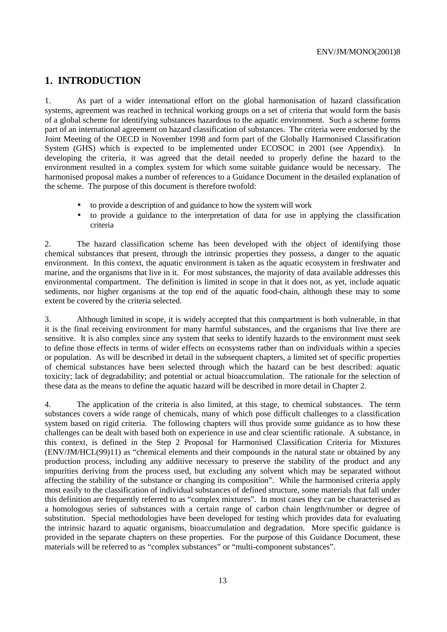## **1. INTRODUCTION**

1. As part of a wider international effort on the global harmonisation of hazard classification systems, agreement was reached in technical working groups on a set of criteria that would form the basis of a global scheme for identifying substances hazardous to the aquatic environment. Such a scheme forms part of an international agreement on hazard classification of substances. The criteria were endorsed by the Joint Meeting of the OECD in November 1998 and form part of the Globally Harmonised Classification System (GHS) which is expected to be implemented under ECOSOC in 2001 (see Appendix). In developing the criteria, it was agreed that the detail needed to properly define the hazard to the environment resulted in a complex system for which some suitable guidance would be necessary. The harmonised proposal makes a number of references to a Guidance Document in the detailed explanation of the scheme. The purpose of this document is therefore twofold:

- to provide a description of and guidance to how the system will work
- to provide a guidance to the interpretation of data for use in applying the classification criteria

2. The hazard classification scheme has been developed with the object of identifying those chemical substances that present, through the intrinsic properties they possess, a danger to the aquatic environment. In this context, the aquatic environment is taken as the aquatic ecosystem in freshwater and marine, and the organisms that live in it. For most substances, the majority of data available addresses this environmental compartment. The definition is limited in scope in that it does not, as yet, include aquatic sediments, nor higher organisms at the top end of the aquatic food-chain, although these may to some extent be covered by the criteria selected.

3. Although limited in scope, it is widely accepted that this compartment is both vulnerable, in that it is the final receiving environment for many harmful substances, and the organisms that live there are sensitive. It is also complex since any system that seeks to identify hazards to the environment must seek to define those effects in terms of wider effects on ecosystems rather than on individuals within a species or population. As will be described in detail in the subsequent chapters, a limited set of specific properties of chemical substances have been selected through which the hazard can be best described: aquatic toxicity; lack of degradability; and potential or actual bioaccumulation. The rationale for the selection of these data as the means to define the aquatic hazard will be described in more detail in Chapter 2.

4. The application of the criteria is also limited, at this stage, to chemical substances. The term substances covers a wide range of chemicals, many of which pose difficult challenges to a classification system based on rigid criteria. The following chapters will thus provide some guidance as to how these challenges can be dealt with based both on experience in use and clear scientific rationale. A substance, in this context, is defined in the Step 2 Proposal for Harmonised Classification Criteria for Mixtures (ENV/JM/HCL(99)11) as "chemical elements and their compounds in the natural state or obtained by any production process, including any additive necessary to preserve the stability of the product and any impurities deriving from the process used, but excluding any solvent which may be separated without affecting the stability of the substance or changing its composition". While the harmonised criteria apply most easily to the classification of individual substances of defined structure, some materials that fall under this definition are frequently referred to as "complex mixtures". In most cases they can be characterised as a homologous series of substances with a certain range of carbon chain length/number or degree of substitution. Special methodologies have been developed for testing which provides data for evaluating the intrinsic hazard to aquatic organisms, bioaccumulation and degradation. More specific guidance is provided in the separate chapters on these properties. For the purpose of this Guidance Document, these materials will be referred to as "complex substances" or "multi-component substances".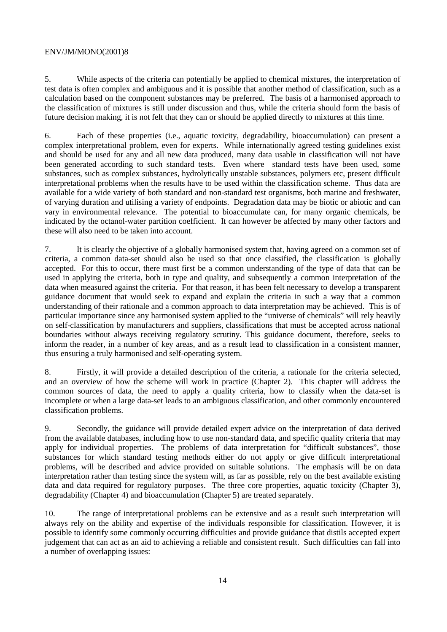5. While aspects of the criteria can potentially be applied to chemical mixtures, the interpretation of test data is often complex and ambiguous and it is possible that another method of classification, such as a calculation based on the component substances may be preferred. The basis of a harmonised approach to the classification of mixtures is still under discussion and thus, while the criteria should form the basis of future decision making, it is not felt that they can or should be applied directly to mixtures at this time.

6. Each of these properties (i.e., aquatic toxicity, degradability, bioaccumulation) can present a complex interpretational problem, even for experts. While internationally agreed testing guidelines exist and should be used for any and all new data produced, many data usable in classification will not have been generated according to such standard tests. Even where standard tests have been used, some substances, such as complex substances, hydrolytically unstable substances, polymers etc, present difficult interpretational problems when the results have to be used within the classification scheme. Thus data are available for a wide variety of both standard and non-standard test organisms, both marine and freshwater, of varying duration and utilising a variety of endpoints. Degradation data may be biotic or abiotic and can vary in environmental relevance. The potential to bioaccumulate can, for many organic chemicals, be indicated by the octanol-water partition coefficient. It can however be affected by many other factors and these will also need to be taken into account.

7. It is clearly the objective of a globally harmonised system that, having agreed on a common set of criteria, a common data-set should also be used so that once classified, the classification is globally accepted. For this to occur, there must first be a common understanding of the type of data that can be used in applying the criteria, both in type and quality, and subsequently a common interpretation of the data when measured against the criteria. For that reason, it has been felt necessary to develop a transparent guidance document that would seek to expand and explain the criteria in such a way that a common understanding of their rationale and a common approach to data interpretation may be achieved. This is of particular importance since any harmonised system applied to the "universe of chemicals" will rely heavily on self-classification by manufacturers and suppliers, classifications that must be accepted across national boundaries without always receiving regulatory scrutiny. This guidance document, therefore, seeks to inform the reader, in a number of key areas, and as a result lead to classification in a consistent manner, thus ensuring a truly harmonised and self-operating system.

8. Firstly, it will provide a detailed description of the criteria, a rationale for the criteria selected, and an overview of how the scheme will work in practice (Chapter 2). This chapter will address the common sources of data, the need to apply a quality criteria, how to classify when the data-set is incomplete or when a large data-set leads to an ambiguous classification, and other commonly encountered classification problems.

9. Secondly, the guidance will provide detailed expert advice on the interpretation of data derived from the available databases, including how to use non-standard data, and specific quality criteria that may apply for individual properties. The problems of data interpretation for "difficult substances", those substances for which standard testing methods either do not apply or give difficult interpretational problems, will be described and advice provided on suitable solutions. The emphasis will be on data interpretation rather than testing since the system will, as far as possible, rely on the best available existing data and data required for regulatory purposes. The three core properties, aquatic toxicity (Chapter 3), degradability (Chapter 4) and bioaccumulation (Chapter 5) are treated separately.

10. The range of interpretational problems can be extensive and as a result such interpretation will always rely on the ability and expertise of the individuals responsible for classification. However, it is possible to identify some commonly occurring difficulties and provide guidance that distils accepted expert judgement that can act as an aid to achieving a reliable and consistent result. Such difficulties can fall into a number of overlapping issues: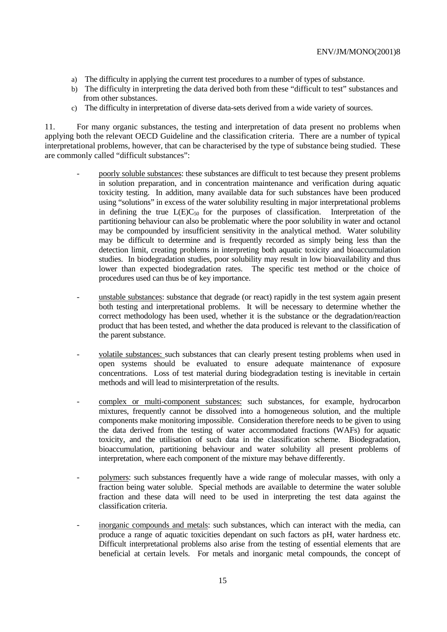- a) The difficulty in applying the current test procedures to a number of types of substance.
- b) The difficulty in interpreting the data derived both from these "difficult to test" substances and from other substances.
- c) The difficulty in interpretation of diverse data-sets derived from a wide variety of sources.

11. For many organic substances, the testing and interpretation of data present no problems when applying both the relevant OECD Guideline and the classification criteria. There are a number of typical interpretational problems, however, that can be characterised by the type of substance being studied. These are commonly called "difficult substances":

- poorly soluble substances: these substances are difficult to test because they present problems in solution preparation, and in concentration maintenance and verification during aquatic toxicity testing. In addition, many available data for such substances have been produced using "solutions" in excess of the water solubility resulting in major interpretational problems in defining the true  $L(E)C_{50}$  for the purposes of classification. Interpretation of the partitioning behaviour can also be problematic where the poor solubility in water and octanol may be compounded by insufficient sensitivity in the analytical method. Water solubility may be difficult to determine and is frequently recorded as simply being less than the detection limit, creating problems in interpreting both aquatic toxicity and bioaccumulation studies. In biodegradation studies, poor solubility may result in low bioavailability and thus lower than expected biodegradation rates. The specific test method or the choice of procedures used can thus be of key importance.
- unstable substances: substance that degrade (or react) rapidly in the test system again present both testing and interpretational problems. It will be necessary to determine whether the correct methodology has been used, whether it is the substance or the degradation/reaction product that has been tested, and whether the data produced is relevant to the classification of the parent substance.
- volatile substances: such substances that can clearly present testing problems when used in open systems should be evaluated to ensure adequate maintenance of exposure concentrations. Loss of test material during biodegradation testing is inevitable in certain methods and will lead to misinterpretation of the results.
- complex or multi-component substances: such substances, for example, hydrocarbon mixtures, frequently cannot be dissolved into a homogeneous solution, and the multiple components make monitoring impossible. Consideration therefore needs to be given to using the data derived from the testing of water accommodated fractions (WAFs) for aquatic toxicity, and the utilisation of such data in the classification scheme. Biodegradation, bioaccumulation, partitioning behaviour and water solubility all present problems of interpretation, where each component of the mixture may behave differently.
- polymers: such substances frequently have a wide range of molecular masses, with only a fraction being water soluble. Special methods are available to determine the water soluble fraction and these data will need to be used in interpreting the test data against the classification criteria.
- inorganic compounds and metals: such substances, which can interact with the media, can produce a range of aquatic toxicities dependant on such factors as pH, water hardness etc. Difficult interpretational problems also arise from the testing of essential elements that are beneficial at certain levels. For metals and inorganic metal compounds, the concept of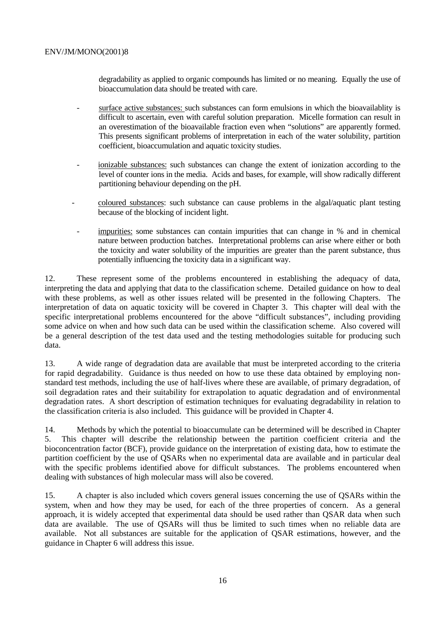degradability as applied to organic compounds has limited or no meaning. Equally the use of bioaccumulation data should be treated with care.

- surface active substances: such substances can form emulsions in which the bioavailablity is difficult to ascertain, even with careful solution preparation. Micelle formation can result in an overestimation of the bioavailable fraction even when "solutions" are apparently formed. This presents significant problems of interpretation in each of the water solubility, partition coefficient, bioaccumulation and aquatic toxicity studies.
- ionizable substances: such substances can change the extent of ionization according to the level of counter ions in the media. Acids and bases, for example, will show radically different partitioning behaviour depending on the pH.
- coloured substances: such substance can cause problems in the algal/aquatic plant testing because of the blocking of incident light.
- impurities: some substances can contain impurities that can change in % and in chemical nature between production batches. Interpretational problems can arise where either or both the toxicity and water solubility of the impurities are greater than the parent substance, thus potentially influencing the toxicity data in a significant way.

12. These represent some of the problems encountered in establishing the adequacy of data, interpreting the data and applying that data to the classification scheme. Detailed guidance on how to deal with these problems, as well as other issues related will be presented in the following Chapters. The interpretation of data on aquatic toxicity will be covered in Chapter 3. This chapter will deal with the specific interpretational problems encountered for the above "difficult substances", including providing some advice on when and how such data can be used within the classification scheme. Also covered will be a general description of the test data used and the testing methodologies suitable for producing such data.

13. A wide range of degradation data are available that must be interpreted according to the criteria for rapid degradability. Guidance is thus needed on how to use these data obtained by employing nonstandard test methods, including the use of half-lives where these are available, of primary degradation, of soil degradation rates and their suitability for extrapolation to aquatic degradation and of environmental degradation rates. A short description of estimation techniques for evaluating degradability in relation to the classification criteria is also included. This guidance will be provided in Chapter 4.

14. Methods by which the potential to bioaccumulate can be determined will be described in Chapter 5. This chapter will describe the relationship between the partition coefficient criteria and the bioconcentration factor (BCF), provide guidance on the interpretation of existing data, how to estimate the partition coefficient by the use of QSARs when no experimental data are available and in particular deal with the specific problems identified above for difficult substances. The problems encountered when dealing with substances of high molecular mass will also be covered.

15. A chapter is also included which covers general issues concerning the use of QSARs within the system, when and how they may be used, for each of the three properties of concern. As a general approach, it is widely accepted that experimental data should be used rather than QSAR data when such data are available. The use of QSARs will thus be limited to such times when no reliable data are available. Not all substances are suitable for the application of QSAR estimations, however, and the guidance in Chapter 6 will address this issue.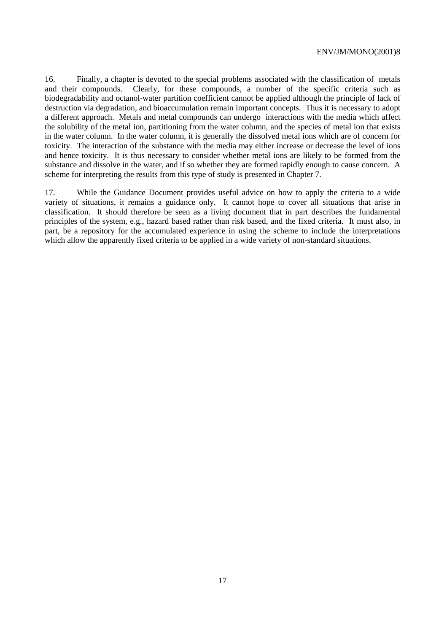16. Finally, a chapter is devoted to the special problems associated with the classification of metals and their compounds. Clearly, for these compounds, a number of the specific criteria such as biodegradability and octanol-water partition coefficient cannot be applied although the principle of lack of destruction via degradation, and bioaccumulation remain important concepts. Thus it is necessary to adopt a different approach. Metals and metal compounds can undergo interactions with the media which affect the solubility of the metal ion, partitioning from the water column, and the species of metal ion that exists in the water column. In the water column, it is generally the dissolved metal ions which are of concern for toxicity. The interaction of the substance with the media may either increase or decrease the level of ions and hence toxicity. It is thus necessary to consider whether metal ions are likely to be formed from the substance and dissolve in the water, and if so whether they are formed rapidly enough to cause concern. A scheme for interpreting the results from this type of study is presented in Chapter 7.

17. While the Guidance Document provides useful advice on how to apply the criteria to a wide variety of situations, it remains a guidance only. It cannot hope to cover all situations that arise in classification. It should therefore be seen as a living document that in part describes the fundamental principles of the system, e.g., hazard based rather than risk based, and the fixed criteria. It must also, in part, be a repository for the accumulated experience in using the scheme to include the interpretations which allow the apparently fixed criteria to be applied in a wide variety of non-standard situations.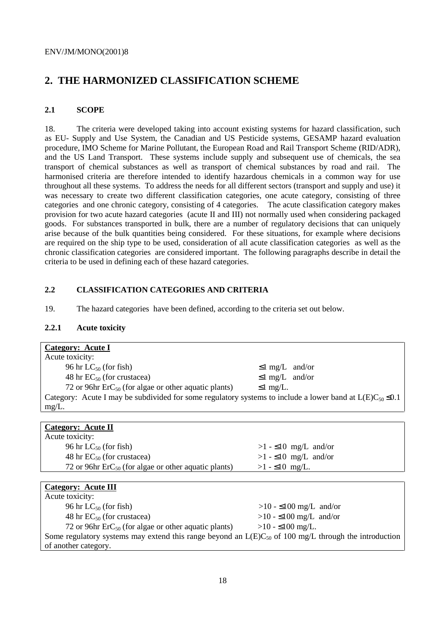## **2. THE HARMONIZED CLASSIFICATION SCHEME**

## **2.1 SCOPE**

18. The criteria were developed taking into account existing systems for hazard classification, such as EU- Supply and Use System, the Canadian and US Pesticide systems, GESAMP hazard evaluation procedure, IMO Scheme for Marine Pollutant, the European Road and Rail Transport Scheme (RID/ADR), and the US Land Transport. These systems include supply and subsequent use of chemicals, the sea transport of chemical substances as well as transport of chemical substances by road and rail. The harmonised criteria are therefore intended to identify hazardous chemicals in a common way for use throughout all these systems. To address the needs for all different sectors (transport and supply and use) it was necessary to create two different classification categories, one acute category, consisting of three categories and one chronic category, consisting of 4 categories. The acute classification category makes provision for two acute hazard categories (acute II and III) not normally used when considering packaged goods. For substances transported in bulk, there are a number of regulatory decisions that can uniquely arise because of the bulk quantities being considered. For these situations, for example where decisions are required on the ship type to be used, consideration of all acute classification categories as well as the chronic classification categories are considered important. The following paragraphs describe in detail the criteria to be used in defining each of these hazard categories.

## **2.2 CLASSIFICATION CATEGORIES AND CRITERIA**

19. The hazard categories have been defined, according to the criteria set out below.

#### **2.2.1 Acute toxicity**

| Category: Acute I                                                                                               |                         |
|-----------------------------------------------------------------------------------------------------------------|-------------------------|
| Acute toxicity:                                                                                                 |                         |
| 96 hr $LC_{50}$ (for fish)                                                                                      | and/or<br>$\leq$ 1 mg/L |
| 48 hr $EC_{50}$ (for crustacea)                                                                                 | $\leq$ 1 mg/L and/or    |
| 72 or 96hr $\text{ErC}_{50}$ (for algae or other aquatic plants)                                                | $\leq 1$ mg/L.          |
| Category: Acute I may be subdivided for some regulatory systems to include a lower band at $L(E)C_{50} \le 0.1$ |                         |
| $mg/L$ .                                                                                                        |                         |

| <b>Category: Acute II</b>                                        |                                |
|------------------------------------------------------------------|--------------------------------|
| Acute toxicity:                                                  |                                |
| 96 hr $LC_{50}$ (for fish)                                       | $>1 - 10$ mg/L and/or          |
| 48 hr $EC_{50}$ (for crustacea)                                  | $>1 - 10$ mg/L and/or          |
| 72 or 96hr $\text{ErC}_{50}$ (for algae or other aquatic plants) | >1 - ≤10 mg/L.                 |
|                                                                  |                                |
| <b>Category: Acute III</b>                                       |                                |
| Acute toxicity:                                                  |                                |
| 96 hr $LC_{50}$ (for fish)                                       | $>10$ - $\leq 100$ mg/L and/or |
| 48 hr $EC_{50}$ (for crustacea)                                  | $>10$ - $\leq 100$ mg/L and/or |
| 72 or 96hr $\text{ErC}_{50}$ (for algae or other aquatic plants) | $>10 - 100$ mg/L.              |

Some regulatory systems may extend this range beyond an  $L(E)C_{50}$  of 100 mg/L through the introduction of another category.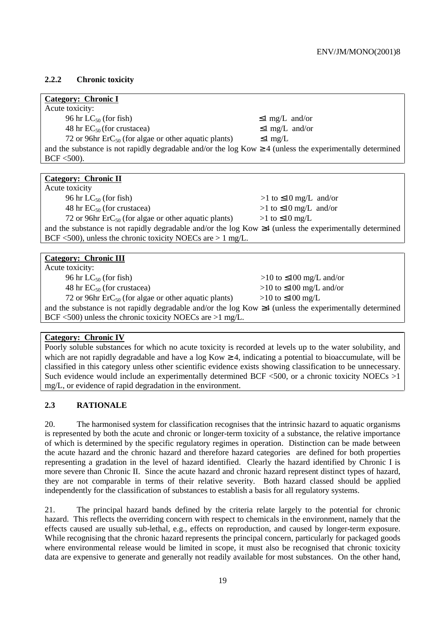#### **2.2.2 Chronic toxicity**

| Category: Chronic I                                                                                           |                      |
|---------------------------------------------------------------------------------------------------------------|----------------------|
| Acute toxicity:                                                                                               |                      |
| 96 hr $LC_{50}$ (for fish)                                                                                    | $\leq$ 1 mg/L and/or |
| 48 hr $EC_{50}$ (for crustacea)                                                                               | $\leq$ 1 mg/L and/or |
| 72 or 96hr $\text{ErC}_{50}$ (for algae or other aquatic plants)                                              | $\leq 1$ mg/L        |
| and the substance is not rapidly degradable and/or the log Kow $\geq 4$ (unless the experimentally determined |                      |
| $BCF < 500$ ).                                                                                                |                      |
|                                                                                                               |                      |
| Category: Chronic II                                                                                          |                      |
| A outo toxique                                                                                                |                      |

| Acute toxicity                                                                                                |                               |  |
|---------------------------------------------------------------------------------------------------------------|-------------------------------|--|
| 96 hr $LC_{50}$ (for fish)                                                                                    | $>1$ to $\leq 10$ mg/L and/or |  |
| 48 hr $EC_{50}$ (for crustacea)                                                                               | $>1$ to $\leq 10$ mg/L and/or |  |
| 72 or 96hr $\text{ErC}_{50}$ (for algae or other aquatic plants)                                              | $>1$ to $\leq 10$ mg/L        |  |
| and the substance is not rapidly degradable and/or the log Kow $\geq 4$ (unless the experimentally determined |                               |  |
| BCF $\langle 500 \rangle$ , unless the chronic toxicity NOECs are $> 1$ mg/L.                                 |                               |  |

| <b>Category: Chronic III</b> |  |
|------------------------------|--|
| Acute toxicity:              |  |

| $1.29$ $0.00$ $0.01$ $0.000$ $0.000$                                                                          |                                 |
|---------------------------------------------------------------------------------------------------------------|---------------------------------|
| 96 hr $LC_{50}$ (for fish)                                                                                    | $>10$ to $\leq 100$ mg/L and/or |
| 48 hr $EC_{50}$ (for crustacea)                                                                               | $>10$ to $\leq 100$ mg/L and/or |
| 72 or 96hr $\text{ErC}_{50}$ (for algae or other aquatic plants)                                              | $>10$ to $\leq 100$ mg/L        |
| and the substance is not rapidly degradable and/or the log Kow $\geq 4$ (unless the experimentally determined |                                 |
| BCF $\langle 500 \rangle$ unless the chronic toxicity NOECs are $>1$ mg/L.                                    |                                 |

#### **Category: Chronic IV**

Poorly soluble substances for which no acute toxicity is recorded at levels up to the water solubility, and which are not rapidly degradable and have a log  $Kow \ge 4$ , indicating a potential to bioaccumulate, will be classified in this category unless other scientific evidence exists showing classification to be unnecessary. Such evidence would include an experimentally determined BCF  $\leq 500$ , or a chronic toxicity NOECs  $>1$ mg/L, or evidence of rapid degradation in the environment.

### **2.3 RATIONALE**

20. The harmonised system for classification recognises that the intrinsic hazard to aquatic organisms is represented by both the acute and chronic or longer-term toxicity of a substance, the relative importance of which is determined by the specific regulatory regimes in operation. Distinction can be made between the acute hazard and the chronic hazard and therefore hazard categories are defined for both properties representing a gradation in the level of hazard identified. Clearly the hazard identified by Chronic I is more severe than Chronic II. Since the acute hazard and chronic hazard represent distinct types of hazard, they are not comparable in terms of their relative severity. Both hazard classed should be applied independently for the classification of substances to establish a basis for all regulatory systems.

21. The principal hazard bands defined by the criteria relate largely to the potential for chronic hazard. This reflects the overriding concern with respect to chemicals in the environment, namely that the effects caused are usually sub-lethal, e.g., effects on reproduction, and caused by longer-term exposure. While recognising that the chronic hazard represents the principal concern, particularly for packaged goods where environmental release would be limited in scope, it must also be recognised that chronic toxicity data are expensive to generate and generally not readily available for most substances. On the other hand,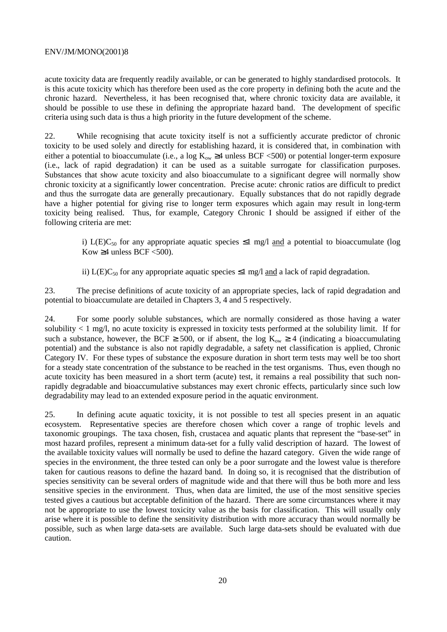acute toxicity data are frequently readily available, or can be generated to highly standardised protocols. It is this acute toxicity which has therefore been used as the core property in defining both the acute and the chronic hazard. Nevertheless, it has been recognised that, where chronic toxicity data are available, it should be possible to use these in defining the appropriate hazard band. The development of specific criteria using such data is thus a high priority in the future development of the scheme.

22. While recognising that acute toxicity itself is not a sufficiently accurate predictor of chronic toxicity to be used solely and directly for establishing hazard, it is considered that, in combination with either a potential to bioaccumulate (i.e., a log  $K_{ow} \ge 4$  unless BCF <500) or potential longer-term exposure (i.e., lack of rapid degradation) it can be used as a suitable surrogate for classification purposes. Substances that show acute toxicity and also bioaccumulate to a significant degree will normally show chronic toxicity at a significantly lower concentration. Precise acute: chronic ratios are difficult to predict and thus the surrogate data are generally precautionary. Equally substances that do not rapidly degrade have a higher potential for giving rise to longer term exposures which again may result in long-term toxicity being realised. Thus, for example, Category Chronic I should be assigned if either of the following criteria are met:

> i) L(E)C<sub>50</sub> for any appropriate aquatic species  $\leq 1$  mg/l and a potential to bioaccumulate (log Kow ≥4 unless BCF <500).

ii) L(E)C<sub>50</sub> for any appropriate aquatic species  $\leq 1$  mg/l and a lack of rapid degradation.

23. The precise definitions of acute toxicity of an appropriate species, lack of rapid degradation and potential to bioaccumulate are detailed in Chapters 3, 4 and 5 respectively.

24. For some poorly soluble substances, which are normally considered as those having a water solubility  $\langle 1 \text{ mg/l} \rangle$ , no acute toxicity is expressed in toxicity tests performed at the solubility limit. If for such a substance, however, the BCF  $\geq$  500, or if absent, the log K<sub>ow</sub>  $\geq$  4 (indicating a bioaccumulating potential) and the substance is also not rapidly degradable, a safety net classification is applied, Chronic Category IV. For these types of substance the exposure duration in short term tests may well be too short for a steady state concentration of the substance to be reached in the test organisms. Thus, even though no acute toxicity has been measured in a short term (acute) test, it remains a real possibility that such nonrapidly degradable and bioaccumulative substances may exert chronic effects, particularly since such low degradability may lead to an extended exposure period in the aquatic environment.

25. In defining acute aquatic toxicity, it is not possible to test all species present in an aquatic ecosystem. Representative species are therefore chosen which cover a range of trophic levels and taxonomic groupings. The taxa chosen, fish, crustacea and aquatic plants that represent the "base-set" in most hazard profiles, represent a minimum data-set for a fully valid description of hazard. The lowest of the available toxicity values will normally be used to define the hazard category. Given the wide range of species in the environment, the three tested can only be a poor surrogate and the lowest value is therefore taken for cautious reasons to define the hazard band. In doing so, it is recognised that the distribution of species sensitivity can be several orders of magnitude wide and that there will thus be both more and less sensitive species in the environment. Thus, when data are limited, the use of the most sensitive species tested gives a cautious but acceptable definition of the hazard. There are some circumstances where it may not be appropriate to use the lowest toxicity value as the basis for classification. This will usually only arise where it is possible to define the sensitivity distribution with more accuracy than would normally be possible, such as when large data-sets are available. Such large data-sets should be evaluated with due caution.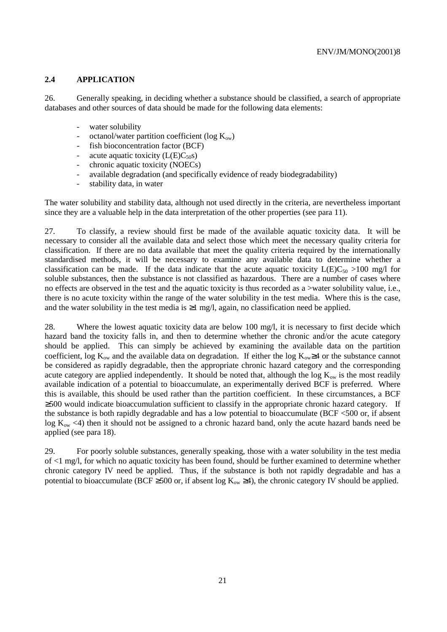#### **2.4 APPLICATION**

26. Generally speaking, in deciding whether a substance should be classified, a search of appropriate databases and other sources of data should be made for the following data elements:

- water solubility
- octanol/water partition coefficient (log  $K_{ow}$ )
- fish bioconcentration factor (BCF)
- acute aquatic toxicity  $(L(E)C_{50}s)$
- chronic aquatic toxicity (NOECs)
- available degradation (and specifically evidence of ready biodegradability)
- stability data, in water

The water solubility and stability data, although not used directly in the criteria, are nevertheless important since they are a valuable help in the data interpretation of the other properties (see para 11).

27. To classify, a review should first be made of the available aquatic toxicity data. It will be necessary to consider all the available data and select those which meet the necessary quality criteria for classification. If there are no data available that meet the quality criteria required by the internationally standardised methods, it will be necessary to examine any available data to determine whether a classification can be made. If the data indicate that the acute aquatic toxicity  $L(E)C_{50} > 100$  mg/l for soluble substances, then the substance is not classified as hazardous. There are a number of cases where no effects are observed in the test and the aquatic toxicity is thus recorded as a >water solubility value, i.e., there is no acute toxicity within the range of the water solubility in the test media. Where this is the case, and the water solubility in the test media is  $\geq 1$  mg/l, again, no classification need be applied.

28. Where the lowest aquatic toxicity data are below 100 mg/l, it is necessary to first decide which hazard band the toxicity falls in, and then to determine whether the chronic and/or the acute category should be applied. This can simply be achieved by examining the available data on the partition coefficient, log  $K_{ow}$  and the available data on degradation. If either the log  $K_{ow} \ge 4$  or the substance cannot be considered as rapidly degradable, then the appropriate chronic hazard category and the corresponding acute category are applied independently. It should be noted that, although the log  $K_{ow}$  is the most readily available indication of a potential to bioaccumulate, an experimentally derived BCF is preferred. Where this is available, this should be used rather than the partition coefficient. In these circumstances, a BCF ≥500 would indicate bioaccumulation sufficient to classify in the appropriate chronic hazard category. If the substance is both rapidly degradable and has a low potential to bioaccumulate (BCF <500 or, if absent log  $K_{ow}$  <4) then it should not be assigned to a chronic hazard band, only the acute hazard bands need be applied (see para 18).

29. For poorly soluble substances, generally speaking, those with a water solubility in the test media of <1 mg/l, for which no aquatic toxicity has been found, should be further examined to determine whether chronic category IV need be applied. Thus, if the substance is both not rapidly degradable and has a potential to bioaccumulate (BCF ≥500 or, if absent log  $K_{ow} \ge 4$ ), the chronic category IV should be applied.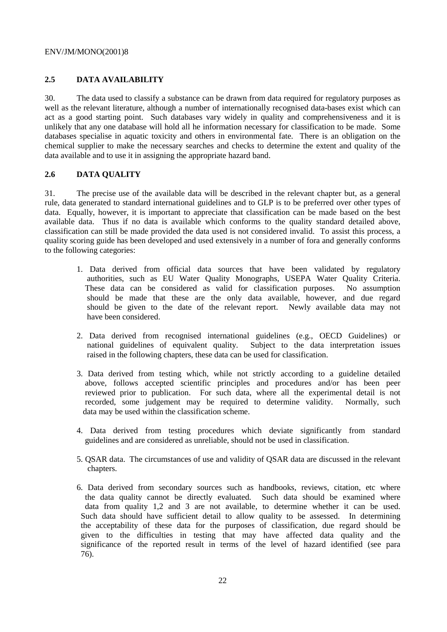### **2.5 DATA AVAILABILITY**

30. The data used to classify a substance can be drawn from data required for regulatory purposes as well as the relevant literature, although a number of internationally recognised data-bases exist which can act as a good starting point. Such databases vary widely in quality and comprehensiveness and it is unlikely that any one database will hold all he information necessary for classification to be made. Some databases specialise in aquatic toxicity and others in environmental fate. There is an obligation on the chemical supplier to make the necessary searches and checks to determine the extent and quality of the data available and to use it in assigning the appropriate hazard band.

#### **2.6 DATA QUALITY**

31. The precise use of the available data will be described in the relevant chapter but, as a general rule, data generated to standard international guidelines and to GLP is to be preferred over other types of data. Equally, however, it is important to appreciate that classification can be made based on the best available data. Thus if no data is available which conforms to the quality standard detailed above, classification can still be made provided the data used is not considered invalid. To assist this process, a quality scoring guide has been developed and used extensively in a number of fora and generally conforms to the following categories:

- 1. Data derived from official data sources that have been validated by regulatory authorities, such as EU Water Quality Monographs, USEPA Water Quality Criteria. These data can be considered as valid for classification purposes. No assumption should be made that these are the only data available, however, and due regard should be given to the date of the relevant report. Newly available data may not have been considered.
- 2. Data derived from recognised international guidelines (e.g., OECD Guidelines) or national guidelines of equivalent quality. Subject to the data interpretation issues raised in the following chapters, these data can be used for classification.
- 3. Data derived from testing which, while not strictly according to a guideline detailed above, follows accepted scientific principles and procedures and/or has been peer reviewed prior to publication. For such data, where all the experimental detail is not recorded, some judgement may be required to determine validity. Normally, such data may be used within the classification scheme.
- 4. Data derived from testing procedures which deviate significantly from standard guidelines and are considered as unreliable, should not be used in classification.
- 5. QSAR data. The circumstances of use and validity of QSAR data are discussed in the relevant chapters.
- 6. Data derived from secondary sources such as handbooks, reviews, citation, etc where the data quality cannot be directly evaluated. Such data should be examined where data from quality 1,2 and 3 are not available, to determine whether it can be used. Such data should have sufficient detail to allow quality to be assessed. In determining the acceptability of these data for the purposes of classification, due regard should be given to the difficulties in testing that may have affected data quality and the significance of the reported result in terms of the level of hazard identified (see para 76).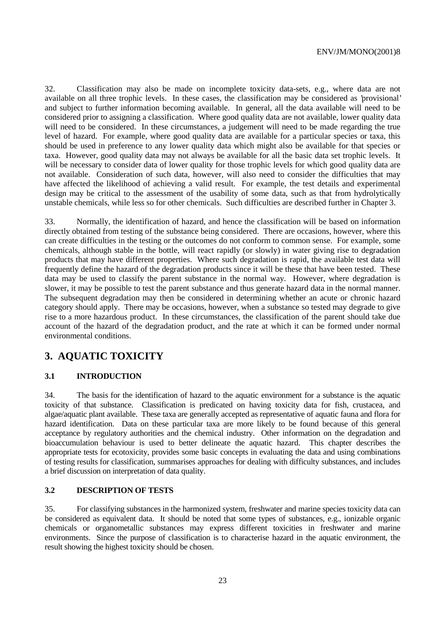32. Classification may also be made on incomplete toxicity data-sets, e.g., where data are not available on all three trophic levels. In these cases, the classification may be considered as 'provisional' and subject to further information becoming available. In general, all the data available will need to be considered prior to assigning a classification. Where good quality data are not available, lower quality data will need to be considered. In these circumstances, a judgement will need to be made regarding the true level of hazard. For example, where good quality data are available for a particular species or taxa, this should be used in preference to any lower quality data which might also be available for that species or taxa. However, good quality data may not always be available for all the basic data set trophic levels. It will be necessary to consider data of lower quality for those trophic levels for which good quality data are not available. Consideration of such data, however, will also need to consider the difficulties that may have affected the likelihood of achieving a valid result. For example, the test details and experimental design may be critical to the assessment of the usability of some data, such as that from hydrolytically unstable chemicals, while less so for other chemicals. Such difficulties are described further in Chapter 3.

33. Normally, the identification of hazard, and hence the classification will be based on information directly obtained from testing of the substance being considered. There are occasions, however, where this can create difficulties in the testing or the outcomes do not conform to common sense. For example, some chemicals, although stable in the bottle, will react rapidly (or slowly) in water giving rise to degradation products that may have different properties. Where such degradation is rapid, the available test data will frequently define the hazard of the degradation products since it will be these that have been tested. These data may be used to classify the parent substance in the normal way. However, where degradation is slower, it may be possible to test the parent substance and thus generate hazard data in the normal manner. The subsequent degradation may then be considered in determining whether an acute or chronic hazard category should apply. There may be occasions, however, when a substance so tested may degrade to give rise to a more hazardous product. In these circumstances, the classification of the parent should take due account of the hazard of the degradation product, and the rate at which it can be formed under normal environmental conditions.

## **3. AQUATIC TOXICITY**

#### **3.1 INTRODUCTION**

34. The basis for the identification of hazard to the aquatic environment for a substance is the aquatic toxicity of that substance. Classification is predicated on having toxicity data for fish, crustacea, and algae/aquatic plant available. These taxa are generally accepted as representative of aquatic fauna and flora for hazard identification. Data on these particular taxa are more likely to be found because of this general acceptance by regulatory authorities and the chemical industry. Other information on the degradation and bioaccumulation behaviour is used to better delineate the aquatic hazard. This chapter describes the appropriate tests for ecotoxicity, provides some basic concepts in evaluating the data and using combinations of testing results for classification, summarises approaches for dealing with difficulty substances, and includes a brief discussion on interpretation of data quality.

#### **3.2 DESCRIPTION OF TESTS**

35. For classifying substances in the harmonized system, freshwater and marine species toxicity data can be considered as equivalent data. It should be noted that some types of substances, e.g., ionizable organic chemicals or organometallic substances may express different toxicities in freshwater and marine environments. Since the purpose of classification is to characterise hazard in the aquatic environment, the result showing the highest toxicity should be chosen.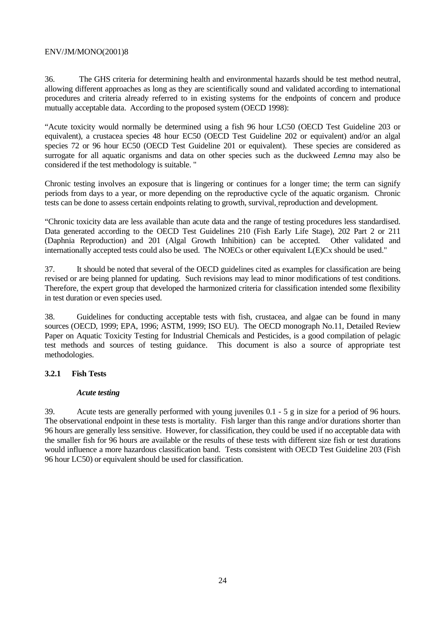36. The GHS criteria for determining health and environmental hazards should be test method neutral, allowing different approaches as long as they are scientifically sound and validated according to international procedures and criteria already referred to in existing systems for the endpoints of concern and produce mutually acceptable data. According to the proposed system (OECD 1998):

"Acute toxicity would normally be determined using a fish 96 hour LC50 (OECD Test Guideline 203 or equivalent), a crustacea species 48 hour EC50 (OECD Test Guideline 202 or equivalent) and/or an algal species 72 or 96 hour EC50 (OECD Test Guideline 201 or equivalent). These species are considered as surrogate for all aquatic organisms and data on other species such as the duckweed *Lemna* may also be considered if the test methodology is suitable. "

Chronic testing involves an exposure that is lingering or continues for a longer time; the term can signify periods from days to a year, or more depending on the reproductive cycle of the aquatic organism. Chronic tests can be done to assess certain endpoints relating to growth, survival, reproduction and development.

"Chronic toxicity data are less available than acute data and the range of testing procedures less standardised. Data generated according to the OECD Test Guidelines 210 (Fish Early Life Stage), 202 Part 2 or 211 (Daphnia Reproduction) and 201 (Algal Growth Inhibition) can be accepted. Other validated and internationally accepted tests could also be used. The NOECs or other equivalent L(E)Cx should be used."

37. It should be noted that several of the OECD guidelines cited as examples for classification are being revised or are being planned for updating. Such revisions may lead to minor modifications of test conditions. Therefore, the expert group that developed the harmonized criteria for classification intended some flexibility in test duration or even species used.

38. Guidelines for conducting acceptable tests with fish, crustacea, and algae can be found in many sources (OECD, 1999; EPA, 1996; ASTM, 1999; ISO EU). The OECD monograph No.11, Detailed Review Paper on Aquatic Toxicity Testing for Industrial Chemicals and Pesticides, is a good compilation of pelagic test methods and sources of testing guidance. This document is also a source of appropriate test methodologies.

### **3.2.1 Fish Tests**

#### *Acute testing*

39. Acute tests are generally performed with young juveniles 0.1 - 5 g in size for a period of 96 hours. The observational endpoint in these tests is mortality. Fish larger than this range and/or durations shorter than 96 hours are generally less sensitive. However, for classification, they could be used if no acceptable data with the smaller fish for 96 hours are available or the results of these tests with different size fish or test durations would influence a more hazardous classification band. Tests consistent with OECD Test Guideline 203 (Fish 96 hour LC50) or equivalent should be used for classification.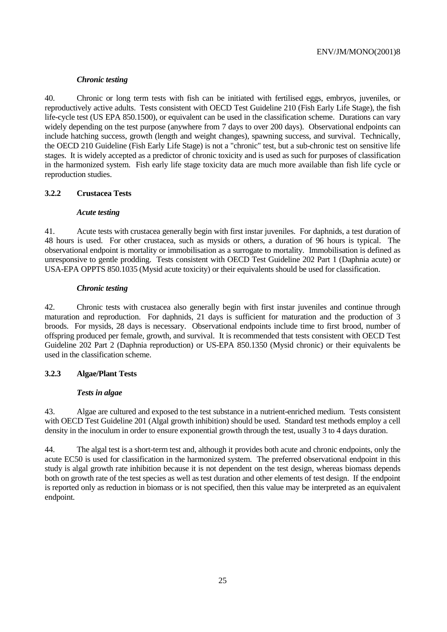#### *Chronic testing*

40. Chronic or long term tests with fish can be initiated with fertilised eggs, embryos, juveniles, or reproductively active adults. Tests consistent with OECD Test Guideline 210 (Fish Early Life Stage), the fish life-cycle test (US EPA 850.1500), or equivalent can be used in the classification scheme. Durations can vary widely depending on the test purpose (anywhere from 7 days to over 200 days). Observational endpoints can include hatching success, growth (length and weight changes), spawning success, and survival. Technically, the OECD 210 Guideline (Fish Early Life Stage) is not a "chronic" test, but a sub-chronic test on sensitive life stages. It is widely accepted as a predictor of chronic toxicity and is used as such for purposes of classification in the harmonized system. Fish early life stage toxicity data are much more available than fish life cycle or reproduction studies.

#### **3.2.2 Crustacea Tests**

#### *Acute testing*

41. Acute tests with crustacea generally begin with first instar juveniles. For daphnids, a test duration of 48 hours is used. For other crustacea, such as mysids or others, a duration of 96 hours is typical. The observational endpoint is mortality or immobilisation as a surrogate to mortality. Immobilisation is defined as unresponsive to gentle prodding. Tests consistent with OECD Test Guideline 202 Part 1 (Daphnia acute) or USA-EPA OPPTS 850.1035 (Mysid acute toxicity) or their equivalents should be used for classification.

#### *Chronic testing*

42. Chronic tests with crustacea also generally begin with first instar juveniles and continue through maturation and reproduction. For daphnids, 21 days is sufficient for maturation and the production of 3 broods. For mysids, 28 days is necessary. Observational endpoints include time to first brood, number of offspring produced per female, growth, and survival. It is recommended that tests consistent with OECD Test Guideline 202 Part 2 (Daphnia reproduction) or US-EPA 850.1350 (Mysid chronic) or their equivalents be used in the classification scheme.

#### **3.2.3 Algae/Plant Tests**

#### *Tests in algae*

43. Algae are cultured and exposed to the test substance in a nutrient-enriched medium. Tests consistent with OECD Test Guideline 201 (Algal growth inhibition) should be used. Standard test methods employ a cell density in the inoculum in order to ensure exponential growth through the test, usually 3 to 4 days duration.

44. The algal test is a short-term test and, although it provides both acute and chronic endpoints, only the acute EC50 is used for classification in the harmonized system. The preferred observational endpoint in this study is algal growth rate inhibition because it is not dependent on the test design, whereas biomass depends both on growth rate of the test species as well as test duration and other elements of test design. If the endpoint is reported only as reduction in biomass or is not specified, then this value may be interpreted as an equivalent endpoint.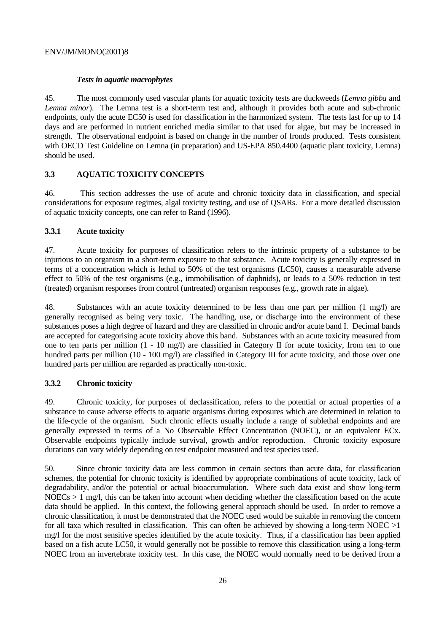#### *Tests in aquatic macrophytes*

45. The most commonly used vascular plants for aquatic toxicity tests are duckweeds (*Lemna gibba* and *Lemna minor*). The Lemna test is a short-term test and, although it provides both acute and sub-chronic endpoints, only the acute EC50 is used for classification in the harmonized system. The tests last for up to 14 days and are performed in nutrient enriched media similar to that used for algae, but may be increased in strength. The observational endpoint is based on change in the number of fronds produced. Tests consistent with OECD Test Guideline on Lemna (in preparation) and US-EPA 850.4400 (aquatic plant toxicity, Lemna) should be used.

#### **3.3 AQUATIC TOXICITY CONCEPTS**

46. This section addresses the use of acute and chronic toxicity data in classification, and special considerations for exposure regimes, algal toxicity testing, and use of QSARs. For a more detailed discussion of aquatic toxicity concepts, one can refer to Rand (1996).

#### **3.3.1 Acute toxicity**

47. Acute toxicity for purposes of classification refers to the intrinsic property of a substance to be injurious to an organism in a short-term exposure to that substance. Acute toxicity is generally expressed in terms of a concentration which is lethal to 50% of the test organisms (LC50), causes a measurable adverse effect to 50% of the test organisms (e.g., immobilisation of daphnids), or leads to a 50% reduction in test (treated) organism responses from control (untreated) organism responses (e.g., growth rate in algae).

48. Substances with an acute toxicity determined to be less than one part per million (1 mg/l) are generally recognised as being very toxic. The handling, use, or discharge into the environment of these substances poses a high degree of hazard and they are classified in chronic and/or acute band I. Decimal bands are accepted for categorising acute toxicity above this band. Substances with an acute toxicity measured from one to ten parts per million  $(1 - 10 \text{ mg/l})$  are classified in Category II for acute toxicity, from ten to one hundred parts per million (10 - 100 mg/l) are classified in Category III for acute toxicity, and those over one hundred parts per million are regarded as practically non-toxic.

#### **3.3.2 Chronic toxicity**

49. Chronic toxicity, for purposes of declassification, refers to the potential or actual properties of a substance to cause adverse effects to aquatic organisms during exposures which are determined in relation to the life-cycle of the organism. Such chronic effects usually include a range of sublethal endpoints and are generally expressed in terms of a No Observable Effect Concentration (NOEC), or an equivalent ECx. Observable endpoints typically include survival, growth and/or reproduction. Chronic toxicity exposure durations can vary widely depending on test endpoint measured and test species used.

50. Since chronic toxicity data are less common in certain sectors than acute data, for classification schemes, the potential for chronic toxicity is identified by appropriate combinations of acute toxicity, lack of degradability, and/or the potential or actual bioaccumulation. Where such data exist and show long-term NOECs  $> 1$  mg/l, this can be taken into account when deciding whether the classification based on the acute data should be applied. In this context, the following general approach should be used. In order to remove a chronic classification, it must be demonstrated that the NOEC used would be suitable in removing the concern for all taxa which resulted in classification. This can often be achieved by showing a long-term NOEC  $>1$ mg/l for the most sensitive species identified by the acute toxicity. Thus, if a classification has been applied based on a fish acute LC50, it would generally not be possible to remove this classification using a long-term NOEC from an invertebrate toxicity test. In this case, the NOEC would normally need to be derived from a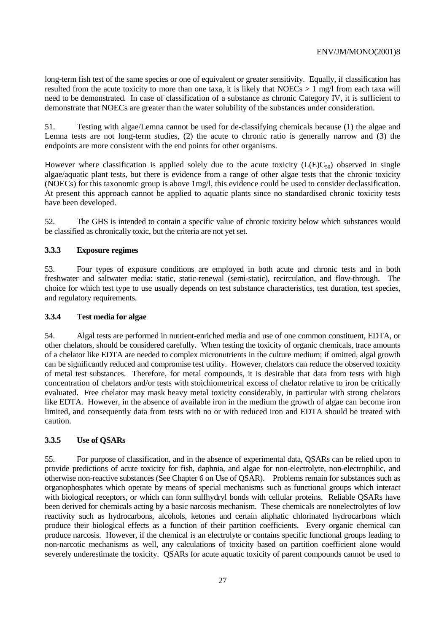long-term fish test of the same species or one of equivalent or greater sensitivity. Equally, if classification has resulted from the acute toxicity to more than one taxa, it is likely that NOECs  $> 1$  mg/l from each taxa will need to be demonstrated. In case of classification of a substance as chronic Category IV, it is sufficient to demonstrate that NOECs are greater than the water solubility of the substances under consideration.

51. Testing with algae/Lemna cannot be used for de-classifying chemicals because (1) the algae and Lemna tests are not long-term studies, (2) the acute to chronic ratio is generally narrow and (3) the endpoints are more consistent with the end points for other organisms.

However where classification is applied solely due to the acute toxicity  $(L(E)C_{50})$  observed in single algae/aquatic plant tests, but there is evidence from a range of other algae tests that the chronic toxicity (NOECs) for this taxonomic group is above 1mg/l, this evidence could be used to consider declassification. At present this approach cannot be applied to aquatic plants since no standardised chronic toxicity tests have been developed.

52. The GHS is intended to contain a specific value of chronic toxicity below which substances would be classified as chronically toxic, but the criteria are not yet set.

#### **3.3.3 Exposure regimes**

53. Four types of exposure conditions are employed in both acute and chronic tests and in both freshwater and saltwater media: static, static-renewal (semi-static), recirculation, and flow-through. The choice for which test type to use usually depends on test substance characteristics, test duration, test species, and regulatory requirements.

#### **3.3.4 Test media for algae**

54. Algal tests are performed in nutrient-enriched media and use of one common constituent, EDTA, or other chelators, should be considered carefully. When testing the toxicity of organic chemicals, trace amounts of a chelator like EDTA are needed to complex micronutrients in the culture medium; if omitted, algal growth can be significantly reduced and compromise test utility. However, chelators can reduce the observed toxicity of metal test substances. Therefore, for metal compounds, it is desirable that data from tests with high concentration of chelators and/or tests with stoichiometrical excess of chelator relative to iron be critically evaluated. Free chelator may mask heavy metal toxicity considerably, in particular with strong chelators like EDTA. However, in the absence of available iron in the medium the growth of algae can become iron limited, and consequently data from tests with no or with reduced iron and EDTA should be treated with caution.

#### **3.3.5 Use of QSARs**

55. For purpose of classification, and in the absence of experimental data, QSARs can be relied upon to provide predictions of acute toxicity for fish, daphnia, and algae for non-electrolyte, non-electrophilic, and otherwise non-reactive substances (See Chapter 6 on Use of QSAR). Problems remain for substances such as organophosphates which operate by means of special mechanisms such as functional groups which interact with biological receptors, or which can form sulfhydryl bonds with cellular proteins. Reliable OSARs have been derived for chemicals acting by a basic narcosis mechanism. These chemicals are nonelectrolytes of low reactivity such as hydrocarbons, alcohols, ketones and certain aliphatic chlorinated hydrocarbons which produce their biological effects as a function of their partition coefficients. Every organic chemical can produce narcosis. However, if the chemical is an electrolyte or contains specific functional groups leading to non-narcotic mechanisms as well, any calculations of toxicity based on partition coefficient alone would severely underestimate the toxicity. QSARs for acute aquatic toxicity of parent compounds cannot be used to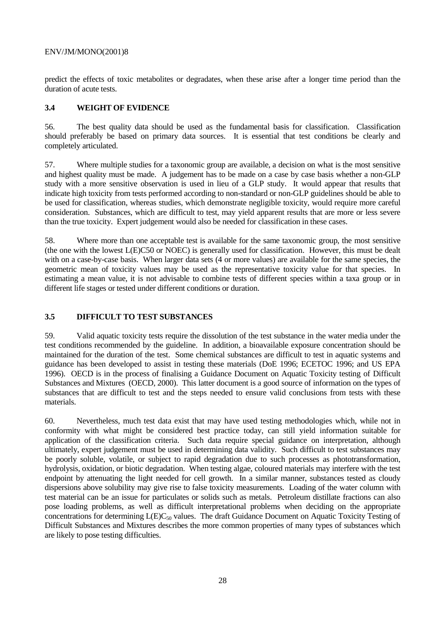predict the effects of toxic metabolites or degradates, when these arise after a longer time period than the duration of acute tests.

#### **3.4 WEIGHT OF EVIDENCE**

56. The best quality data should be used as the fundamental basis for classification. Classification should preferably be based on primary data sources. It is essential that test conditions be clearly and completely articulated.

57. Where multiple studies for a taxonomic group are available, a decision on what is the most sensitive and highest quality must be made. A judgement has to be made on a case by case basis whether a non-GLP study with a more sensitive observation is used in lieu of a GLP study. It would appear that results that indicate high toxicity from tests performed according to non-standard or non-GLP guidelines should be able to be used for classification, whereas studies, which demonstrate negligible toxicity, would require more careful consideration. Substances, which are difficult to test, may yield apparent results that are more or less severe than the true toxicity. Expert judgement would also be needed for classification in these cases.

58. Where more than one acceptable test is available for the same taxonomic group, the most sensitive (the one with the lowest L(E)C50 or NOEC) is generally used for classification. However, this must be dealt with on a case-by-case basis. When larger data sets (4 or more values) are available for the same species, the geometric mean of toxicity values may be used as the representative toxicity value for that species. In estimating a mean value, it is not advisable to combine tests of different species within a taxa group or in different life stages or tested under different conditions or duration.

#### **3.5 DIFFICULT TO TEST SUBSTANCES**

59. Valid aquatic toxicity tests require the dissolution of the test substance in the water media under the test conditions recommended by the guideline. In addition, a bioavailable exposure concentration should be maintained for the duration of the test. Some chemical substances are difficult to test in aquatic systems and guidance has been developed to assist in testing these materials (DoE 1996; ECETOC 1996; and US EPA 1996). OECD is in the process of finalising a Guidance Document on Aquatic Toxicity testing of Difficult Substances and Mixtures (OECD, 2000). This latter document is a good source of information on the types of substances that are difficult to test and the steps needed to ensure valid conclusions from tests with these materials.

60. Nevertheless, much test data exist that may have used testing methodologies which, while not in conformity with what might be considered best practice today, can still yield information suitable for application of the classification criteria. Such data require special guidance on interpretation, although ultimately, expert judgement must be used in determining data validity. Such difficult to test substances may be poorly soluble, volatile, or subject to rapid degradation due to such processes as phototransformation, hydrolysis, oxidation, or biotic degradation. When testing algae, coloured materials may interfere with the test endpoint by attenuating the light needed for cell growth. In a similar manner, substances tested as cloudy dispersions above solubility may give rise to false toxicity measurements. Loading of the water column with test material can be an issue for particulates or solids such as metals. Petroleum distillate fractions can also pose loading problems, as well as difficult interpretational problems when deciding on the appropriate concentrations for determining  $L(E)C_{50}$  values. The draft Guidance Document on Aquatic Toxicity Testing of Difficult Substances and Mixtures describes the more common properties of many types of substances which are likely to pose testing difficulties.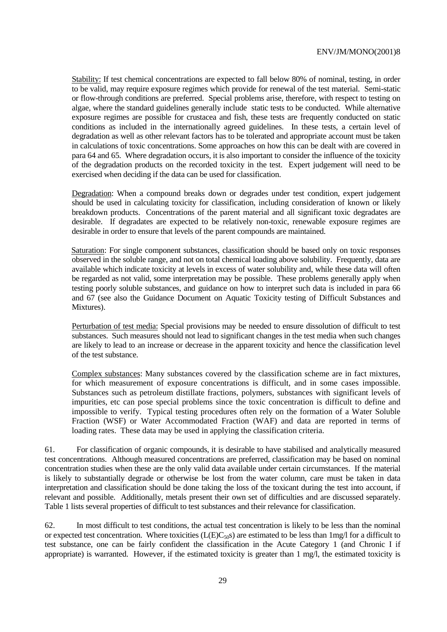Stability: If test chemical concentrations are expected to fall below 80% of nominal, testing, in order to be valid, may require exposure regimes which provide for renewal of the test material. Semi-static or flow-through conditions are preferred. Special problems arise, therefore, with respect to testing on algae, where the standard guidelines generally include static tests to be conducted. While alternative exposure regimes are possible for crustacea and fish, these tests are frequently conducted on static conditions as included in the internationally agreed guidelines. In these tests, a certain level of degradation as well as other relevant factors has to be tolerated and appropriate account must be taken in calculations of toxic concentrations. Some approaches on how this can be dealt with are covered in para 64 and 65. Where degradation occurs, it is also important to consider the influence of the toxicity of the degradation products on the recorded toxicity in the test. Expert judgement will need to be exercised when deciding if the data can be used for classification.

Degradation: When a compound breaks down or degrades under test condition, expert judgement should be used in calculating toxicity for classification, including consideration of known or likely breakdown products. Concentrations of the parent material and all significant toxic degradates are desirable. If degradates are expected to be relatively non-toxic, renewable exposure regimes are desirable in order to ensure that levels of the parent compounds are maintained.

Saturation: For single component substances, classification should be based only on toxic responses observed in the soluble range, and not on total chemical loading above solubility. Frequently, data are available which indicate toxicity at levels in excess of water solubility and, while these data will often be regarded as not valid, some interpretation may be possible. These problems generally apply when testing poorly soluble substances, and guidance on how to interpret such data is included in para 66 and 67 (see also the Guidance Document on Aquatic Toxicity testing of Difficult Substances and Mixtures).

Perturbation of test media: Special provisions may be needed to ensure dissolution of difficult to test substances. Such measures should not lead to significant changes in the test media when such changes are likely to lead to an increase or decrease in the apparent toxicity and hence the classification level of the test substance.

Complex substances: Many substances covered by the classification scheme are in fact mixtures, for which measurement of exposure concentrations is difficult, and in some cases impossible. Substances such as petroleum distillate fractions, polymers, substances with significant levels of impurities, etc can pose special problems since the toxic concentration is difficult to define and impossible to verify. Typical testing procedures often rely on the formation of a Water Soluble Fraction (WSF) or Water Accommodated Fraction (WAF) and data are reported in terms of loading rates. These data may be used in applying the classification criteria.

61. For classification of organic compounds, it is desirable to have stabilised and analytically measured test concentrations. Although measured concentrations are preferred, classification may be based on nominal concentration studies when these are the only valid data available under certain circumstances. If the material is likely to substantially degrade or otherwise be lost from the water column, care must be taken in data interpretation and classification should be done taking the loss of the toxicant during the test into account, if relevant and possible. Additionally, metals present their own set of difficulties and are discussed separately. Table 1 lists several properties of difficult to test substances and their relevance for classification.

62. In most difficult to test conditions, the actual test concentration is likely to be less than the nominal or expected test concentration. Where toxicities ( $L(E)C_{50}s$ ) are estimated to be less than 1mg/l for a difficult to test substance, one can be fairly confident the classification in the Acute Category 1 (and Chronic I if appropriate) is warranted. However, if the estimated toxicity is greater than 1 mg/l, the estimated toxicity is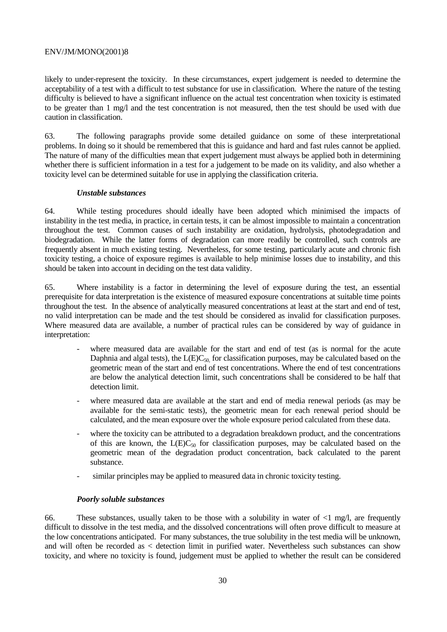likely to under-represent the toxicity. In these circumstances, expert judgement is needed to determine the acceptability of a test with a difficult to test substance for use in classification. Where the nature of the testing difficulty is believed to have a significant influence on the actual test concentration when toxicity is estimated to be greater than 1 mg/l and the test concentration is not measured, then the test should be used with due caution in classification.

63. The following paragraphs provide some detailed guidance on some of these interpretational problems. In doing so it should be remembered that this is guidance and hard and fast rules cannot be applied. The nature of many of the difficulties mean that expert judgement must always be applied both in determining whether there is sufficient information in a test for a judgement to be made on its validity, and also whether a toxicity level can be determined suitable for use in applying the classification criteria.

#### *Unstable substances*

64. While testing procedures should ideally have been adopted which minimised the impacts of instability in the test media, in practice, in certain tests, it can be almost impossible to maintain a concentration throughout the test. Common causes of such instability are oxidation, hydrolysis, photodegradation and biodegradation. While the latter forms of degradation can more readily be controlled, such controls are frequently absent in much existing testing. Nevertheless, for some testing, particularly acute and chronic fish toxicity testing, a choice of exposure regimes is available to help minimise losses due to instability, and this should be taken into account in deciding on the test data validity.

65. Where instability is a factor in determining the level of exposure during the test, an essential prerequisite for data interpretation is the existence of measured exposure concentrations at suitable time points throughout the test. In the absence of analytically measured concentrations at least at the start and end of test, no valid interpretation can be made and the test should be considered as invalid for classification purposes. Where measured data are available, a number of practical rules can be considered by way of guidance in interpretation:

- where measured data are available for the start and end of test (as is normal for the acute Daphnia and algal tests), the  $L(E)C_{50}$  for classification purposes, may be calculated based on the geometric mean of the start and end of test concentrations. Where the end of test concentrations are below the analytical detection limit, such concentrations shall be considered to be half that detection limit.
- where measured data are available at the start and end of media renewal periods (as may be available for the semi-static tests), the geometric mean for each renewal period should be calculated, and the mean exposure over the whole exposure period calculated from these data.
- where the toxicity can be attributed to a degradation breakdown product, and the concentrations of this are known, the  $L(E)C_{50}$  for classification purposes, may be calculated based on the geometric mean of the degradation product concentration, back calculated to the parent substance.
- similar principles may be applied to measured data in chronic toxicity testing.

#### *Poorly soluble substances*

66. These substances, usually taken to be those with a solubility in water of  $\langle 1 \text{ mg/l} \rangle$ , are frequently difficult to dissolve in the test media, and the dissolved concentrations will often prove difficult to measure at the low concentrations anticipated. For many substances, the true solubility in the test media will be unknown, and will often be recorded as < detection limit in purified water. Nevertheless such substances can show toxicity, and where no toxicity is found, judgement must be applied to whether the result can be considered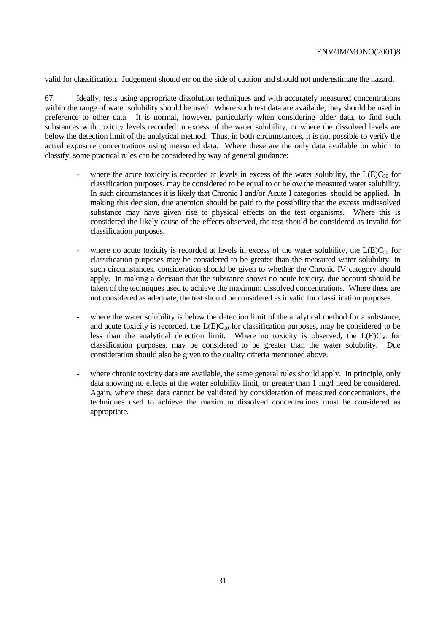valid for classification. Judgement should err on the side of caution and should not underestimate the hazard.

67. Ideally, tests using appropriate dissolution techniques and with accurately measured concentrations within the range of water solubility should be used. Where such test data are available, they should be used in preference to other data. It is normal, however, particularly when considering older data, to find such substances with toxicity levels recorded in excess of the water solubility, or where the dissolved levels are below the detection limit of the analytical method. Thus, in both circumstances, it is not possible to verify the actual exposure concentrations using measured data. Where these are the only data available on which to classify, some practical rules can be considered by way of general guidance:

- where the acute toxicity is recorded at levels in excess of the water solubility, the  $L(E)C_{50}$  for classification purposes, may be considered to be equal to or below the measured water solubility. In such circumstances it is likely that Chronic I and/or Acute I categories should be applied. In making this decision, due attention should be paid to the possibility that the excess undissolved substance may have given rise to physical effects on the test organisms. Where this is considered the likely cause of the effects observed, the test should be considered as invalid for classification purposes.
- where no acute toxicity is recorded at levels in excess of the water solubility, the  $L(E)C_{50}$  for classification purposes may be considered to be greater than the measured water solubility. In such circumstances, consideration should be given to whether the Chronic IV category should apply. In making a decision that the substance shows no acute toxicity, due account should be taken of the techniques used to achieve the maximum dissolved concentrations. Where these are not considered as adequate, the test should be considered as invalid for classification purposes.
- where the water solubility is below the detection limit of the analytical method for a substance, and acute toxicity is recorded, the  $L(E)C_{50}$  for classification purposes, may be considered to be less than the analytical detection limit. Where no toxicity is observed, the  $L(E)C_{50}$  for classification purposes, may be considered to be greater than the water solubility. Due consideration should also be given to the quality criteria mentioned above.
- where chronic toxicity data are available, the same general rules should apply. In principle, only data showing no effects at the water solubility limit, or greater than 1 mg/l need be considered. Again, where these data cannot be validated by consideration of measured concentrations, the techniques used to achieve the maximum dissolved concentrations must be considered as appropriate.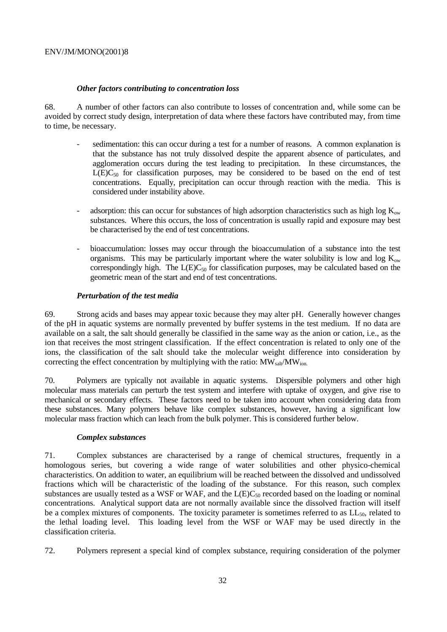#### *Other factors contributing to concentration loss*

68. A number of other factors can also contribute to losses of concentration and, while some can be avoided by correct study design, interpretation of data where these factors have contributed may, from time to time, be necessary.

- sedimentation: this can occur during a test for a number of reasons. A common explanation is that the substance has not truly dissolved despite the apparent absence of particulates, and agglomeration occurs during the test leading to precipitation. In these circumstances, the  $L(E)C_{50}$  for classification purposes, may be considered to be based on the end of test concentrations. Equally, precipitation can occur through reaction with the media. This is considered under instability above.
- adsorption: this can occur for substances of high adsorption characteristics such as high log  $K_{ow}$ substances. Where this occurs, the loss of concentration is usually rapid and exposure may best be characterised by the end of test concentrations.
- bioaccumulation: losses may occur through the bioaccumulation of a substance into the test organisms. This may be particularly important where the water solubility is low and log  $K_{ow}$ correspondingly high. The  $L(E)C_{50}$  for classification purposes, may be calculated based on the geometric mean of the start and end of test concentrations.

#### *Perturbation of the test media*

69. Strong acids and bases may appear toxic because they may alter pH. Generally however changes of the pH in aquatic systems are normally prevented by buffer systems in the test medium. If no data are available on a salt, the salt should generally be classified in the same way as the anion or cation, i.e., as the ion that receives the most stringent classification. If the effect concentration is related to only one of the ions, the classification of the salt should take the molecular weight difference into consideration by correcting the effect concentration by multiplying with the ratio: MWsalt/MW<sub>ion.</sub>

70. Polymers are typically not available in aquatic systems. Dispersible polymers and other high molecular mass materials can perturb the test system and interfere with uptake of oxygen, and give rise to mechanical or secondary effects. These factors need to be taken into account when considering data from these substances. Many polymers behave like complex substances, however, having a significant low molecular mass fraction which can leach from the bulk polymer. This is considered further below.

#### *Complex substances*

71. Complex substances are characterised by a range of chemical structures, frequently in a homologous series, but covering a wide range of water solubilities and other physico-chemical characteristics. On addition to water, an equilibrium will be reached between the dissolved and undissolved fractions which will be characteristic of the loading of the substance. For this reason, such complex substances are usually tested as a WSF or WAF, and the  $L(E)C_{50}$  recorded based on the loading or nominal concentrations. Analytical support data are not normally available since the dissolved fraction will itself be a complex mixtures of components. The toxicity parameter is sometimes referred to as  $LL_{50}$ , related to the lethal loading level. This loading level from the WSF or WAF may be used directly in the classification criteria.

72. Polymers represent a special kind of complex substance, requiring consideration of the polymer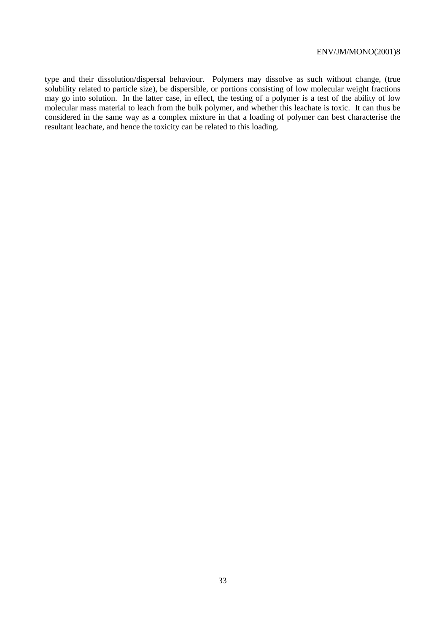type and their dissolution/dispersal behaviour. Polymers may dissolve as such without change, (true solubility related to particle size), be dispersible, or portions consisting of low molecular weight fractions may go into solution. In the latter case, in effect, the testing of a polymer is a test of the ability of low molecular mass material to leach from the bulk polymer, and whether this leachate is toxic. It can thus be considered in the same way as a complex mixture in that a loading of polymer can best characterise the resultant leachate, and hence the toxicity can be related to this loading.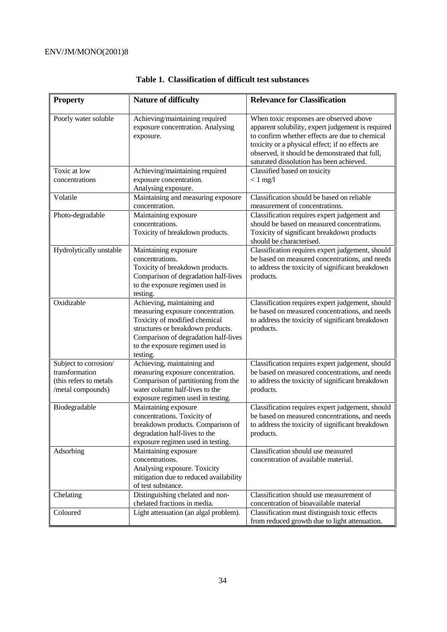| <b>Property</b>                                                                        | <b>Nature of difficulty</b>                                                                                                                                                                                                  | <b>Relevance for Classification</b>                                                                                                                                                                                                                                                              |
|----------------------------------------------------------------------------------------|------------------------------------------------------------------------------------------------------------------------------------------------------------------------------------------------------------------------------|--------------------------------------------------------------------------------------------------------------------------------------------------------------------------------------------------------------------------------------------------------------------------------------------------|
| Poorly water soluble                                                                   | Achieving/maintaining required<br>exposure concentration. Analysing<br>exposure.                                                                                                                                             | When toxic responses are observed above<br>apparent solubility, expert judgement is required<br>to confirm whether effects are due to chemical<br>toxicity or a physical effect; if no effects are<br>observed, it should be demonstrated that full,<br>saturated dissolution has been achieved. |
| Toxic at low<br>concentrations                                                         | Achieving/maintaining required<br>exposure concentration.<br>Analysing exposure.                                                                                                                                             | Classified based on toxicity<br>$< 1$ mg/l                                                                                                                                                                                                                                                       |
| Volatile                                                                               | Maintaining and measuring exposure<br>concentration.                                                                                                                                                                         | Classification should be based on reliable<br>measurement of concentrations.                                                                                                                                                                                                                     |
| Photo-degradable                                                                       | Maintaining exposure<br>concentrations.<br>Toxicity of breakdown products.                                                                                                                                                   | Classification requires expert judgement and<br>should be based on measured concentrations.<br>Toxicity of significant breakdown products<br>should be characterised.                                                                                                                            |
| Hydrolytically unstable                                                                | Maintaining exposure<br>concentrations.<br>Toxicity of breakdown products.<br>Comparison of degradation half-lives<br>to the exposure regimen used in<br>testing.                                                            | Classification requires expert judgement, should<br>be based on measured concentrations, and needs<br>to address the toxicity of significant breakdown<br>products.                                                                                                                              |
| Oxidizable                                                                             | Achieving, maintaining and<br>measuring exposure concentration.<br>Toxicity of modified chemical<br>structures or breakdown products.<br>Comparison of degradation half-lives<br>to the exposure regimen used in<br>testing. | Classification requires expert judgement, should<br>be based on measured concentrations, and needs<br>to address the toxicity of significant breakdown<br>products.                                                                                                                              |
| Subject to corrosion/<br>transformation<br>(this refers to metals<br>/metal compounds) | Achieving, maintaining and<br>measuring exposure concentration.<br>Comparison of partitioning from the<br>water column half-lives to the<br>exposure regimen used in testing.                                                | Classification requires expert judgement, should<br>be based on measured concentrations, and needs<br>to address the toxicity of significant breakdown<br>products.                                                                                                                              |
| Biodegradable                                                                          | Maintaining exposure<br>concentrations. Toxicity of<br>breakdown products. Comparison of<br>degradation half-lives to the<br>exposure regimen used in testing.                                                               | Classification requires expert judgement, should<br>be based on measured concentrations, and needs<br>to address the toxicity of significant breakdown<br>products.                                                                                                                              |
| Adsorbing                                                                              | Maintaining exposure<br>concentrations.<br>Analysing exposure. Toxicity<br>mitigation due to reduced availability<br>of test substance.                                                                                      | Classification should use measured<br>concentration of available material.                                                                                                                                                                                                                       |
| Chelating                                                                              | Distinguishing chelated and non-<br>chelated fractions in media.                                                                                                                                                             | Classification should use measurement of<br>concentration of bioavailable material                                                                                                                                                                                                               |
| Coloured                                                                               | Light attenuation (an algal problem).                                                                                                                                                                                        | Classification must distinguish toxic effects<br>from reduced growth due to light attenuation.                                                                                                                                                                                                   |

## **Table 1. Classification of difficult test substances**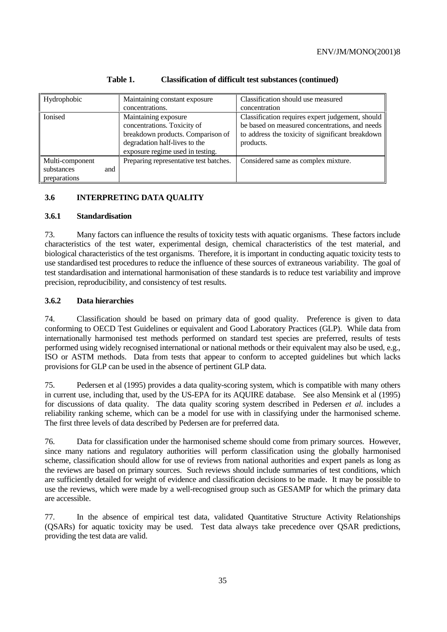| Hydrophobic       | Maintaining constant exposure          | Classification should use measured               |
|-------------------|----------------------------------------|--------------------------------------------------|
|                   | concentrations.                        | concentration                                    |
| Ionised           | Maintaining exposure                   | Classification requires expert judgement, should |
|                   | concentrations. Toxicity of            | be based on measured concentrations, and needs   |
|                   | breakdown products. Comparison of      | to address the toxicity of significant breakdown |
|                   | degradation half-lives to the          | products.                                        |
|                   | exposure regime used in testing.       |                                                  |
| Multi-component   | Preparing representative test batches. | Considered same as complex mixture.              |
| substances<br>and |                                        |                                                  |
| preparations      |                                        |                                                  |

#### **Table 1. Classification of difficult test substances (continued)**

#### **3.6 INTERPRETING DATA QUALITY**

#### **3.6.1 Standardisation**

73. Many factors can influence the results of toxicity tests with aquatic organisms. These factors include characteristics of the test water, experimental design, chemical characteristics of the test material, and biological characteristics of the test organisms. Therefore, it is important in conducting aquatic toxicity tests to use standardised test procedures to reduce the influence of these sources of extraneous variability. The goal of test standardisation and international harmonisation of these standards is to reduce test variability and improve precision, reproducibility, and consistency of test results.

#### **3.6.2 Data hierarchies**

74. Classification should be based on primary data of good quality. Preference is given to data conforming to OECD Test Guidelines or equivalent and Good Laboratory Practices (GLP). While data from internationally harmonised test methods performed on standard test species are preferred, results of tests performed using widely recognised international or national methods or their equivalent may also be used, e.g., ISO or ASTM methods. Data from tests that appear to conform to accepted guidelines but which lacks provisions for GLP can be used in the absence of pertinent GLP data.

75. Pedersen et al (1995) provides a data quality-scoring system, which is compatible with many others in current use, including that, used by the US-EPA for its AQUIRE database. See also Mensink et al (1995) for discussions of data quality. The data quality scoring system described in Pedersen *et al*. includes a reliability ranking scheme, which can be a model for use with in classifying under the harmonised scheme. The first three levels of data described by Pedersen are for preferred data.

76. Data for classification under the harmonised scheme should come from primary sources. However, since many nations and regulatory authorities will perform classification using the globally harmonised scheme, classification should allow for use of reviews from national authorities and expert panels as long as the reviews are based on primary sources. Such reviews should include summaries of test conditions, which are sufficiently detailed for weight of evidence and classification decisions to be made. It may be possible to use the reviews, which were made by a well-recognised group such as GESAMP for which the primary data are accessible.

77. In the absence of empirical test data, validated Quantitative Structure Activity Relationships (QSARs) for aquatic toxicity may be used. Test data always take precedence over QSAR predictions, providing the test data are valid.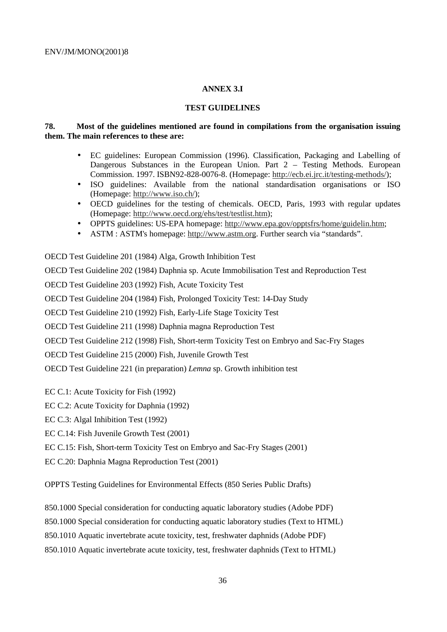#### **ANNEX 3.I**

#### **TEST GUIDELINES**

#### **78. Most of the guidelines mentioned are found in compilations from the organisation issuing them. The main references to these are:**

- EC guidelines: European Commission (1996). Classification, Packaging and Labelling of Dangerous Substances in the European Union. Part 2 – Testing Methods. European Commission. 1997. ISBN92-828-0076-8. (Homepage: http://ecb.ei.jrc.it/testing-methods/);
- ISO guidelines: Available from the national standardisation organisations or ISO (Homepage: http://www.iso.ch/);
- OECD guidelines for the testing of chemicals. OECD, Paris, 1993 with regular updates (Homepage: http://www.oecd.org/ehs/test/testlist.htm);
- OPPTS guidelines: US-EPA homepage: http://www.epa.gov/opptsfrs/home/guidelin.htm;
- ASTM : ASTM's homepage: http://www.astm.org. Further search via "standards".

OECD Test Guideline 201 (1984) Alga, Growth Inhibition Test

OECD Test Guideline 202 (1984) Daphnia sp. Acute Immobilisation Test and Reproduction Test

OECD Test Guideline 203 (1992) Fish, Acute Toxicity Test

OECD Test Guideline 204 (1984) Fish, Prolonged Toxicity Test: 14-Day Study

OECD Test Guideline 210 (1992) Fish, Early-Life Stage Toxicity Test

OECD Test Guideline 211 (1998) Daphnia magna Reproduction Test

OECD Test Guideline 212 (1998) Fish, Short-term Toxicity Test on Embryo and Sac-Fry Stages

OECD Test Guideline 215 (2000) Fish, Juvenile Growth Test

OECD Test Guideline 221 (in preparation) *Lemna* sp. Growth inhibition test

EC C.1: Acute Toxicity for Fish (1992)

EC C.2: Acute Toxicity for Daphnia (1992)

EC C.3: Algal Inhibition Test (1992)

EC C.14: Fish Juvenile Growth Test (2001)

EC C.15: Fish, Short-term Toxicity Test on Embryo and Sac-Fry Stages (2001)

EC C.20: Daphnia Magna Reproduction Test (2001)

OPPTS Testing Guidelines for Environmental Effects (850 Series Public Drafts)

850.1000 Special consideration for conducting aquatic laboratory studies (Adobe PDF)

850.1000 Special consideration for conducting aquatic laboratory studies (Text to HTML)

850.1010 Aquatic invertebrate acute toxicity, test, freshwater daphnids (Adobe PDF)

850.1010 Aquatic invertebrate acute toxicity, test, freshwater daphnids (Text to HTML)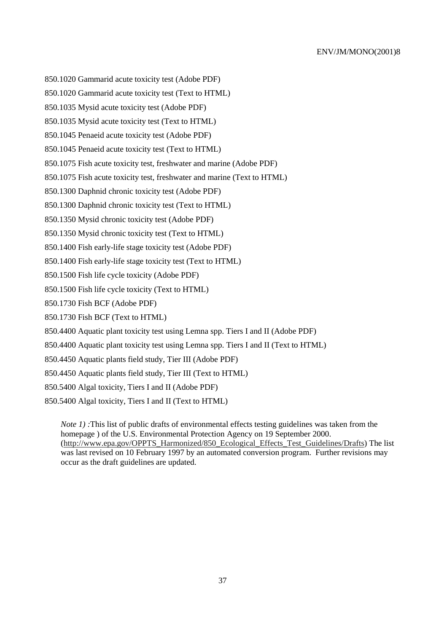850.1020 Gammarid acute toxicity test (Adobe PDF)

850.1020 Gammarid acute toxicity test (Text to HTML)

850.1035 Mysid acute toxicity test (Adobe PDF)

850.1035 Mysid acute toxicity test (Text to HTML)

850.1045 Penaeid acute toxicity test (Adobe PDF)

850.1045 Penaeid acute toxicity test (Text to HTML)

850.1075 Fish acute toxicity test, freshwater and marine (Adobe PDF)

850.1075 Fish acute toxicity test, freshwater and marine (Text to HTML)

850.1300 Daphnid chronic toxicity test (Adobe PDF)

850.1300 Daphnid chronic toxicity test (Text to HTML)

850.1350 Mysid chronic toxicity test (Adobe PDF)

850.1350 Mysid chronic toxicity test (Text to HTML)

850.1400 Fish early-life stage toxicity test (Adobe PDF)

850.1400 Fish early-life stage toxicity test (Text to HTML)

850.1500 Fish life cycle toxicity (Adobe PDF)

850.1500 Fish life cycle toxicity (Text to HTML)

850.1730 Fish BCF (Adobe PDF)

850.1730 Fish BCF (Text to HTML)

850.4400 Aquatic plant toxicity test using Lemna spp. Tiers I and II (Adobe PDF)

850.4400 Aquatic plant toxicity test using Lemna spp. Tiers I and II (Text to HTML)

850.4450 Aquatic plants field study, Tier III (Adobe PDF)

850.4450 Aquatic plants field study, Tier III (Text to HTML)

850.5400 Algal toxicity, Tiers I and II (Adobe PDF)

850.5400 Algal toxicity, Tiers I and II (Text to HTML)

*Note 1*): This list of public drafts of environmental effects testing guidelines was taken from the homepage ) of the U.S. Environmental Protection Agency on 19 September 2000. (http://www.epa.gov/OPPTS\_Harmonized/850\_Ecological\_Effects\_Test\_Guidelines/Drafts) The list was last revised on 10 February 1997 by an automated conversion program. Further revisions may occur as the draft guidelines are updated.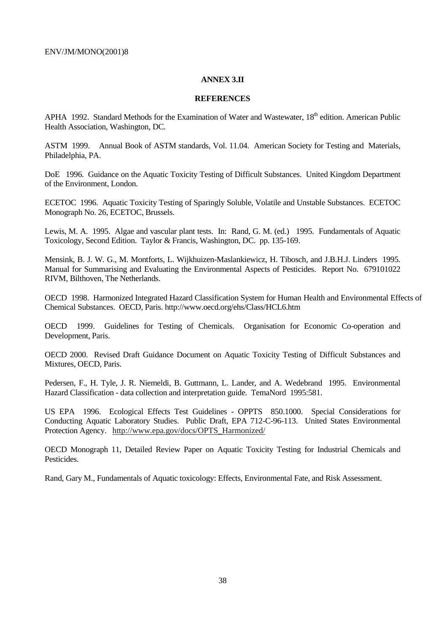## **ANNEX 3.II**

#### **REFERENCES**

APHA 1992. Standard Methods for the Examination of Water and Wastewater, 18<sup>th</sup> edition. American Public Health Association, Washington, DC.

ASTM 1999. Annual Book of ASTM standards, Vol. 11.04. American Society for Testing and Materials, Philadelphia, PA.

DoE 1996. Guidance on the Aquatic Toxicity Testing of Difficult Substances. United Kingdom Department of the Environment, London.

ECETOC 1996. Aquatic Toxicity Testing of Sparingly Soluble, Volatile and Unstable Substances. ECETOC Monograph No. 26, ECETOC, Brussels.

Lewis, M. A. 1995. Algae and vascular plant tests. In: Rand, G. M. (ed.) 1995. Fundamentals of Aquatic Toxicology, Second Edition. Taylor & Francis, Washington, DC. pp. 135-169.

Mensink, B. J. W. G., M. Montforts, L. Wijkhuizen-Maslankiewicz, H. Tibosch, and J.B.H.J. Linders 1995. Manual for Summarising and Evaluating the Environmental Aspects of Pesticides. Report No. 679101022 RIVM, Bilthoven, The Netherlands.

OECD 1998. Harmonized Integrated Hazard Classification System for Human Health and Environmental Effects of Chemical Substances. OECD, Paris. http://www.oecd.org/ehs/Class/HCL6.htm

OECD 1999. Guidelines for Testing of Chemicals. Organisation for Economic Co-operation and Development, Paris.

OECD 2000. Revised Draft Guidance Document on Aquatic Toxicity Testing of Difficult Substances and Mixtures, OECD, Paris.

Pedersen, F., H. Tyle, J. R. Niemeldi, B. Guttmann, L. Lander, and A. Wedebrand 1995. Environmental Hazard Classification - data collection and interpretation guide. TemaNord 1995:581.

US EPA 1996. Ecological Effects Test Guidelines - OPPTS 850.1000. Special Considerations for Conducting Aquatic Laboratory Studies. Public Draft, EPA 712-C-96-113. United States Environmental Protection Agency. http://www.epa.gov/docs/OPTS\_Harmonized/

OECD Monograph 11, Detailed Review Paper on Aquatic Toxicity Testing for Industrial Chemicals and Pesticides.

Rand, Gary M., Fundamentals of Aquatic toxicology: Effects, Environmental Fate, and Risk Assessment.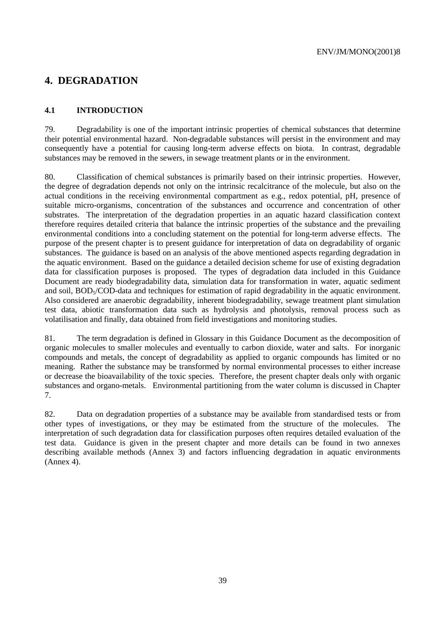# **4. DEGRADATION**

# **4.1 INTRODUCTION**

79. Degradability is one of the important intrinsic properties of chemical substances that determine their potential environmental hazard. Non-degradable substances will persist in the environment and may consequently have a potential for causing long-term adverse effects on biota. In contrast, degradable substances may be removed in the sewers, in sewage treatment plants or in the environment.

80. Classification of chemical substances is primarily based on their intrinsic properties. However, the degree of degradation depends not only on the intrinsic recalcitrance of the molecule, but also on the actual conditions in the receiving environmental compartment as e.g., redox potential, pH, presence of suitable micro-organisms, concentration of the substances and occurrence and concentration of other substrates. The interpretation of the degradation properties in an aquatic hazard classification context therefore requires detailed criteria that balance the intrinsic properties of the substance and the prevailing environmental conditions into a concluding statement on the potential for long-term adverse effects. The purpose of the present chapter is to present guidance for interpretation of data on degradability of organic substances. The guidance is based on an analysis of the above mentioned aspects regarding degradation in the aquatic environment. Based on the guidance a detailed decision scheme for use of existing degradation data for classification purposes is proposed. The types of degradation data included in this Guidance Document are ready biodegradability data, simulation data for transformation in water, aquatic sediment and soil, BOD<sub>5</sub>/COD-data and techniques for estimation of rapid degradability in the aquatic environment. Also considered are anaerobic degradability, inherent biodegradability, sewage treatment plant simulation test data, abiotic transformation data such as hydrolysis and photolysis, removal process such as volatilisation and finally, data obtained from field investigations and monitoring studies.

81. The term degradation is defined in Glossary in this Guidance Document as the decomposition of organic molecules to smaller molecules and eventually to carbon dioxide, water and salts. For inorganic compounds and metals, the concept of degradability as applied to organic compounds has limited or no meaning. Rather the substance may be transformed by normal environmental processes to either increase or decrease the bioavailability of the toxic species. Therefore, the present chapter deals only with organic substances and organo-metals. Environmental partitioning from the water column is discussed in Chapter 7.

82. Data on degradation properties of a substance may be available from standardised tests or from other types of investigations, or they may be estimated from the structure of the molecules. The interpretation of such degradation data for classification purposes often requires detailed evaluation of the test data. Guidance is given in the present chapter and more details can be found in two annexes describing available methods (Annex 3) and factors influencing degradation in aquatic environments (Annex 4).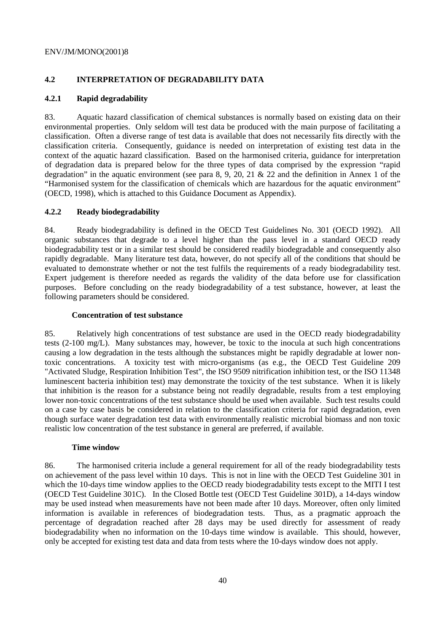# **4.2 INTERPRETATION OF DEGRADABILITY DATA**

## **4.2.1 Rapid degradability**

83. Aquatic hazard classification of chemical substances is normally based on existing data on their environmental properties. Only seldom will test data be produced with the main purpose of facilitating a classification. Often a diverse range of test data is available that does not necessarily fits directly with the classification criteria. Consequently, guidance is needed on interpretation of existing test data in the context of the aquatic hazard classification. Based on the harmonised criteria, guidance for interpretation of degradation data is prepared below for the three types of data comprised by the expression "rapid degradation" in the aquatic environment (see para 8, 9, 20, 21  $\&$  22 and the definition in Annex 1 of the "Harmonised system for the classification of chemicals which are hazardous for the aquatic environment" (OECD, 1998), which is attached to this Guidance Document as Appendix).

# **4.2.2 Ready biodegradability**

84. Ready biodegradability is defined in the OECD Test Guidelines No. 301 (OECD 1992). All organic substances that degrade to a level higher than the pass level in a standard OECD ready biodegradability test or in a similar test should be considered readily biodegradable and consequently also rapidly degradable. Many literature test data, however, do not specify all of the conditions that should be evaluated to demonstrate whether or not the test fulfils the requirements of a ready biodegradability test. Expert judgement is therefore needed as regards the validity of the data before use for classification purposes. Before concluding on the ready biodegradability of a test substance, however, at least the following parameters should be considered.

#### **Concentration of test substance**

85. Relatively high concentrations of test substance are used in the OECD ready biodegradability tests (2-100 mg/L). Many substances may, however, be toxic to the inocula at such high concentrations causing a low degradation in the tests although the substances might be rapidly degradable at lower nontoxic concentrations. A toxicity test with micro-organisms (as e.g., the OECD Test Guideline 209 "Activated Sludge, Respiration Inhibition Test", the ISO 9509 nitrification inhibition test, or the ISO 11348 luminescent bacteria inhibition test) may demonstrate the toxicity of the test substance. When it is likely that inhibition is the reason for a substance being not readily degradable, results from a test employing lower non-toxic concentrations of the test substance should be used when available. Such test results could on a case by case basis be considered in relation to the classification criteria for rapid degradation, even though surface water degradation test data with environmentally realistic microbial biomass and non toxic realistic low concentration of the test substance in general are preferred, if available.

## **Time window**

86. The harmonised criteria include a general requirement for all of the ready biodegradability tests on achievement of the pass level within 10 days. This is not in line with the OECD Test Guideline 301 in which the 10-days time window applies to the OECD ready biodegradability tests except to the MITI I test (OECD Test Guideline 301C). In the Closed Bottle test (OECD Test Guideline 301D), a 14-days window may be used instead when measurements have not been made after 10 days. Moreover, often only limited information is available in references of biodegradation tests. Thus, as a pragmatic approach the percentage of degradation reached after 28 days may be used directly for assessment of ready biodegradability when no information on the 10-days time window is available. This should, however, only be accepted for existing test data and data from tests where the 10-days window does not apply.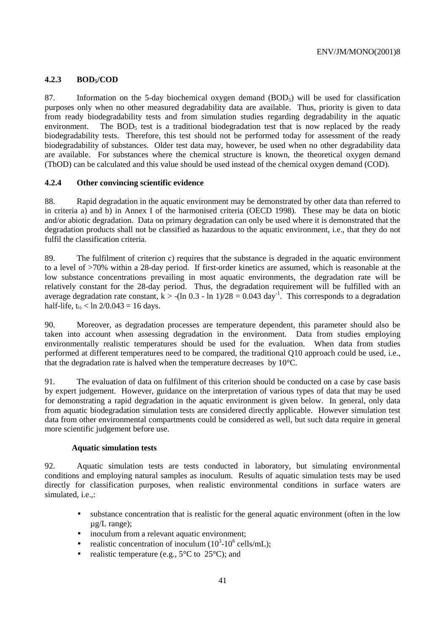# **4.2.3 BOD5/COD**

87. Information on the 5-day biochemical oxygen demand  $(BOD<sub>5</sub>)$  will be used for classification purposes only when no other measured degradability data are available. Thus, priority is given to data from ready biodegradability tests and from simulation studies regarding degradability in the aquatic environment. The BOD<sub>5</sub> test is a traditional biodegradation test that is now replaced by the ready biodegradability tests. Therefore, this test should not be performed today for assessment of the ready biodegradability of substances. Older test data may, however, be used when no other degradability data are available. For substances where the chemical structure is known, the theoretical oxygen demand (ThOD) can be calculated and this value should be used instead of the chemical oxygen demand (COD).

## **4.2.4 Other convincing scientific evidence**

88. Rapid degradation in the aquatic environment may be demonstrated by other data than referred to in criteria a) and b) in Annex I of the harmonised criteria (OECD 1998). These may be data on biotic and/or abiotic degradation. Data on primary degradation can only be used where it is demonstrated that the degradation products shall not be classified as hazardous to the aquatic environment, i.e., that they do not fulfil the classification criteria.

89. The fulfilment of criterion c) requires that the substance is degraded in the aquatic environment to a level of >70% within a 28-day period. If first-order kinetics are assumed, which is reasonable at the low substance concentrations prevailing in most aquatic environments, the degradation rate will be relatively constant for the 28-day period. Thus, the degradation requirement will be fulfilled with an average degradation rate constant,  $k > -(ln 0.3 - ln 1)/28 = 0.043$  day<sup>-1</sup>. This corresponds to a degradation half-life,  $t_{1/2}$  < ln 2/0.043 = 16 days.

90. Moreover, as degradation processes are temperature dependent, this parameter should also be taken into account when assessing degradation in the environment. Data from studies employing environmentally realistic temperatures should be used for the evaluation. When data from studies performed at different temperatures need to be compared, the traditional Q10 approach could be used, i.e., that the degradation rate is halved when the temperature decreases by 10°C.

91. The evaluation of data on fulfilment of this criterion should be conducted on a case by case basis by expert judgement. However, guidance on the interpretation of various types of data that may be used for demonstrating a rapid degradation in the aquatic environment is given below. In general, only data from aquatic biodegradation simulation tests are considered directly applicable. However simulation test data from other environmental compartments could be considered as well, but such data require in general more scientific judgement before use.

#### **Aquatic simulation tests**

92. Aquatic simulation tests are tests conducted in laboratory, but simulating environmental conditions and employing natural samples as inoculum. Results of aquatic simulation tests may be used directly for classification purposes, when realistic environmental conditions in surface waters are simulated, i.e.,:

- substance concentration that is realistic for the general aquatic environment (often in the low µg/L range);
- inoculum from a relevant aquatic environment;
- realistic concentration of inoculum  $(10^3 \text{-} 10^6 \text{ cells/mL});$
- realistic temperature (e.g.,  $5^{\circ}$ C to 25 $^{\circ}$ C); and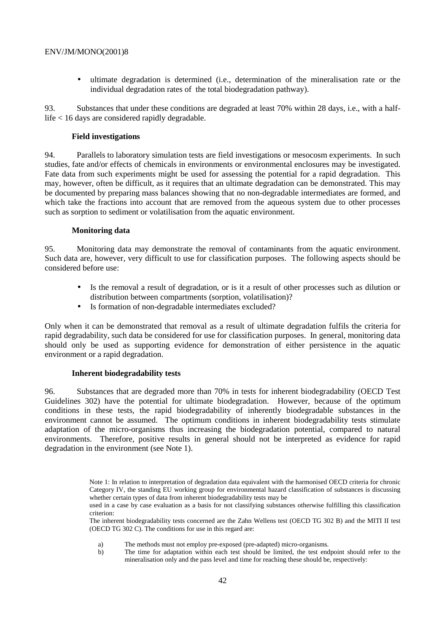• ultimate degradation is determined (i.e., determination of the mineralisation rate or the individual degradation rates of the total biodegradation pathway).

93. Substances that under these conditions are degraded at least 70% within 28 days, i.e., with a halflife < 16 days are considered rapidly degradable.

#### **Field investigations**

94. Parallels to laboratory simulation tests are field investigations or mesocosm experiments. In such studies, fate and/or effects of chemicals in environments or environmental enclosures may be investigated. Fate data from such experiments might be used for assessing the potential for a rapid degradation. This may, however, often be difficult, as it requires that an ultimate degradation can be demonstrated. This may be documented by preparing mass balances showing that no non-degradable intermediates are formed, and which take the fractions into account that are removed from the aqueous system due to other processes such as sorption to sediment or volatilisation from the aquatic environment.

#### **Monitoring data**

95. Monitoring data may demonstrate the removal of contaminants from the aquatic environment. Such data are, however, very difficult to use for classification purposes. The following aspects should be considered before use:

- Is the removal a result of degradation, or is it a result of other processes such as dilution or distribution between compartments (sorption, volatilisation)?
- Is formation of non-degradable intermediates excluded?

Only when it can be demonstrated that removal as a result of ultimate degradation fulfils the criteria for rapid degradability, such data be considered for use for classification purposes. In general, monitoring data should only be used as supporting evidence for demonstration of either persistence in the aquatic environment or a rapid degradation.

#### **Inherent biodegradability tests**

96. Substances that are degraded more than 70% in tests for inherent biodegradability (OECD Test Guidelines 302) have the potential for ultimate biodegradation. However, because of the optimum conditions in these tests, the rapid biodegradability of inherently biodegradable substances in the environment cannot be assumed. The optimum conditions in inherent biodegradability tests stimulate adaptation of the micro-organisms thus increasing the biodegradation potential, compared to natural environments. Therefore, positive results in general should not be interpreted as evidence for rapid degradation in the environment (see Note 1).

The inherent biodegradability tests concerned are the Zahn Wellens test (OECD TG 302 B) and the MITI II test (OECD TG 302 C). The conditions for use in this regard are:

- a) The methods must not employ pre-exposed (pre-adapted) micro-organisms.
- b) The time for adaptation within each test should be limited, the test endpoint should refer to the mineralisation only and the pass level and time for reaching these should be, respectively:

Note 1: In relation to interpretation of degradation data equivalent with the harmonised OECD criteria for chronic Category IV, the standing EU working group for environmental hazard classification of substances is discussing whether certain types of data from inherent biodegradability tests may be

used in a case by case evaluation as a basis for not classifying substances otherwise fulfilling this classification criterion: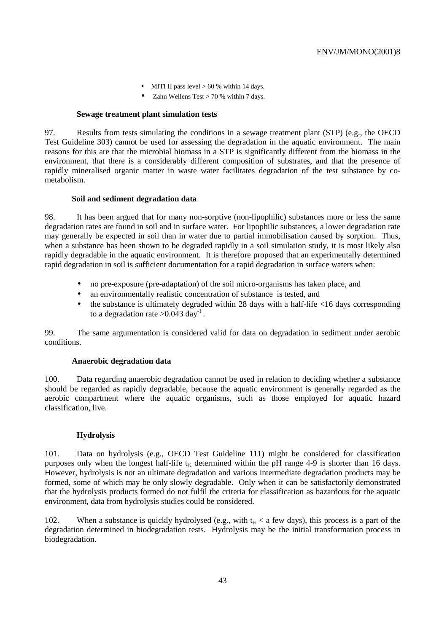- MITI II pass level  $> 60$  % within 14 days.
- Zahn Wellens Test  $> 70$  % within 7 days.

#### **Sewage treatment plant simulation tests**

97. Results from tests simulating the conditions in a sewage treatment plant (STP) (e.g., the OECD Test Guideline 303) cannot be used for assessing the degradation in the aquatic environment. The main reasons for this are that the microbial biomass in a STP is significantly different from the biomass in the environment, that there is a considerably different composition of substrates, and that the presence of rapidly mineralised organic matter in waste water facilitates degradation of the test substance by cometabolism.

#### **Soil and sediment degradation data**

98. It has been argued that for many non-sorptive (non-lipophilic) substances more or less the same degradation rates are found in soil and in surface water. For lipophilic substances, a lower degradation rate may generally be expected in soil than in water due to partial immobilisation caused by sorption. Thus, when a substance has been shown to be degraded rapidly in a soil simulation study, it is most likely also rapidly degradable in the aquatic environment. It is therefore proposed that an experimentally determined rapid degradation in soil is sufficient documentation for a rapid degradation in surface waters when:

- no pre-exposure (pre-adaptation) of the soil micro-organisms has taken place, and
- an environmentally realistic concentration of substance is tested, and
- the substance is ultimately degraded within 28 days with a half-life  $\leq 16$  days corresponding to a degradation rate  $>0.043$  day<sup>-1</sup>.

99. The same argumentation is considered valid for data on degradation in sediment under aerobic conditions.

## **Anaerobic degradation data**

100. Data regarding anaerobic degradation cannot be used in relation to deciding whether a substance should be regarded as rapidly degradable, because the aquatic environment is generally regarded as the aerobic compartment where the aquatic organisms, such as those employed for aquatic hazard classification, live.

## **Hydrolysis**

101. Data on hydrolysis (e.g., OECD Test Guideline 111) might be considered for classification purposes only when the longest half-life  $t_{1/2}$  determined within the pH range 4-9 is shorter than 16 days. However, hydrolysis is not an ultimate degradation and various intermediate degradation products may be formed, some of which may be only slowly degradable. Only when it can be satisfactorily demonstrated that the hydrolysis products formed do not fulfil the criteria for classification as hazardous for the aquatic environment, data from hydrolysis studies could be considered.

When a substance is quickly hydrolysed (e.g., with  $t_{\gamma} < a$  few days), this process is a part of the degradation determined in biodegradation tests. Hydrolysis may be the initial transformation process in biodegradation.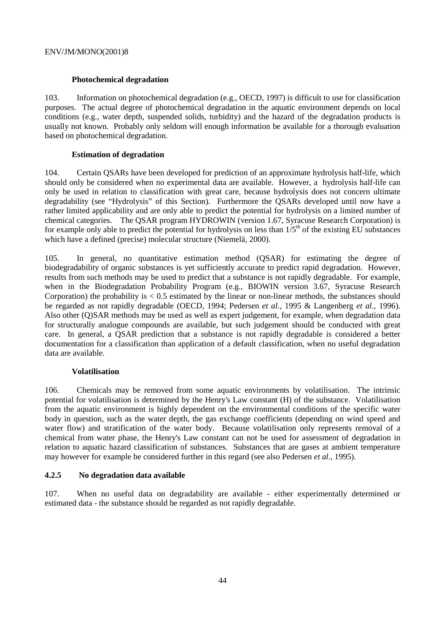## **Photochemical degradation**

103. Information on photochemical degradation (e.g., OECD, 1997) is difficult to use for classification purposes. The actual degree of photochemical degradation in the aquatic environment depends on local conditions (e.g., water depth, suspended solids, turbidity) and the hazard of the degradation products is usually not known. Probably only seldom will enough information be available for a thorough evaluation based on photochemical degradation.

#### **Estimation of degradation**

104. Certain QSARs have been developed for prediction of an approximate hydrolysis half-life, which should only be considered when no experimental data are available. However, a hydrolysis half-life can only be used in relation to classification with great care, because hydrolysis does not concern ultimate degradability (see "Hydrolysis" of this Section). Furthermore the QSARs developed until now have a rather limited applicability and are only able to predict the potential for hydrolysis on a limited number of chemical categories. The QSAR program HYDROWIN (version 1.67, Syracuse Research Corporation) is for example only able to predict the potential for hydrolysis on less than  $1/5<sup>th</sup>$  of the existing EU substances which have a defined (precise) molecular structure (Niemelä, 2000).

105. In general, no quantitative estimation method (QSAR) for estimating the degree of biodegradability of organic substances is yet sufficiently accurate to predict rapid degradation. However, results from such methods may be used to predict that a substance is not rapidly degradable. For example, when in the Biodegradation Probability Program (e.g., BIOWIN version 3.67, Syracuse Research Corporation) the probability is  $< 0.5$  estimated by the linear or non-linear methods, the substances should be regarded as not rapidly degradable (OECD, 1994; Pedersen *et al.*, 1995 & Langenberg *et al.*, 1996). Also other (Q)SAR methods may be used as well as expert judgement, for example, when degradation data for structurally analogue compounds are available, but such judgement should be conducted with great care. In general, a QSAR prediction that a substance is not rapidly degradable is considered a better documentation for a classification than application of a default classification, when no useful degradation data are available.

#### **Volatilisation**

106. Chemicals may be removed from some aquatic environments by volatilisation. The intrinsic potential for volatilisation is determined by the Henry's Law constant (H) of the substance. Volatilisation from the aquatic environment is highly dependent on the environmental conditions of the specific water body in question, such as the water depth, the gas exchange coefficients (depending on wind speed and water flow) and stratification of the water body. Because volatilisation only represents removal of a chemical from water phase, the Henry's Law constant can not be used for assessment of degradation in relation to aquatic hazard classification of substances. Substances that are gases at ambient temperature may however for example be considered further in this regard (see also Pedersen *et al.*, 1995).

## **4.2.5 No degradation data available**

107. When no useful data on degradability are available - either experimentally determined or estimated data - the substance should be regarded as not rapidly degradable.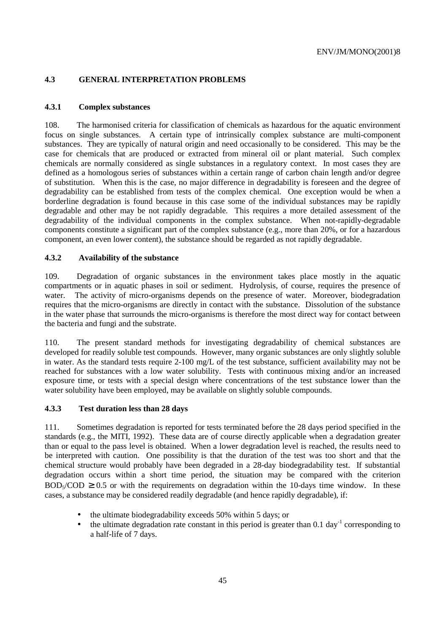# **4.3 GENERAL INTERPRETATION PROBLEMS**

#### **4.3.1 Complex substances**

108. The harmonised criteria for classification of chemicals as hazardous for the aquatic environment focus on single substances. A certain type of intrinsically complex substance are multi-component substances. They are typically of natural origin and need occasionally to be considered. This may be the case for chemicals that are produced or extracted from mineral oil or plant material. Such complex chemicals are normally considered as single substances in a regulatory context. In most cases they are defined as a homologous series of substances within a certain range of carbon chain length and/or degree of substitution. When this is the case, no major difference in degradability is foreseen and the degree of degradability can be established from tests of the complex chemical. One exception would be when a borderline degradation is found because in this case some of the individual substances may be rapidly degradable and other may be not rapidly degradable. This requires a more detailed assessment of the degradability of the individual components in the complex substance. When not-rapidly-degradable components constitute a significant part of the complex substance (e.g., more than 20%, or for a hazardous component, an even lower content), the substance should be regarded as not rapidly degradable.

#### **4.3.2 Availability of the substance**

109. Degradation of organic substances in the environment takes place mostly in the aquatic compartments or in aquatic phases in soil or sediment. Hydrolysis, of course, requires the presence of water. The activity of micro-organisms depends on the presence of water. Moreover, biodegradation requires that the micro-organisms are directly in contact with the substance. Dissolution of the substance in the water phase that surrounds the micro-organisms is therefore the most direct way for contact between the bacteria and fungi and the substrate.

110. The present standard methods for investigating degradability of chemical substances are developed for readily soluble test compounds. However, many organic substances are only slightly soluble in water. As the standard tests require 2-100 mg/L of the test substance, sufficient availability may not be reached for substances with a low water solubility. Tests with continuous mixing and/or an increased exposure time, or tests with a special design where concentrations of the test substance lower than the water solubility have been employed, may be available on slightly soluble compounds.

## **4.3.3 Test duration less than 28 days**

111. Sometimes degradation is reported for tests terminated before the 28 days period specified in the standards (e.g., the MITI, 1992). These data are of course directly applicable when a degradation greater than or equal to the pass level is obtained. When a lower degradation level is reached, the results need to be interpreted with caution. One possibility is that the duration of the test was too short and that the chemical structure would probably have been degraded in a 28-day biodegradability test. If substantial degradation occurs within a short time period, the situation may be compared with the criterion  $BOD<sub>5</sub>/COD \ge 0.5$  or with the requirements on degradation within the 10-days time window. In these cases, a substance may be considered readily degradable (and hence rapidly degradable), if:

- the ultimate biodegradability exceeds 50% within 5 days; or
- the ultimate degradation rate constant in this period is greater than  $0.1 \text{ day}^{-1}$  corresponding to a half-life of 7 days.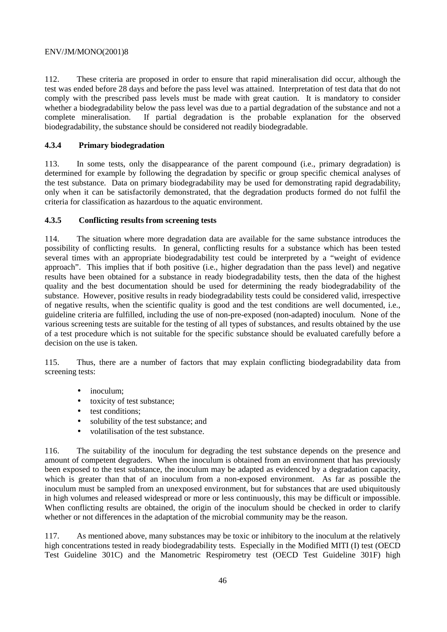112. These criteria are proposed in order to ensure that rapid mineralisation did occur, although the test was ended before 28 days and before the pass level was attained. Interpretation of test data that do not comply with the prescribed pass levels must be made with great caution. It is mandatory to consider whether a biodegradability below the pass level was due to a partial degradation of the substance and not a complete mineralisation. If partial degradation is the probable explanation for the observed biodegradability, the substance should be considered not readily biodegradable.

# **4.3.4 Primary biodegradation**

113. In some tests, only the disappearance of the parent compound (i.e., primary degradation) is determined for example by following the degradation by specific or group specific chemical analyses of the test substance. Data on primary biodegradability may be used for demonstrating rapid degradability. only when it can be satisfactorily demonstrated, that the degradation products formed do not fulfil the criteria for classification as hazardous to the aquatic environment.

# **4.3.5 Conflicting results from screening tests**

114. The situation where more degradation data are available for the same substance introduces the possibility of conflicting results. In general, conflicting results for a substance which has been tested several times with an appropriate biodegradability test could be interpreted by a "weight of evidence approach". This implies that if both positive (i.e., higher degradation than the pass level) and negative results have been obtained for a substance in ready biodegradability tests, then the data of the highest quality and the best documentation should be used for determining the ready biodegradability of the substance. However, positive results in ready biodegradability tests could be considered valid, irrespective of negative results, when the scientific quality is good and the test conditions are well documented, i.e., guideline criteria are fulfilled, including the use of non-pre-exposed (non-adapted) inoculum. None of the various screening tests are suitable for the testing of all types of substances, and results obtained by the use of a test procedure which is not suitable for the specific substance should be evaluated carefully before a decision on the use is taken.

115. Thus, there are a number of factors that may explain conflicting biodegradability data from screening tests:

- inoculum:
- toxicity of test substance;
- test conditions;
- solubility of the test substance; and
- volatilisation of the test substance.

116. The suitability of the inoculum for degrading the test substance depends on the presence and amount of competent degraders. When the inoculum is obtained from an environment that has previously been exposed to the test substance, the inoculum may be adapted as evidenced by a degradation capacity, which is greater than that of an inoculum from a non-exposed environment. As far as possible the inoculum must be sampled from an unexposed environment, but for substances that are used ubiquitously in high volumes and released widespread or more or less continuously, this may be difficult or impossible. When conflicting results are obtained, the origin of the inoculum should be checked in order to clarify whether or not differences in the adaptation of the microbial community may be the reason.

117. As mentioned above, many substances may be toxic or inhibitory to the inoculum at the relatively high concentrations tested in ready biodegradability tests. Especially in the Modified MITI (I) test (OECD Test Guideline 301C) and the Manometric Respirometry test (OECD Test Guideline 301F) high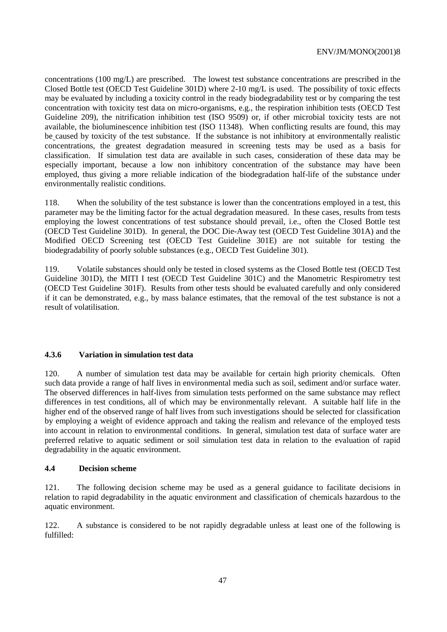concentrations (100 mg/L) are prescribed. The lowest test substance concentrations are prescribed in the Closed Bottle test (OECD Test Guideline 301D) where 2-10 mg/L is used. The possibility of toxic effects may be evaluated by including a toxicity control in the ready biodegradability test or by comparing the test concentration with toxicity test data on micro-organisms, e.g., the respiration inhibition tests (OECD Test Guideline 209), the nitrification inhibition test (ISO 9509) or, if other microbial toxicity tests are not available, the bioluminescence inhibition test (ISO 11348). When conflicting results are found, this may be caused by toxicity of the test substance. If the substance is not inhibitory at environmentally realistic concentrations, the greatest degradation measured in screening tests may be used as a basis for classification. If simulation test data are available in such cases, consideration of these data may be especially important, because a low non inhibitory concentration of the substance may have been employed, thus giving a more reliable indication of the biodegradation half-life of the substance under environmentally realistic conditions.

118. When the solubility of the test substance is lower than the concentrations employed in a test, this parameter may be the limiting factor for the actual degradation measured. In these cases, results from tests employing the lowest concentrations of test substance should prevail, i.e., often the Closed Bottle test (OECD Test Guideline 301D). In general, the DOC Die-Away test (OECD Test Guideline 301A) and the Modified OECD Screening test (OECD Test Guideline 301E) are not suitable for testing the biodegradability of poorly soluble substances (e.g., OECD Test Guideline 301).

119. Volatile substances should only be tested in closed systems as the Closed Bottle test (OECD Test Guideline 301D), the MITI I test (OECD Test Guideline 301C) and the Manometric Respirometry test (OECD Test Guideline 301F). Results from other tests should be evaluated carefully and only considered if it can be demonstrated, e.g., by mass balance estimates, that the removal of the test substance is not a result of volatilisation.

## **4.3.6 Variation in simulation test data**

120. A number of simulation test data may be available for certain high priority chemicals. Often such data provide a range of half lives in environmental media such as soil, sediment and/or surface water. The observed differences in half-lives from simulation tests performed on the same substance may reflect differences in test conditions, all of which may be environmentally relevant. A suitable half life in the higher end of the observed range of half lives from such investigations should be selected for classification by employing a weight of evidence approach and taking the realism and relevance of the employed tests into account in relation to environmental conditions. In general, simulation test data of surface water are preferred relative to aquatic sediment or soil simulation test data in relation to the evaluation of rapid degradability in the aquatic environment.

#### **4.4 Decision scheme**

121. The following decision scheme may be used as a general guidance to facilitate decisions in relation to rapid degradability in the aquatic environment and classification of chemicals hazardous to the aquatic environment.

122. A substance is considered to be not rapidly degradable unless at least one of the following is fulfilled: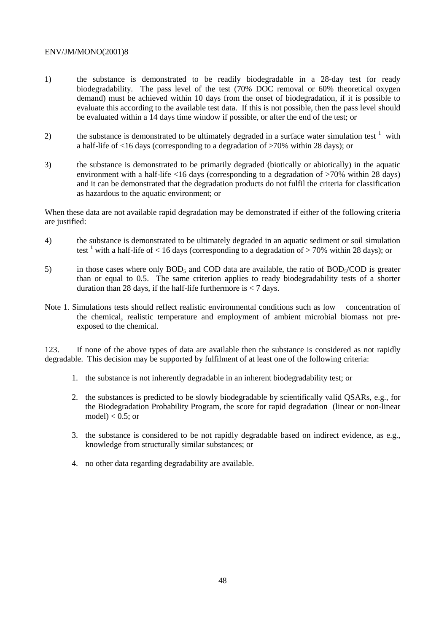- 1) the substance is demonstrated to be readily biodegradable in a 28-day test for ready biodegradability. The pass level of the test (70% DOC removal or 60% theoretical oxygen demand) must be achieved within 10 days from the onset of biodegradation, if it is possible to evaluate this according to the available test data. If this is not possible, then the pass level should be evaluated within a 14 days time window if possible, or after the end of the test; or
- 2) the substance is demonstrated to be ultimately degraded in a surface water simulation test  $\frac{1}{1}$  with a half-life of <16 days (corresponding to a degradation of >70% within 28 days); or
	- 3) the substance is demonstrated to be primarily degraded (biotically or abiotically) in the aquatic environment with a half-life  $\langle 16 \text{ days} \rangle$  (corresponding to a degradation of  $>70\%$  within 28 days) and it can be demonstrated that the degradation products do not fulfil the criteria for classification as hazardous to the aquatic environment; or

When these data are not available rapid degradation may be demonstrated if either of the following criteria are justified:

- 4) the substance is demonstrated to be ultimately degraded in an aquatic sediment or soil simulation test <sup>1</sup> with a half-life of < 16 days (corresponding to a degradation of > 70% within 28 days); or
- 5) in those cases where only  $BOD<sub>5</sub>$  and COD data are available, the ratio of  $BOD<sub>5</sub>/COD$  is greater than or equal to 0.5. The same criterion applies to ready biodegradability tests of a shorter duration than 28 days, if the half-life furthermore is  $<$  7 days.
- Note 1. Simulations tests should reflect realistic environmental conditions such as low concentration of the chemical, realistic temperature and employment of ambient microbial biomass not preexposed to the chemical.

123. If none of the above types of data are available then the substance is considered as not rapidly degradable. This decision may be supported by fulfilment of at least one of the following criteria:

- 1. the substance is not inherently degradable in an inherent biodegradability test; or
- 2. the substances is predicted to be slowly biodegradable by scientifically valid QSARs, e.g., for the Biodegradation Probability Program, the score for rapid degradation (linear or non-linear model)  $< 0.5$ ; or
- 3. the substance is considered to be not rapidly degradable based on indirect evidence, as e.g., knowledge from structurally similar substances; or
- 4. no other data regarding degradability are available.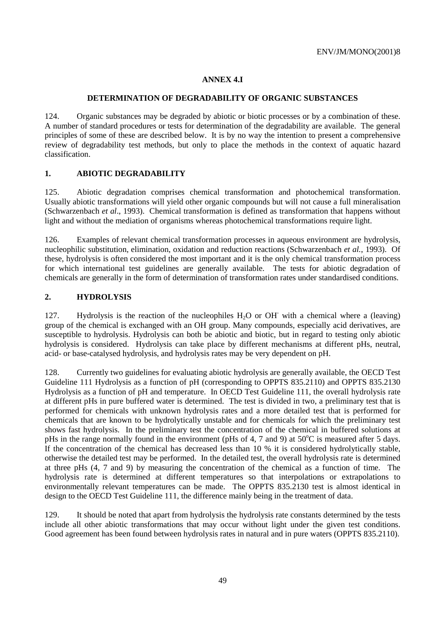# **ANNEX 4.I**

#### **DETERMINATION OF DEGRADABILITY OF ORGANIC SUBSTANCES**

124. Organic substances may be degraded by abiotic or biotic processes or by a combination of these. A number of standard procedures or tests for determination of the degradability are available. The general principles of some of these are described below. It is by no way the intention to present a comprehensive review of degradability test methods, but only to place the methods in the context of aquatic hazard classification.

# **1. ABIOTIC DEGRADABILITY**

125. Abiotic degradation comprises chemical transformation and photochemical transformation. Usually abiotic transformations will yield other organic compounds but will not cause a full mineralisation (Schwarzenbach *et al*., 1993). Chemical transformation is defined as transformation that happens without light and without the mediation of organisms whereas photochemical transformations require light.

126. Examples of relevant chemical transformation processes in aqueous environment are hydrolysis, nucleophilic substitution, elimination, oxidation and reduction reactions (Schwarzenbach *et al.*, 1993). Of these, hydrolysis is often considered the most important and it is the only chemical transformation process for which international test guidelines are generally available. The tests for abiotic degradation of chemicals are generally in the form of determination of transformation rates under standardised conditions.

# **2. HYDROLYSIS**

127. Hydrolysis is the reaction of the nucleophiles  $H_2O$  or OH with a chemical where a (leaving) group of the chemical is exchanged with an OH group. Many compounds, especially acid derivatives, are susceptible to hydrolysis. Hydrolysis can both be abiotic and biotic, but in regard to testing only abiotic hydrolysis is considered. Hydrolysis can take place by different mechanisms at different pHs, neutral, acid- or base-catalysed hydrolysis, and hydrolysis rates may be very dependent on pH.

128. Currently two guidelines for evaluating abiotic hydrolysis are generally available, the OECD Test Guideline 111 Hydrolysis as a function of pH (corresponding to OPPTS 835.2110) and OPPTS 835.2130 Hydrolysis as a function of pH and temperature. In OECD Test Guideline 111, the overall hydrolysis rate at different pHs in pure buffered water is determined. The test is divided in two, a preliminary test that is performed for chemicals with unknown hydrolysis rates and a more detailed test that is performed for chemicals that are known to be hydrolytically unstable and for chemicals for which the preliminary test shows fast hydrolysis. In the preliminary test the concentration of the chemical in buffered solutions at pHs in the range normally found in the environment (pHs of 4, 7 and 9) at  $50^{\circ}$ C is measured after 5 days. If the concentration of the chemical has decreased less than 10 % it is considered hydrolytically stable, otherwise the detailed test may be performed. In the detailed test, the overall hydrolysis rate is determined at three pHs (4, 7 and 9) by measuring the concentration of the chemical as a function of time. The hydrolysis rate is determined at different temperatures so that interpolations or extrapolations to environmentally relevant temperatures can be made. The OPPTS 835.2130 test is almost identical in design to the OECD Test Guideline 111, the difference mainly being in the treatment of data.

129. It should be noted that apart from hydrolysis the hydrolysis rate constants determined by the tests include all other abiotic transformations that may occur without light under the given test conditions. Good agreement has been found between hydrolysis rates in natural and in pure waters (OPPTS 835.2110).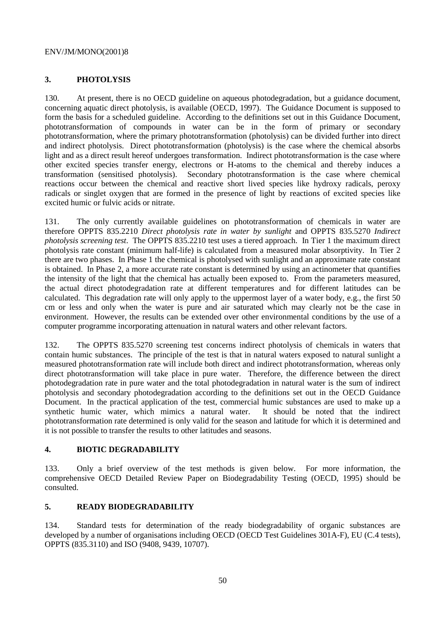# **3. PHOTOLYSIS**

130. At present, there is no OECD guideline on aqueous photodegradation, but a guidance document, concerning aquatic direct photolysis, is available (OECD, 1997). The Guidance Document is supposed to form the basis for a scheduled guideline. According to the definitions set out in this Guidance Document, phototransformation of compounds in water can be in the form of primary or secondary phototransformation, where the primary phototransformation (photolysis) can be divided further into direct and indirect photolysis. Direct phototransformation (photolysis) is the case where the chemical absorbs light and as a direct result hereof undergoes transformation. Indirect phototransformation is the case where other excited species transfer energy, electrons or H-atoms to the chemical and thereby induces a transformation (sensitised photolysis). Secondary phototransformation is the case where chemical reactions occur between the chemical and reactive short lived species like hydroxy radicals, peroxy radicals or singlet oxygen that are formed in the presence of light by reactions of excited species like excited humic or fulvic acids or nitrate.

131. The only currently available guidelines on phototransformation of chemicals in water are therefore OPPTS 835.2210 *Direct photolysis rate in water by sunlight* and OPPTS 835.5270 *Indirect photolysis screening test*. The OPPTS 835.2210 test uses a tiered approach. In Tier 1 the maximum direct photolysis rate constant (minimum half-life) is calculated from a measured molar absorptivity. In Tier 2 there are two phases. In Phase 1 the chemical is photolysed with sunlight and an approximate rate constant is obtained. In Phase 2, a more accurate rate constant is determined by using an actinometer that quantifies the intensity of the light that the chemical has actually been exposed to. From the parameters measured, the actual direct photodegradation rate at different temperatures and for different latitudes can be calculated. This degradation rate will only apply to the uppermost layer of a water body, e.g., the first 50 cm or less and only when the water is pure and air saturated which may clearly not be the case in environment. However, the results can be extended over other environmental conditions by the use of a computer programme incorporating attenuation in natural waters and other relevant factors.

132. The OPPTS 835.5270 screening test concerns indirect photolysis of chemicals in waters that contain humic substances. The principle of the test is that in natural waters exposed to natural sunlight a measured phototransformation rate will include both direct and indirect phototransformation, whereas only direct phototransformation will take place in pure water. Therefore, the difference between the direct photodegradation rate in pure water and the total photodegradation in natural water is the sum of indirect photolysis and secondary photodegradation according to the definitions set out in the OECD Guidance Document. In the practical application of the test, commercial humic substances are used to make up a synthetic humic water, which mimics a natural water. It should be noted that the indirect phototransformation rate determined is only valid for the season and latitude for which it is determined and it is not possible to transfer the results to other latitudes and seasons.

## **4. BIOTIC DEGRADABILITY**

133. Only a brief overview of the test methods is given below. For more information, the comprehensive OECD Detailed Review Paper on Biodegradability Testing (OECD, 1995) should be consulted.

#### **5. READY BIODEGRADABILITY**

134. Standard tests for determination of the ready biodegradability of organic substances are developed by a number of organisations including OECD (OECD Test Guidelines 301A-F), EU (C.4 tests), OPPTS (835.3110) and ISO (9408, 9439, 10707).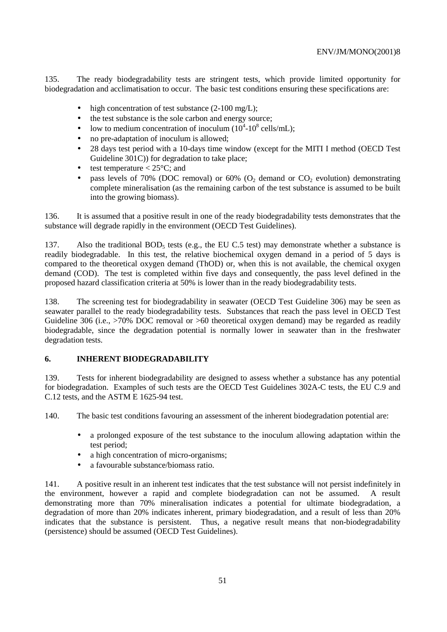135. The ready biodegradability tests are stringent tests, which provide limited opportunity for biodegradation and acclimatisation to occur. The basic test conditions ensuring these specifications are:

- high concentration of test substance  $(2-100 \text{ mg/L});$
- the test substance is the sole carbon and energy source;
- low to medium concentration of inoculum  $(10^4$ - $10^8$  cells/mL);
- no pre-adaptation of inoculum is allowed;
- 28 days test period with a 10-days time window (except for the MITI I method (OECD Test Guideline 301C)) for degradation to take place;
- test temperature  $< 25^{\circ}$ C; and
- pass levels of 70% (DOC removal) or 60% (O<sub>2</sub> demand or  $CO<sub>2</sub>$  evolution) demonstrating complete mineralisation (as the remaining carbon of the test substance is assumed to be built into the growing biomass).

136. It is assumed that a positive result in one of the ready biodegradability tests demonstrates that the substance will degrade rapidly in the environment (OECD Test Guidelines).

137. Also the traditional  $BOD<sub>5</sub>$  tests (e.g., the EU C.5 test) may demonstrate whether a substance is readily biodegradable. In this test, the relative biochemical oxygen demand in a period of 5 days is compared to the theoretical oxygen demand (ThOD) or, when this is not available, the chemical oxygen demand (COD). The test is completed within five days and consequently, the pass level defined in the proposed hazard classification criteria at 50% is lower than in the ready biodegradability tests.

138. The screening test for biodegradability in seawater (OECD Test Guideline 306) may be seen as seawater parallel to the ready biodegradability tests. Substances that reach the pass level in OECD Test Guideline 306 (i.e., >70% DOC removal or >60 theoretical oxygen demand) may be regarded as readily biodegradable, since the degradation potential is normally lower in seawater than in the freshwater degradation tests.

## **6. INHERENT BIODEGRADABILITY**

139. Tests for inherent biodegradability are designed to assess whether a substance has any potential for biodegradation. Examples of such tests are the OECD Test Guidelines 302A-C tests, the EU C.9 and C.12 tests, and the ASTM E 1625-94 test.

140. The basic test conditions favouring an assessment of the inherent biodegradation potential are:

- a prolonged exposure of the test substance to the inoculum allowing adaptation within the test period;
- a high concentration of micro-organisms;
- a favourable substance/biomass ratio.

141. A positive result in an inherent test indicates that the test substance will not persist indefinitely in the environment, however a rapid and complete biodegradation can not be assumed. A result demonstrating more than 70% mineralisation indicates a potential for ultimate biodegradation, a degradation of more than 20% indicates inherent, primary biodegradation, and a result of less than 20% indicates that the substance is persistent. Thus, a negative result means that non-biodegradability (persistence) should be assumed (OECD Test Guidelines).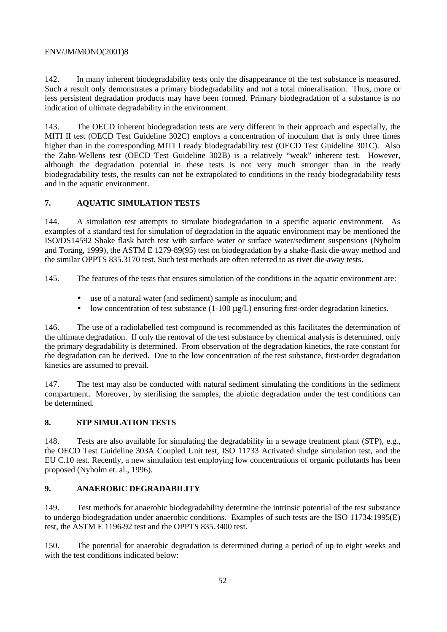142. In many inherent biodegradability tests only the disappearance of the test substance is measured. Such a result only demonstrates a primary biodegradability and not a total mineralisation. Thus, more or less persistent degradation products may have been formed. Primary biodegradation of a substance is no indication of ultimate degradability in the environment.

143. The OECD inherent biodegradation tests are very different in their approach and especially, the MITI II test (OECD Test Guideline 302C) employs a concentration of inoculum that is only three times higher than in the corresponding MITI I ready biodegradability test (OECD Test Guideline 301C). Also the Zahn-Wellens test (OECD Test Guideline 302B) is a relatively "weak" inherent test. However, although the degradation potential in these tests is not very much stronger than in the ready biodegradability tests, the results can not be extrapolated to conditions in the ready biodegradability tests and in the aquatic environment.

# **7. AQUATIC SIMULATION TESTS**

144. A simulation test attempts to simulate biodegradation in a specific aquatic environment. As examples of a standard test for simulation of degradation in the aquatic environment may be mentioned the ISO/DS14592 Shake flask batch test with surface water or surface water/sediment suspensions (Nyholm and Toräng, 1999), the ASTM E 1279-89(95) test on biodegradation by a shake-flask die-away method and the similar OPPTS 835.3170 test. Such test methods are often referred to as river die-away tests.

145. The features of the tests that ensures simulation of the conditions in the aquatic environment are:

- use of a natural water (and sediment) sample as inoculum; and
- low concentration of test substance  $(1-100 \mu g/L)$  ensuring first-order degradation kinetics.

146. The use of a radiolabelled test compound is recommended as this facilitates the determination of the ultimate degradation. If only the removal of the test substance by chemical analysis is determined, only the primary degradability is determined. From observation of the degradation kinetics, the rate constant for the degradation can be derived. Due to the low concentration of the test substance, first-order degradation kinetics are assumed to prevail.

147. The test may also be conducted with natural sediment simulating the conditions in the sediment compartment. Moreover, by sterilising the samples, the abiotic degradation under the test conditions can be determined.

# **8. STP SIMULATION TESTS**

148. Tests are also available for simulating the degradability in a sewage treatment plant (STP), e.g., the OECD Test Guideline 303A Coupled Unit test, ISO 11733 Activated sludge simulation test, and the EU C.10 test. Recently, a new simulation test employing low concentrations of organic pollutants has been proposed (Nyholm et. al., 1996).

# **9. ANAEROBIC DEGRADABILITY**

149. Test methods for anaerobic biodegradability determine the intrinsic potential of the test substance to undergo biodegradation under anaerobic conditions. Examples of such tests are the ISO 11734:1995(E) test, the ASTM E 1196-92 test and the OPPTS 835.3400 test.

150. The potential for anaerobic degradation is determined during a period of up to eight weeks and with the test conditions indicated below: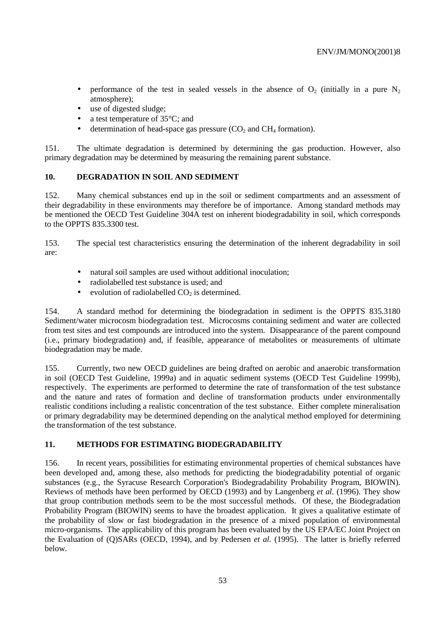- performance of the test in sealed vessels in the absence of  $O_2$  (initially in a pure  $N_2$ ) atmosphere);
- use of digested sludge;
- a test temperature of 35°C; and
- determination of head-space gas pressure  $(CO_2)$  and  $CH_4$  formation).

151. The ultimate degradation is determined by determining the gas production. However, also primary degradation may be determined by measuring the remaining parent substance.

## **10. DEGRADATION IN SOIL AND SEDIMENT**

152. Many chemical substances end up in the soil or sediment compartments and an assessment of their degradability in these environments may therefore be of importance. Among standard methods may be mentioned the OECD Test Guideline 304A test on inherent biodegradability in soil, which corresponds to the OPPTS 835.3300 test.

153. The special test characteristics ensuring the determination of the inherent degradability in soil are:

- natural soil samples are used without additional inoculation;
- radiolabelled test substance is used; and
- evolution of radiolabelled  $CO<sub>2</sub>$  is determined.

154. A standard method for determining the biodegradation in sediment is the OPPTS 835.3180 Sediment/water microcosm biodegradation test. Microcosms containing sediment and water are collected from test sites and test compounds are introduced into the system. Disappearance of the parent compound (i.e., primary biodegradation) and, if feasible, appearance of metabolites or measurements of ultimate biodegradation may be made.

155. Currently, two new OECD guidelines are being drafted on aerobic and anaerobic transformation in soil (OECD Test Guideline, 1999a) and in aquatic sediment systems (OECD Test Guideline 1999b), respectively. The experiments are performed to determine the rate of transformation of the test substance and the nature and rates of formation and decline of transformation products under environmentally realistic conditions including a realistic concentration of the test substance. Either complete mineralisation or primary degradability may be determined depending on the analytical method employed for determining the transformation of the test substance.

## **11. METHODS FOR ESTIMATING BIODEGRADABILITY**

156. In recent years, possibilities for estimating environmental properties of chemical substances have been developed and, among these, also methods for predicting the biodegradability potential of organic substances (e.g., the Syracuse Research Corporation's Biodegradability Probability Program, BIOWIN). Reviews of methods have been performed by OECD (1993) and by Langenberg *et al.* (1996). They show that group contribution methods seem to be the most successful methods. Of these, the Biodegradation Probability Program (BIOWIN) seems to have the broadest application. It gives a qualitative estimate of the probability of slow or fast biodegradation in the presence of a mixed population of environmental micro-organisms. The applicability of this program has been evaluated by the US EPA/EC Joint Project on the Evaluation of (Q)SARs (OECD, 1994), and by Pedersen *et al.* (1995). The latter is briefly referred below.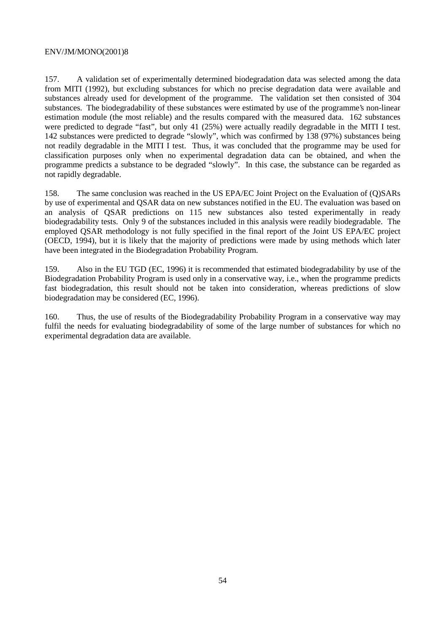157. A validation set of experimentally determined biodegradation data was selected among the data from MITI (1992), but excluding substances for which no precise degradation data were available and substances already used for development of the programme. The validation set then consisted of 304 substances. The biodegradability of these substances were estimated by use of the programme's non-linear estimation module (the most reliable) and the results compared with the measured data. 162 substances were predicted to degrade "fast", but only 41 (25%) were actually readily degradable in the MITI I test. 142 substances were predicted to degrade "slowly", which was confirmed by 138 (97%) substances being not readily degradable in the MITI I test. Thus, it was concluded that the programme may be used for classification purposes only when no experimental degradation data can be obtained, and when the programme predicts a substance to be degraded "slowly". In this case, the substance can be regarded as not rapidly degradable.

158. The same conclusion was reached in the US EPA/EC Joint Project on the Evaluation of (Q)SARs by use of experimental and QSAR data on new substances notified in the EU. The evaluation was based on an analysis of QSAR predictions on 115 new substances also tested experimentally in ready biodegradability tests. Only 9 of the substances included in this analysis were readily biodegradable. The employed QSAR methodology is not fully specified in the final report of the Joint US EPA/EC project (OECD, 1994), but it is likely that the majority of predictions were made by using methods which later have been integrated in the Biodegradation Probability Program.

159. Also in the EU TGD (EC, 1996) it is recommended that estimated biodegradability by use of the Biodegradation Probability Program is used only in a conservative way, i.e., when the programme predicts fast biodegradation, this result should not be taken into consideration, whereas predictions of slow biodegradation may be considered (EC, 1996).

160. Thus, the use of results of the Biodegradability Probability Program in a conservative way may fulfil the needs for evaluating biodegradability of some of the large number of substances for which no experimental degradation data are available.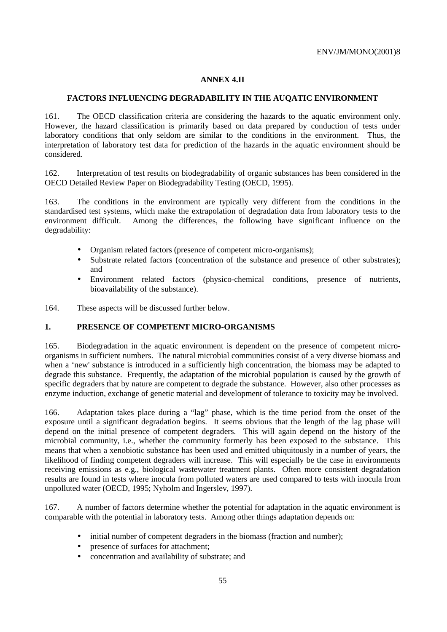# **ANNEX 4.II**

## **FACTORS INFLUENCING DEGRADABILITY IN THE AUQATIC ENVIRONMENT**

161. The OECD classification criteria are considering the hazards to the aquatic environment only. However, the hazard classification is primarily based on data prepared by conduction of tests under laboratory conditions that only seldom are similar to the conditions in the environment. Thus, the interpretation of laboratory test data for prediction of the hazards in the aquatic environment should be considered.

162. Interpretation of test results on biodegradability of organic substances has been considered in the OECD Detailed Review Paper on Biodegradability Testing (OECD, 1995).

163. The conditions in the environment are typically very different from the conditions in the standardised test systems, which make the extrapolation of degradation data from laboratory tests to the environment difficult. Among the differences, the following have significant influence on the degradability:

- Organism related factors (presence of competent micro-organisms);
- Substrate related factors (concentration of the substance and presence of other substrates); and
- Environment related factors (physico-chemical conditions, presence of nutrients, bioavailability of the substance).

164. These aspects will be discussed further below.

## **1. PRESENCE OF COMPETENT MICRO-ORGANISMS**

165. Biodegradation in the aquatic environment is dependent on the presence of competent microorganisms in sufficient numbers. The natural microbial communities consist of a very diverse biomass and when a 'new' substance is introduced in a sufficiently high concentration, the biomass may be adapted to degrade this substance. Frequently, the adaptation of the microbial population is caused by the growth of specific degraders that by nature are competent to degrade the substance. However, also other processes as enzyme induction, exchange of genetic material and development of tolerance to toxicity may be involved.

166. Adaptation takes place during a "lag" phase, which is the time period from the onset of the exposure until a significant degradation begins. It seems obvious that the length of the lag phase will depend on the initial presence of competent degraders. This will again depend on the history of the microbial community, i.e., whether the community formerly has been exposed to the substance. This means that when a xenobiotic substance has been used and emitted ubiquitously in a number of years, the likelihood of finding competent degraders will increase. This will especially be the case in environments receiving emissions as e.g., biological wastewater treatment plants. Often more consistent degradation results are found in tests where inocula from polluted waters are used compared to tests with inocula from unpolluted water (OECD, 1995; Nyholm and Ingerslev, 1997).

167. A number of factors determine whether the potential for adaptation in the aquatic environment is comparable with the potential in laboratory tests. Among other things adaptation depends on:

- initial number of competent degraders in the biomass (fraction and number);
- presence of surfaces for attachment;
- concentration and availability of substrate; and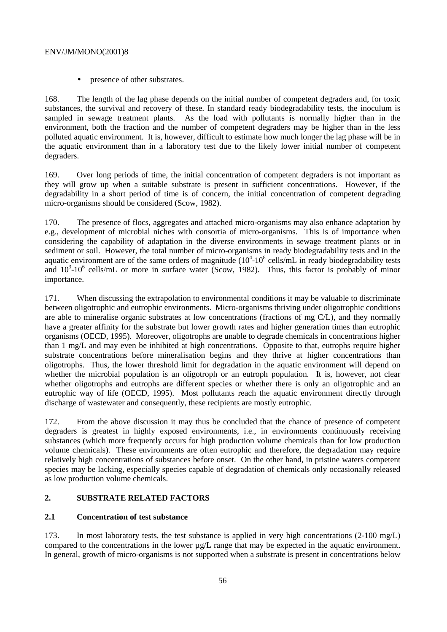• presence of other substrates.

168. The length of the lag phase depends on the initial number of competent degraders and, for toxic substances, the survival and recovery of these. In standard ready biodegradability tests, the inoculum is sampled in sewage treatment plants. As the load with pollutants is normally higher than in the environment, both the fraction and the number of competent degraders may be higher than in the less polluted aquatic environment. It is, however, difficult to estimate how much longer the lag phase will be in the aquatic environment than in a laboratory test due to the likely lower initial number of competent degraders.

169. Over long periods of time, the initial concentration of competent degraders is not important as they will grow up when a suitable substrate is present in sufficient concentrations. However, if the degradability in a short period of time is of concern, the initial concentration of competent degrading micro-organisms should be considered (Scow, 1982).

170. The presence of flocs, aggregates and attached micro-organisms may also enhance adaptation by e.g., development of microbial niches with consortia of micro-organisms. This is of importance when considering the capability of adaptation in the diverse environments in sewage treatment plants or in sediment or soil. However, the total number of micro-organisms in ready biodegradability tests and in the aquatic environment are of the same orders of magnitude  $(10^4$ - $10^8$  cells/mL in ready biodegradability tests and 10<sup>3</sup>-10<sup>6</sup> cells/mL or more in surface water (Scow, 1982). Thus, this factor is probably of minor importance.

171. When discussing the extrapolation to environmental conditions it may be valuable to discriminate between oligotrophic and eutrophic environments. Micro-organisms thriving under oligotrophic conditions are able to mineralise organic substrates at low concentrations (fractions of mg C/L), and they normally have a greater affinity for the substrate but lower growth rates and higher generation times than eutrophic organisms (OECD, 1995). Moreover, oligotrophs are unable to degrade chemicals in concentrations higher than 1 mg/L and may even be inhibited at high concentrations. Opposite to that, eutrophs require higher substrate concentrations before mineralisation begins and they thrive at higher concentrations than oligotrophs. Thus, the lower threshold limit for degradation in the aquatic environment will depend on whether the microbial population is an oligotroph or an eutroph population. It is, however, not clear whether oligotrophs and eutrophs are different species or whether there is only an oligotrophic and an eutrophic way of life (OECD, 1995). Most pollutants reach the aquatic environment directly through discharge of wastewater and consequently, these recipients are mostly eutrophic.

172. From the above discussion it may thus be concluded that the chance of presence of competent degraders is greatest in highly exposed environments, i.e., in environments continuously receiving substances (which more frequently occurs for high production volume chemicals than for low production volume chemicals). These environments are often eutrophic and therefore, the degradation may require relatively high concentrations of substances before onset. On the other hand, in pristine waters competent species may be lacking, especially species capable of degradation of chemicals only occasionally released as low production volume chemicals.

# **2. SUBSTRATE RELATED FACTORS**

## **2.1 Concentration of test substance**

173. In most laboratory tests, the test substance is applied in very high concentrations (2-100 mg/L) compared to the concentrations in the lower µg/L range that may be expected in the aquatic environment. In general, growth of micro-organisms is not supported when a substrate is present in concentrations below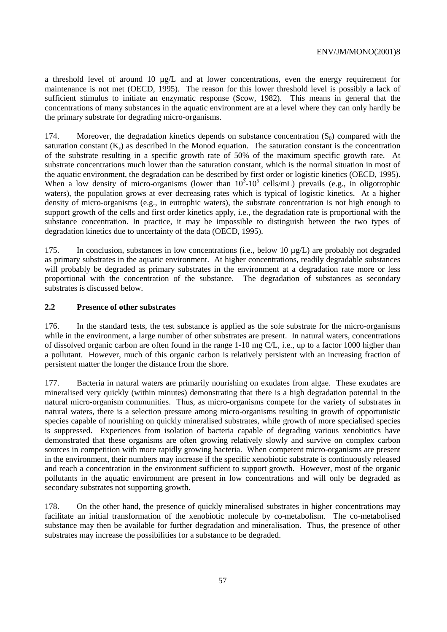a threshold level of around 10  $\mu$ g/L and at lower concentrations, even the energy requirement for maintenance is not met (OECD, 1995). The reason for this lower threshold level is possibly a lack of sufficient stimulus to initiate an enzymatic response (Scow, 1982). This means in general that the concentrations of many substances in the aquatic environment are at a level where they can only hardly be the primary substrate for degrading micro-organisms.

174. Moreover, the degradation kinetics depends on substance concentration  $(S_0)$  compared with the saturation constant  $(K_s)$  as described in the Monod equation. The saturation constant is the concentration of the substrate resulting in a specific growth rate of 50% of the maximum specific growth rate. At substrate concentrations much lower than the saturation constant, which is the normal situation in most of the aquatic environment, the degradation can be described by first order or logistic kinetics (OECD, 1995). When a low density of micro-organisms (lower than  $10^3$ - $10^5$  cells/mL) prevails (e.g., in oligotrophic waters), the population grows at ever decreasing rates which is typical of logistic kinetics. At a higher density of micro-organisms (e.g., in eutrophic waters), the substrate concentration is not high enough to support growth of the cells and first order kinetics apply, i.e., the degradation rate is proportional with the substance concentration. In practice, it may be impossible to distinguish between the two types of degradation kinetics due to uncertainty of the data (OECD, 1995).

175. In conclusion, substances in low concentrations (i.e., below 10 µg/L) are probably not degraded as primary substrates in the aquatic environment. At higher concentrations, readily degradable substances will probably be degraded as primary substrates in the environment at a degradation rate more or less proportional with the concentration of the substance. The degradation of substances as secondary substrates is discussed below.

## **2.2 Presence of other substrates**

176. In the standard tests, the test substance is applied as the sole substrate for the micro-organisms while in the environment, a large number of other substrates are present. In natural waters, concentrations of dissolved organic carbon are often found in the range  $1\n-10$  mg C/L, i.e., up to a factor 1000 higher than a pollutant. However, much of this organic carbon is relatively persistent with an increasing fraction of persistent matter the longer the distance from the shore.

177. Bacteria in natural waters are primarily nourishing on exudates from algae. These exudates are mineralised very quickly (within minutes) demonstrating that there is a high degradation potential in the natural micro-organism communities. Thus, as micro-organisms compete for the variety of substrates in natural waters, there is a selection pressure among micro-organisms resulting in growth of opportunistic species capable of nourishing on quickly mineralised substrates, while growth of more specialised species is suppressed. Experiences from isolation of bacteria capable of degrading various xenobiotics have demonstrated that these organisms are often growing relatively slowly and survive on complex carbon sources in competition with more rapidly growing bacteria. When competent micro-organisms are present in the environment, their numbers may increase if the specific xenobiotic substrate is continuously released and reach a concentration in the environment sufficient to support growth. However, most of the organic pollutants in the aquatic environment are present in low concentrations and will only be degraded as secondary substrates not supporting growth.

178. On the other hand, the presence of quickly mineralised substrates in higher concentrations may facilitate an initial transformation of the xenobiotic molecule by co-metabolism. The co-metabolised substance may then be available for further degradation and mineralisation. Thus, the presence of other substrates may increase the possibilities for a substance to be degraded.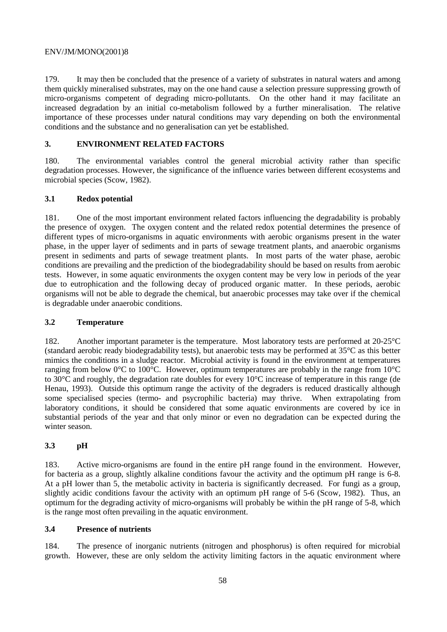179. It may then be concluded that the presence of a variety of substrates in natural waters and among them quickly mineralised substrates, may on the one hand cause a selection pressure suppressing growth of micro-organisms competent of degrading micro-pollutants. On the other hand it may facilitate an increased degradation by an initial co-metabolism followed by a further mineralisation. The relative importance of these processes under natural conditions may vary depending on both the environmental conditions and the substance and no generalisation can yet be established.

# **3. ENVIRONMENT RELATED FACTORS**

180. The environmental variables control the general microbial activity rather than specific degradation processes. However, the significance of the influence varies between different ecosystems and microbial species (Scow, 1982).

# **3.1 Redox potential**

181. One of the most important environment related factors influencing the degradability is probably the presence of oxygen. The oxygen content and the related redox potential determines the presence of different types of micro-organisms in aquatic environments with aerobic organisms present in the water phase, in the upper layer of sediments and in parts of sewage treatment plants, and anaerobic organisms present in sediments and parts of sewage treatment plants. In most parts of the water phase, aerobic conditions are prevailing and the prediction of the biodegradability should be based on results from aerobic tests. However, in some aquatic environments the oxygen content may be very low in periods of the year due to eutrophication and the following decay of produced organic matter. In these periods, aerobic organisms will not be able to degrade the chemical, but anaerobic processes may take over if the chemical is degradable under anaerobic conditions.

## **3.2 Temperature**

182. Another important parameter is the temperature. Most laboratory tests are performed at 20-25°C (standard aerobic ready biodegradability tests), but anaerobic tests may be performed at 35°C as this better mimics the conditions in a sludge reactor. Microbial activity is found in the environment at temperatures ranging from below  $0^{\circ}$ C to 100 $^{\circ}$ C. However, optimum temperatures are probably in the range from 10 $^{\circ}$ C to 30°C and roughly, the degradation rate doubles for every 10°C increase of temperature in this range (de Henau, 1993). Outside this optimum range the activity of the degraders is reduced drastically although some specialised species (termo- and psycrophilic bacteria) may thrive. When extrapolating from laboratory conditions, it should be considered that some aquatic environments are covered by ice in substantial periods of the year and that only minor or even no degradation can be expected during the winter season.

## **3.3 pH**

183. Active micro-organisms are found in the entire pH range found in the environment. However, for bacteria as a group, slightly alkaline conditions favour the activity and the optimum pH range is 6-8. At a pH lower than 5, the metabolic activity in bacteria is significantly decreased. For fungi as a group, slightly acidic conditions favour the activity with an optimum pH range of 5-6 (Scow, 1982). Thus, an optimum for the degrading activity of micro-organisms will probably be within the pH range of 5-8, which is the range most often prevailing in the aquatic environment.

## **3.4 Presence of nutrients**

184. The presence of inorganic nutrients (nitrogen and phosphorus) is often required for microbial growth. However, these are only seldom the activity limiting factors in the aquatic environment where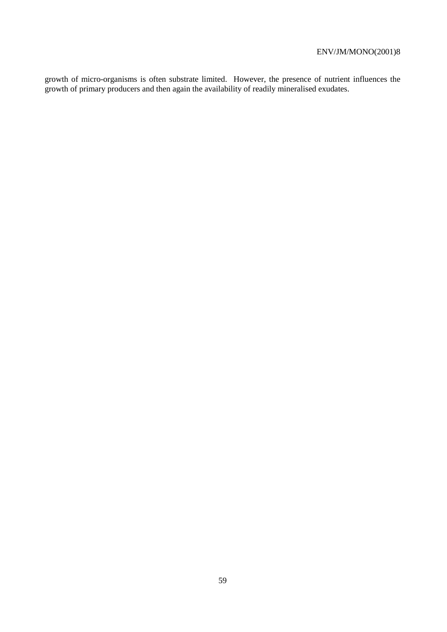growth of micro-organisms is often substrate limited. However, the presence of nutrient influences the growth of primary producers and then again the availability of readily mineralised exudates.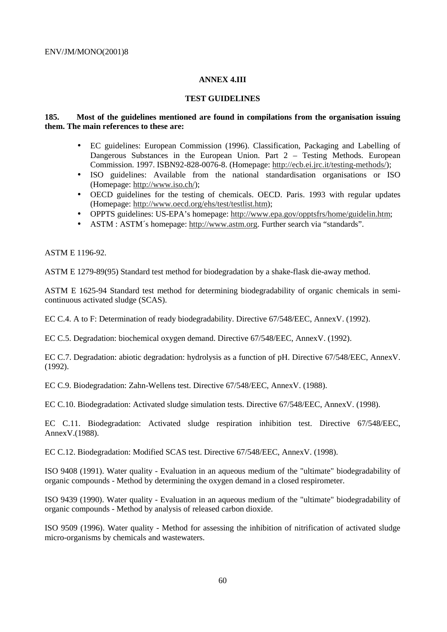# **ANNEX 4.III**

## **TEST GUIDELINES**

#### **185. Most of the guidelines mentioned are found in compilations from the organisation issuing them. The main references to these are:**

- EC guidelines: European Commission (1996). Classification, Packaging and Labelling of Dangerous Substances in the European Union. Part 2 – Testing Methods. European Commission. 1997. ISBN92-828-0076-8. (Homepage: http://ecb.ei.jrc.it/testing-methods/);
- ISO guidelines: Available from the national standardisation organisations or ISO (Homepage: http://www.iso.ch/);
- OECD guidelines for the testing of chemicals. OECD. Paris. 1993 with regular updates (Homepage: http://www.oecd.org/ehs/test/testlist.htm);
- OPPTS guidelines: US-EPA's homepage: http://www.epa.gov/opptsfrs/home/guidelin.htm;
- ASTM : ASTM's homepage: http://www.astm.org. Further search via "standards".

ASTM E 1196-92.

ASTM E 1279-89(95) Standard test method for biodegradation by a shake-flask die-away method.

ASTM E 1625-94 Standard test method for determining biodegradability of organic chemicals in semicontinuous activated sludge (SCAS).

EC C.4. A to F: Determination of ready biodegradability. Directive 67/548/EEC, AnnexV. (1992).

EC C.5. Degradation: biochemical oxygen demand. Directive 67/548/EEC, AnnexV. (1992).

EC C.7. Degradation: abiotic degradation: hydrolysis as a function of pH. Directive 67/548/EEC, AnnexV. (1992).

EC C.9. Biodegradation: Zahn-Wellens test. Directive 67/548/EEC, AnnexV. (1988).

EC C.10. Biodegradation: Activated sludge simulation tests. Directive 67/548/EEC, AnnexV. (1998).

EC C.11. Biodegradation: Activated sludge respiration inhibition test. Directive 67/548/EEC, AnnexV.(1988).

EC C.12. Biodegradation: Modified SCAS test. Directive 67/548/EEC, AnnexV. (1998).

ISO 9408 (1991). Water quality - Evaluation in an aqueous medium of the "ultimate" biodegradability of organic compounds - Method by determining the oxygen demand in a closed respirometer.

ISO 9439 (1990). Water quality - Evaluation in an aqueous medium of the "ultimate" biodegradability of organic compounds - Method by analysis of released carbon dioxide.

ISO 9509 (1996). Water quality - Method for assessing the inhibition of nitrification of activated sludge micro-organisms by chemicals and wastewaters.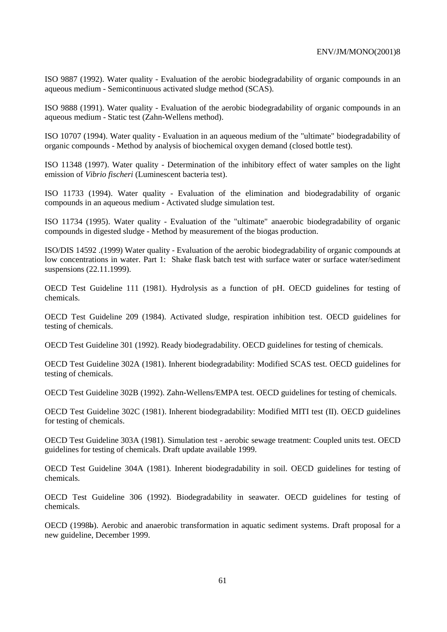ISO 9887 (1992). Water quality - Evaluation of the aerobic biodegradability of organic compounds in an aqueous medium - Semicontinuous activated sludge method (SCAS).

ISO 9888 (1991). Water quality - Evaluation of the aerobic biodegradability of organic compounds in an aqueous medium - Static test (Zahn-Wellens method).

ISO 10707 (1994). Water quality - Evaluation in an aqueous medium of the "ultimate" biodegradability of organic compounds - Method by analysis of biochemical oxygen demand (closed bottle test).

ISO 11348 (1997). Water quality - Determination of the inhibitory effect of water samples on the light emission of *Vibrio fischeri* (Luminescent bacteria test).

ISO 11733 (1994). Water quality - Evaluation of the elimination and biodegradability of organic compounds in an aqueous medium - Activated sludge simulation test.

ISO 11734 (1995). Water quality - Evaluation of the "ultimate" anaerobic biodegradability of organic compounds in digested sludge - Method by measurement of the biogas production.

ISO/DIS 14592 .(1999) Water quality - Evaluation of the aerobic biodegradability of organic compounds at low concentrations in water. Part 1: Shake flask batch test with surface water or surface water/sediment suspensions (22.11.1999).

OECD Test Guideline 111 (1981). Hydrolysis as a function of pH. OECD guidelines for testing of chemicals.

OECD Test Guideline 209 (1984). Activated sludge, respiration inhibition test. OECD guidelines for testing of chemicals.

OECD Test Guideline 301 (1992). Ready biodegradability. OECD guidelines for testing of chemicals.

OECD Test Guideline 302A (1981). Inherent biodegradability: Modified SCAS test. OECD guidelines for testing of chemicals.

OECD Test Guideline 302B (1992). Zahn-Wellens/EMPA test. OECD guidelines for testing of chemicals.

OECD Test Guideline 302C (1981). Inherent biodegradability: Modified MITI test (II). OECD guidelines for testing of chemicals.

OECD Test Guideline 303A (1981). Simulation test - aerobic sewage treatment: Coupled units test. OECD guidelines for testing of chemicals. Draft update available 1999.

OECD Test Guideline 304A (1981). Inherent biodegradability in soil. OECD guidelines for testing of chemicals.

OECD Test Guideline 306 (1992). Biodegradability in seawater. OECD guidelines for testing of chemicals.

OECD (1998b). Aerobic and anaerobic transformation in aquatic sediment systems. Draft proposal for a new guideline, December 1999.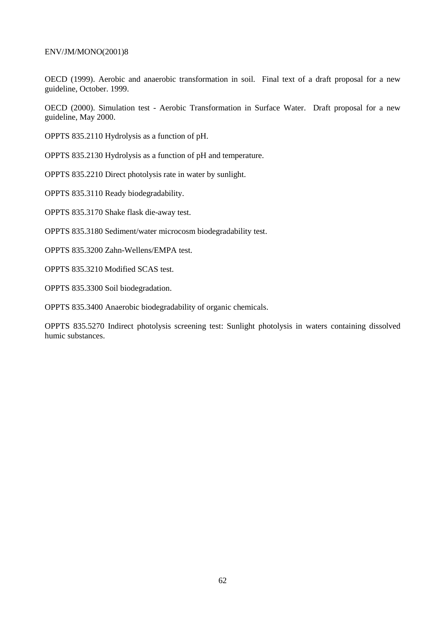OECD (1999). Aerobic and anaerobic transformation in soil. Final text of a draft proposal for a new guideline, October. 1999.

OECD (2000). Simulation test - Aerobic Transformation in Surface Water. Draft proposal for a new guideline, May 2000.

OPPTS 835.2110 Hydrolysis as a function of pH.

OPPTS 835.2130 Hydrolysis as a function of pH and temperature.

OPPTS 835.2210 Direct photolysis rate in water by sunlight.

OPPTS 835.3110 Ready biodegradability.

OPPTS 835.3170 Shake flask die-away test.

OPPTS 835.3180 Sediment/water microcosm biodegradability test.

OPPTS 835.3200 Zahn-Wellens/EMPA test.

OPPTS 835.3210 Modified SCAS test.

OPPTS 835.3300 Soil biodegradation.

OPPTS 835.3400 Anaerobic biodegradability of organic chemicals.

OPPTS 835.5270 Indirect photolysis screening test: Sunlight photolysis in waters containing dissolved humic substances.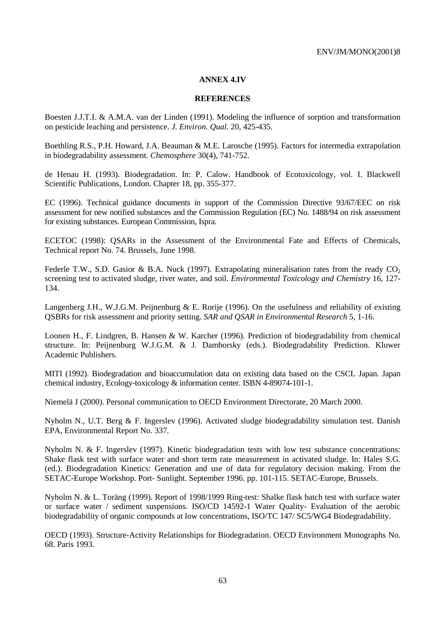#### **ANNEX 4.IV**

#### **REFERENCES**

Boesten J.J.T.I. & A.M.A. van der Linden (1991). Modeling the influence of sorption and transformation on pesticide leaching and persistence. *J. Environ. Qual.* 20, 425-435.

Boethling R.S., P.H. Howard, J.A. Beauman & M.E. Larosche (1995). Factors for intermedia extrapolation in biodegradability assessment. *Chemosphere* 30(4), 741-752.

de Henau H. (1993). Biodegradation. In: P. Calow. Handbook of Ecotoxicology, vol. I. Blackwell Scientific Publications, London. Chapter 18, pp. 355-377.

EC (1996). Technical guidance documents in support of the Commission Directive 93/67/EEC on risk assessment for new notified substances and the Commission Regulation (EC) No. 1488/94 on risk assessment for existing substances. European Commission, Ispra.

ECETOC (1998): QSARs in the Assessment of the Environmental Fate and Effects of Chemicals, Technical report No. 74. Brussels, June 1998.

Federle T.W., S.D. Gasior & B.A. Nuck (1997). Extrapolating mineralisation rates from the ready  $CO<sub>2</sub>$ screening test to activated sludge, river water, and soil. *Environmental Toxicology and Chemistry* 16, 127- 134.

Langenberg J.H., W.J.G.M. Peijnenburg & E. Rorije (1996). On the usefulness and reliability of existing QSBRs for risk assessment and priority setting. *SAR and QSAR in Environmental Research* 5, 1-16.

Loonen H., F. Lindgren, B. Hansen & W. Karcher (1996). Prediction of biodegradability from chemical structure. In: Peijnenburg W.J.G.M. & J. Damborsky (eds.). Biodegradability Prediction. Kluwer Academic Publishers.

MITI (1992). Biodegradation and bioaccumulation data on existing data based on the CSCL Japan. Japan chemical industry, Ecology-toxicology & information center. ISBN 4-89074-101-1.

Niemelä J (2000). Personal communication to OECD Environment Directorate, 20 March 2000.

Nyholm N., U.T. Berg & F. Ingerslev (1996). Activated sludge biodegradability simulation test. Danish EPA, Environmental Report No. 337.

Nyholm N. & F. Ingerslev (1997). Kinetic biodegradation tests with low test substance concentrations: Shake flask test with surface water and short term rate measurement in activated sludge. In: Hales S.G. (ed.). Biodegradation Kinetics: Generation and use of data for regulatory decision making. From the SETAC-Europe Workshop. Port- Sunlight. September 1996. pp. 101-115. SETAC-Europe, Brussels.

Nyholm N. & L. Toräng (1999). Report of 1998/1999 Ring-test: Shalke flask batch test with surface water or surface water / sediment suspensions. ISO/CD 14592-1 Water Quality- Evaluation of the aerobic biodegradability of organic compounds at low concentrations, ISO/TC 147/ SC5/WG4 Biodegradability.

OECD (1993). Structure-Activity Relationships for Biodegradation. OECD Environment Monographs No. 68. Paris 1993.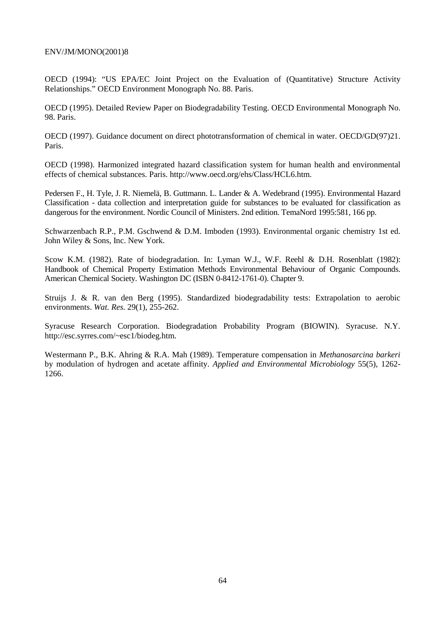OECD (1994): "US EPA/EC Joint Project on the Evaluation of (Quantitative) Structure Activity Relationships." OECD Environment Monograph No. 88. Paris.

OECD (1995). Detailed Review Paper on Biodegradability Testing. OECD Environmental Monograph No. 98. Paris.

OECD (1997). Guidance document on direct phototransformation of chemical in water. OECD/GD(97)21. Paris.

OECD (1998). Harmonized integrated hazard classification system for human health and environmental effects of chemical substances. Paris. http://www.oecd.org/ehs/Class/HCL6.htm.

Pedersen F., H. Tyle, J. R. Niemelä, B. Guttmann. L. Lander & A. Wedebrand (1995). Environmental Hazard Classification - data collection and interpretation guide for substances to be evaluated for classification as dangerous for the environment. Nordic Council of Ministers. 2nd edition. TemaNord 1995:581, 166 pp.

Schwarzenbach R.P., P.M. Gschwend & D.M. Imboden (1993). Environmental organic chemistry 1st ed. John Wiley & Sons, Inc. New York.

Scow K.M. (1982). Rate of biodegradation. In: Lyman W.J., W.F. Reehl & D.H. Rosenblatt (1982): Handbook of Chemical Property Estimation Methods Environmental Behaviour of Organic Compounds. American Chemical Society. Washington DC (ISBN 0-8412-1761-0). Chapter 9.

Struijs J. & R. van den Berg (1995). Standardized biodegradability tests: Extrapolation to aerobic environments. *Wat. Res.* 29(1), 255-262.

Syracuse Research Corporation. Biodegradation Probability Program (BIOWIN). Syracuse. N.Y. http://esc.syrres.com/~esc1/biodeg.htm.

Westermann P., B.K. Ahring & R.A. Mah (1989). Temperature compensation in *Methanosarcina barkeri* by modulation of hydrogen and acetate affinity. *Applied and Environmental Microbiology* 55(5), 1262- 1266.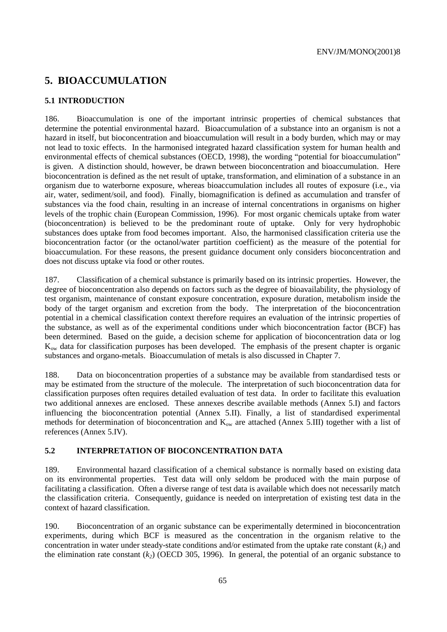# **5. BIOACCUMULATION**

# **5.1 INTRODUCTION**

186. Bioaccumulation is one of the important intrinsic properties of chemical substances that determine the potential environmental hazard. Bioaccumulation of a substance into an organism is not a hazard in itself, but bioconcentration and bioaccumulation will result in a body burden, which may or may not lead to toxic effects. In the harmonised integrated hazard classification system for human health and environmental effects of chemical substances (OECD, 1998), the wording "potential for bioaccumulation" is given. A distinction should, however, be drawn between bioconcentration and bioaccumulation. Here bioconcentration is defined as the net result of uptake, transformation, and elimination of a substance in an organism due to waterborne exposure, whereas bioaccumulation includes all routes of exposure (i.e., via air, water, sediment/soil, and food). Finally, biomagnification is defined as accumulation and transfer of substances via the food chain, resulting in an increase of internal concentrations in organisms on higher levels of the trophic chain (European Commission, 1996). For most organic chemicals uptake from water (bioconcentration) is believed to be the predominant route of uptake. Only for very hydrophobic substances does uptake from food becomes important. Also, the harmonised classification criteria use the bioconcentration factor (or the octanol/water partition coefficient) as the measure of the potential for bioaccumulation. For these reasons, the present guidance document only considers bioconcentration and does not discuss uptake via food or other routes.

187. Classification of a chemical substance is primarily based on its intrinsic properties. However, the degree of bioconcentration also depends on factors such as the degree of bioavailability, the physiology of test organism, maintenance of constant exposure concentration, exposure duration, metabolism inside the body of the target organism and excretion from the body. The interpretation of the bioconcentration potential in a chemical classification context therefore requires an evaluation of the intrinsic properties of the substance, as well as of the experimental conditions under which bioconcentration factor (BCF) has been determined. Based on the guide, a decision scheme for application of bioconcentration data or log Kow data for classification purposes has been developed. The emphasis of the present chapter is organic substances and organo-metals. Bioaccumulation of metals is also discussed in Chapter 7.

188. Data on bioconcentration properties of a substance may be available from standardised tests or may be estimated from the structure of the molecule. The interpretation of such bioconcentration data for classification purposes often requires detailed evaluation of test data. In order to facilitate this evaluation two additional annexes are enclosed. These annexes describe available methods (Annex 5.I) and factors influencing the bioconcentration potential (Annex 5.II). Finally, a list of standardised experimental methods for determination of bioconcentration and  $K_{ow}$  are attached (Annex 5.III) together with a list of references (Annex 5.IV).

## **5.2 INTERPRETATION OF BIOCONCENTRATION DATA**

189. Environmental hazard classification of a chemical substance is normally based on existing data on its environmental properties. Test data will only seldom be produced with the main purpose of facilitating a classification. Often a diverse range of test data is available which does not necessarily match the classification criteria. Consequently, guidance is needed on interpretation of existing test data in the context of hazard classification.

190. Bioconcentration of an organic substance can be experimentally determined in bioconcentration experiments, during which BCF is measured as the concentration in the organism relative to the concentration in water under steady-state conditions and/or estimated from the uptake rate constant  $(k<sub>l</sub>)$  and the elimination rate constant  $(k_2)$  (OECD 305, 1996). In general, the potential of an organic substance to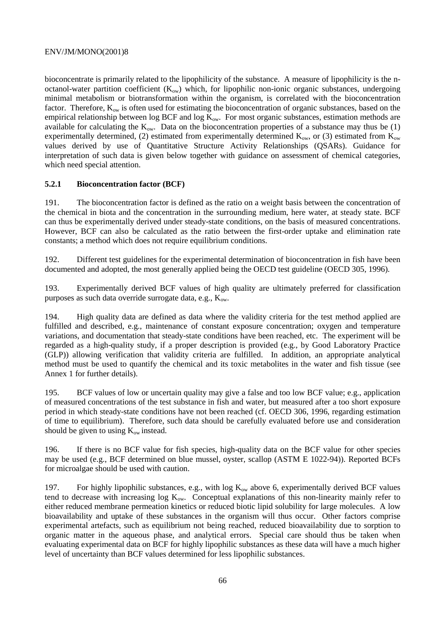bioconcentrate is primarily related to the lipophilicity of the substance. A measure of lipophilicity is the noctanol-water partition coefficient  $(K_{ow})$  which, for lipophilic non-ionic organic substances, undergoing minimal metabolism or biotransformation within the organism, is correlated with the bioconcentration factor. Therefore,  $K_{ow}$  is often used for estimating the bioconcentration of organic substances, based on the empirical relationship between log BCF and log  $\dot{K}_{ow}$ . For most organic substances, estimation methods are available for calculating the  $K_{ow}$ . Data on the bioconcentration properties of a substance may thus be (1) experimentally determined, (2) estimated from experimentally determined  $K_{ow}$ , or (3) estimated from  $K_{ow}$ values derived by use of Quantitative Structure Activity Relationships (QSARs). Guidance for interpretation of such data is given below together with guidance on assessment of chemical categories, which need special attention.

## **5.2.1 Bioconcentration factor (BCF)**

191. The bioconcentration factor is defined as the ratio on a weight basis between the concentration of the chemical in biota and the concentration in the surrounding medium, here water, at steady state. BCF can thus be experimentally derived under steady-state conditions, on the basis of measured concentrations. However, BCF can also be calculated as the ratio between the first-order uptake and elimination rate constants; a method which does not require equilibrium conditions.

192. Different test guidelines for the experimental determination of bioconcentration in fish have been documented and adopted, the most generally applied being the OECD test guideline (OECD 305, 1996).

193. Experimentally derived BCF values of high quality are ultimately preferred for classification purposes as such data override surrogate data, e.g.,  $K_{ow}$ .

194. High quality data are defined as data where the validity criteria for the test method applied are fulfilled and described, e.g., maintenance of constant exposure concentration; oxygen and temperature variations, and documentation that steady-state conditions have been reached, etc. The experiment will be regarded as a high-quality study, if a proper description is provided (e.g., by Good Laboratory Practice (GLP)) allowing verification that validity criteria are fulfilled. In addition, an appropriate analytical method must be used to quantify the chemical and its toxic metabolites in the water and fish tissue (see Annex 1 for further details).

195. BCF values of low or uncertain quality may give a false and too low BCF value; e.g., application of measured concentrations of the test substance in fish and water, but measured after a too short exposure period in which steady-state conditions have not been reached (cf. OECD 306, 1996, regarding estimation of time to equilibrium). Therefore, such data should be carefully evaluated before use and consideration should be given to using  $K_{ow}$  instead.

196. If there is no BCF value for fish species, high-quality data on the BCF value for other species may be used (e.g., BCF determined on blue mussel, oyster, scallop (ASTM E 1022-94)). Reported BCFs for microalgae should be used with caution.

197. For highly lipophilic substances, e.g., with log  $K_{ow}$  above 6, experimentally derived BCF values tend to decrease with increasing  $log K_{ow}$ . Conceptual explanations of this non-linearity mainly refer to either reduced membrane permeation kinetics or reduced biotic lipid solubility for large molecules. A low bioavailability and uptake of these substances in the organism will thus occur. Other factors comprise experimental artefacts, such as equilibrium not being reached, reduced bioavailability due to sorption to organic matter in the aqueous phase, and analytical errors. Special care should thus be taken when evaluating experimental data on BCF for highly lipophilic substances as these data will have a much higher level of uncertainty than BCF values determined for less lipophilic substances.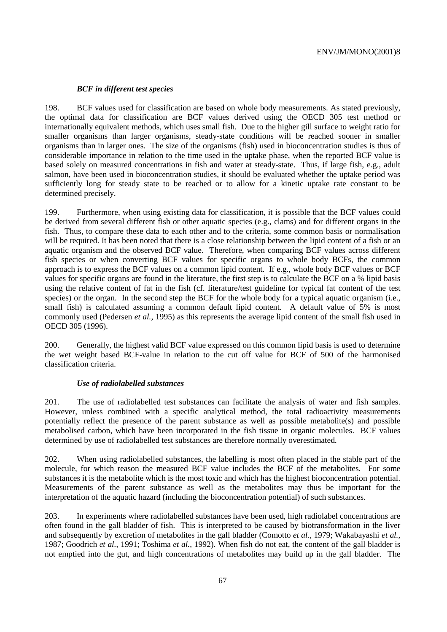#### *BCF in different test species*

198. BCF values used for classification are based on whole body measurements. As stated previously, the optimal data for classification are BCF values derived using the OECD 305 test method or internationally equivalent methods, which uses small fish. Due to the higher gill surface to weight ratio for smaller organisms than larger organisms, steady-state conditions will be reached sooner in smaller organisms than in larger ones. The size of the organisms (fish) used in bioconcentration studies is thus of considerable importance in relation to the time used in the uptake phase, when the reported BCF value is based solely on measured concentrations in fish and water at steady-state. Thus, if large fish, e.g., adult salmon, have been used in bioconcentration studies, it should be evaluated whether the uptake period was sufficiently long for steady state to be reached or to allow for a kinetic uptake rate constant to be determined precisely.

199. Furthermore, when using existing data for classification, it is possible that the BCF values could be derived from several different fish or other aquatic species (e.g., clams) and for different organs in the fish. Thus, to compare these data to each other and to the criteria, some common basis or normalisation will be required. It has been noted that there is a close relationship between the lipid content of a fish or an aquatic organism and the observed BCF value. Therefore, when comparing BCF values across different fish species or when converting BCF values for specific organs to whole body BCFs, the common approach is to express the BCF values on a common lipid content. If e.g., whole body BCF values or BCF values for specific organs are found in the literature, the first step is to calculate the BCF on a % lipid basis using the relative content of fat in the fish (cf. literature/test guideline for typical fat content of the test species) or the organ. In the second step the BCF for the whole body for a typical aquatic organism (i.e., small fish) is calculated assuming a common default lipid content. A default value of 5% is most commonly used (Pedersen *et al.*, 1995) as this represents the average lipid content of the small fish used in OECD 305 (1996).

200. Generally, the highest valid BCF value expressed on this common lipid basis is used to determine the wet weight based BCF-value in relation to the cut off value for BCF of 500 of the harmonised classification criteria.

#### *Use of radiolabelled substances*

201. The use of radiolabelled test substances can facilitate the analysis of water and fish samples. However, unless combined with a specific analytical method, the total radioactivity measurements potentially reflect the presence of the parent substance as well as possible metabolite(s) and possible metabolised carbon, which have been incorporated in the fish tissue in organic molecules. BCF values determined by use of radiolabelled test substances are therefore normally overestimated.

202. When using radiolabelled substances, the labelling is most often placed in the stable part of the molecule, for which reason the measured BCF value includes the BCF of the metabolites. For some substances it is the metabolite which is the most toxic and which has the highest bioconcentration potential. Measurements of the parent substance as well as the metabolites may thus be important for the interpretation of the aquatic hazard (including the bioconcentration potential) of such substances.

203. In experiments where radiolabelled substances have been used, high radiolabel concentrations are often found in the gall bladder of fish. This is interpreted to be caused by biotransformation in the liver and subsequently by excretion of metabolites in the gall bladder (Comotto *et al.*, 1979; Wakabayashi *et al.*, 1987; Goodrich *et al.*, 1991; Toshima *et al.*, 1992). When fish do not eat, the content of the gall bladder is not emptied into the gut, and high concentrations of metabolites may build up in the gall bladder. The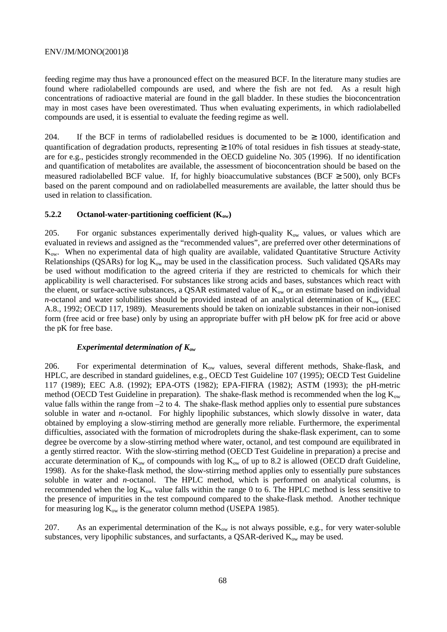feeding regime may thus have a pronounced effect on the measured BCF. In the literature many studies are found where radiolabelled compounds are used, and where the fish are not fed. As a result high concentrations of radioactive material are found in the gall bladder. In these studies the bioconcentration may in most cases have been overestimated. Thus when evaluating experiments, in which radiolabelled compounds are used, it is essential to evaluate the feeding regime as well.

204. If the BCF in terms of radiolabelled residues is documented to be  $\geq$  1000, identification and quantification of degradation products, representing  $\geq 10\%$  of total residues in fish tissues at steady-state, are for e.g., pesticides strongly recommended in the OECD guideline No. 305 (1996). If no identification and quantification of metabolites are available, the assessment of bioconcentration should be based on the measured radiolabelled BCF value. If, for highly bioaccumulative substances (BCF  $\geq$  500), only BCFs based on the parent compound and on radiolabelled measurements are available, the latter should thus be used in relation to classification.

#### **5.2.2** Octanol-water-partitioning coefficient (K<sub>ow</sub>)

205. For organic substances experimentally derived high-quality  $K_{ow}$  values, or values which are evaluated in reviews and assigned as the "recommended values", are preferred over other determinations of Kow. When no experimental data of high quality are available, validated Quantitative Structure Activity Relationships (QSARs) for log  $K_{ow}$  may be used in the classification process. Such validated QSARs may be used without modification to the agreed criteria if they are restricted to chemicals for which their applicability is well characterised. For substances like strong acids and bases, substances which react with the eluent, or surface-active substances, a QSAR estimated value of  $K_{ow}$  or an estimate based on individual *n*-octanol and water solubilities should be provided instead of an analytical determination of  $K_{ow}$  (EEC A.8., 1992; OECD 117, 1989). Measurements should be taken on ionizable substances in their non-ionised form (free acid or free base) only by using an appropriate buffer with pH below pK for free acid or above the pK for free base.

#### *Experimental determination of Kow*

206. For experimental determination of  $K_{ow}$  values, several different methods, Shake-flask, and HPLC, are described in standard guidelines, e.g., OECD Test Guideline 107 (1995); OECD Test Guideline 117 (1989); EEC A.8. (1992); EPA-OTS (1982); EPA-FIFRA (1982); ASTM (1993); the pH-metric method (OECD Test Guideline in preparation). The shake-flask method is recommended when the  $log K<sub>ow</sub>$ value falls within the range from –2 to 4. The shake-flask method applies only to essential pure substances soluble in water and *n*-octanol. For highly lipophilic substances, which slowly dissolve in water, data obtained by employing a slow-stirring method are generally more reliable. Furthermore, the experimental difficulties, associated with the formation of microdroplets during the shake-flask experiment, can to some degree be overcome by a slow-stirring method where water, octanol, and test compound are equilibrated in a gently stirred reactor. With the slow-stirring method (OECD Test Guideline in preparation) a precise and accurate determination of  $K_{ow}$  of compounds with log  $K_{ow}$  of up to 8.2 is allowed (OECD draft Guideline, 1998). As for the shake-flask method, the slow-stirring method applies only to essentially pure substances soluble in water and *n*-octanol. The HPLC method, which is performed on analytical columns, is recommended when the log  $K_{ow}$  value falls within the range 0 to 6. The HPLC method is less sensitive to the presence of impurities in the test compound compared to the shake-flask method. Another technique for measuring log  $K_{ow}$  is the generator column method (USEPA 1985).

207. As an experimental determination of the  $K_{ow}$  is not always possible, e.g., for very water-soluble substances, very lipophilic substances, and surfactants, a QSAR-derived  $K_{ow}$  may be used.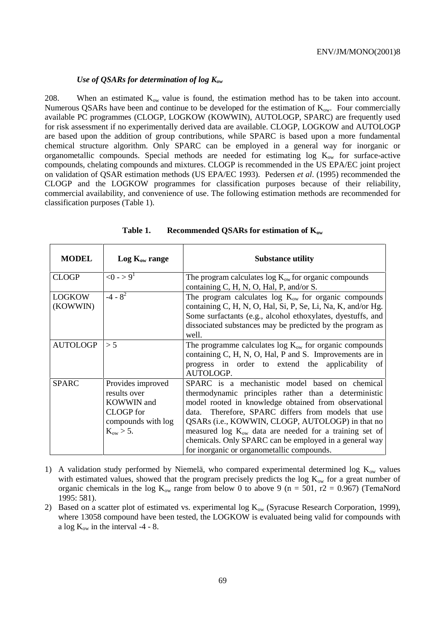#### *Use of OSARs for determination of log K*<sub>ow</sub>

208. When an estimated  $K_{ow}$  value is found, the estimation method has to be taken into account. Numerous QSARs have been and continue to be developed for the estimation of  $K_{ow}$ . Four commercially available PC programmes (CLOGP, LOGKOW (KOWWIN), AUTOLOGP, SPARC) are frequently used for risk assessment if no experimentally derived data are available. CLOGP, LOGKOW and AUTOLOGP are based upon the addition of group contributions, while SPARC is based upon a more fundamental chemical structure algorithm. Only SPARC can be employed in a general way for inorganic or organometallic compounds. Special methods are needed for estimating log  $K_{ow}$  for surface-active compounds, chelating compounds and mixtures. CLOGP is recommended in the US EPA/EC joint project on validation of QSAR estimation methods (US EPA/EC 1993). Pedersen *et al*. (1995) recommended the CLOGP and the LOGKOW programmes for classification purposes because of their reliability, commercial availability, and convenience of use. The following estimation methods are recommended for classification purposes (Table 1).

| <b>MODEL</b>              | $Log K_{ow}$ range                                                                                                 | <b>Substance utility</b>                                                                                                                                                                                                                                                                                                                                                                                                                          |
|---------------------------|--------------------------------------------------------------------------------------------------------------------|---------------------------------------------------------------------------------------------------------------------------------------------------------------------------------------------------------------------------------------------------------------------------------------------------------------------------------------------------------------------------------------------------------------------------------------------------|
| <b>CLOGP</b>              | $< 0 - 91$                                                                                                         | The program calculates $log K_{ow}$ for organic compounds<br>containing C, H, N, O, Hal, P, and/or S.                                                                                                                                                                                                                                                                                                                                             |
| <b>LOGKOW</b><br>(KOWWIN) | $-4 - 8^2$                                                                                                         | The program calculates $log K_{ow}$ for organic compounds<br>containing C, H, N, O, Hal, Si, P, Se, Li, Na, K, and/or Hg.<br>Some surfactants (e.g., alcohol ethoxylates, dyestuffs, and<br>dissociated substances may be predicted by the program as<br>well.                                                                                                                                                                                    |
| <b>AUTOLOGP</b>           | > 5                                                                                                                | The programme calculates $\log K_{ow}$ for organic compounds<br>containing C, H, N, O, Hal, P and S. Improvements are in<br>progress in order to extend the applicability<br>- of<br>AUTOLOGP.                                                                                                                                                                                                                                                    |
| <b>SPARC</b>              | Provides improved<br>results over<br><b>KOWWIN</b> and<br><b>CLOGP</b> for<br>compounds with log<br>$K_{ow} > 5$ . | SPARC is a mechanistic model based on chemical<br>thermodynamic principles rather than a deterministic<br>model rooted in knowledge obtained from observational<br>data. Therefore, SPARC differs from models that use<br>QSARs (i.e., KOWWIN, CLOGP, AUTOLOGP) in that no<br>measured log $K_{ow}$ data are needed for a training set of<br>chemicals. Only SPARC can be employed in a general way<br>for inorganic or organometallic compounds. |

1) A validation study performed by Niemelä, who compared experimental determined log  $K_{ow}$  values with estimated values, showed that the program precisely predicts the log  $K_{ow}$  for a great number of organic chemicals in the log  $K_{ow}$  range from below 0 to above 9 (n = 501, r2 = 0.967) (TemaNord 1995: 581).

2) Based on a scatter plot of estimated vs. experimental log  $K_{ow}$  (Syracuse Research Corporation, 1999), where 13058 compound have been tested, the LOGKOW is evaluated being valid for compounds with a log  $K_{ow}$  in the interval -4 - 8.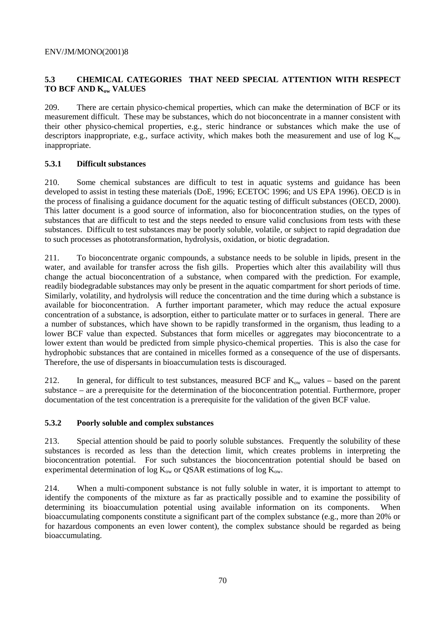# **5.3 CHEMICAL CATEGORIES THAT NEED SPECIAL ATTENTION WITH RESPECT TO BCF AND Kow VALUES**

209. There are certain physico-chemical properties, which can make the determination of BCF or its measurement difficult. These may be substances, which do not bioconcentrate in a manner consistent with their other physico-chemical properties, e.g., steric hindrance or substances which make the use of descriptors inappropriate, e.g., surface activity, which makes both the measurement and use of log  $K_{ow}$ inappropriate.

# **5.3.1 Difficult substances**

210. Some chemical substances are difficult to test in aquatic systems and guidance has been developed to assist in testing these materials (DoE, 1996; ECETOC 1996; and US EPA 1996). OECD is in the process of finalising a guidance document for the aquatic testing of difficult substances (OECD, 2000). This latter document is a good source of information, also for bioconcentration studies, on the types of substances that are difficult to test and the steps needed to ensure valid conclusions from tests with these substances. Difficult to test substances may be poorly soluble, volatile, or subject to rapid degradation due to such processes as phototransformation, hydrolysis, oxidation, or biotic degradation.

211. To bioconcentrate organic compounds, a substance needs to be soluble in lipids, present in the water, and available for transfer across the fish gills. Properties which alter this availability will thus change the actual bioconcentration of a substance, when compared with the prediction. For example, readily biodegradable substances may only be present in the aquatic compartment for short periods of time. Similarly, volatility, and hydrolysis will reduce the concentration and the time during which a substance is available for bioconcentration. A further important parameter, which may reduce the actual exposure concentration of a substance, is adsorption, either to particulate matter or to surfaces in general. There are a number of substances, which have shown to be rapidly transformed in the organism, thus leading to a lower BCF value than expected. Substances that form micelles or aggregates may bioconcentrate to a lower extent than would be predicted from simple physico-chemical properties. This is also the case for hydrophobic substances that are contained in micelles formed as a consequence of the use of dispersants. Therefore, the use of dispersants in bioaccumulation tests is discouraged.

212. In general, for difficult to test substances, measured BCF and  $K_{ow}$  values – based on the parent substance – are a prerequisite for the determination of the bioconcentration potential. Furthermore, proper documentation of the test concentration is a prerequisite for the validation of the given BCF value.

## **5.3.2 Poorly soluble and complex substances**

213. Special attention should be paid to poorly soluble substances. Frequently the solubility of these substances is recorded as less than the detection limit, which creates problems in interpreting the bioconcentration potential. For such substances the bioconcentration potential should be based on experimental determination of log  $K_{ow}$  or QSAR estimations of log  $K_{ow}$ .

214. When a multi-component substance is not fully soluble in water, it is important to attempt to identify the components of the mixture as far as practically possible and to examine the possibility of determining its bioaccumulation potential using available information on its components. When bioaccumulating components constitute a significant part of the complex substance (e.g., more than 20% or for hazardous components an even lower content), the complex substance should be regarded as being bioaccumulating.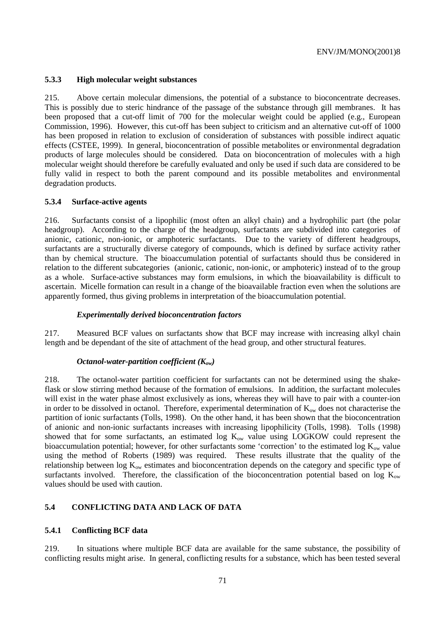#### **5.3.3 High molecular weight substances**

215. Above certain molecular dimensions, the potential of a substance to bioconcentrate decreases. This is possibly due to steric hindrance of the passage of the substance through gill membranes. It has been proposed that a cut-off limit of 700 for the molecular weight could be applied (e.g., European Commission, 1996). However, this cut-off has been subject to criticism and an alternative cut-off of 1000 has been proposed in relation to exclusion of consideration of substances with possible indirect aquatic effects (CSTEE, 1999). In general, bioconcentration of possible metabolites or environmental degradation products of large molecules should be considered. Data on bioconcentration of molecules with a high molecular weight should therefore be carefully evaluated and only be used if such data are considered to be fully valid in respect to both the parent compound and its possible metabolites and environmental degradation products.

#### **5.3.4 Surface-active agents**

216. Surfactants consist of a lipophilic (most often an alkyl chain) and a hydrophilic part (the polar headgroup). According to the charge of the headgroup, surfactants are subdivided into categories of anionic, cationic, non-ionic, or amphoteric surfactants. Due to the variety of different headgroups, surfactants are a structurally diverse category of compounds, which is defined by surface activity rather than by chemical structure. The bioaccumulation potential of surfactants should thus be considered in relation to the different subcategories (anionic, cationic, non-ionic, or amphoteric) instead of to the group as a whole. Surface-active substances may form emulsions, in which the bioavailability is difficult to ascertain. Micelle formation can result in a change of the bioavailable fraction even when the solutions are apparently formed, thus giving problems in interpretation of the bioaccumulation potential.

#### *Experimentally derived bioconcentration factors*

217. Measured BCF values on surfactants show that BCF may increase with increasing alkyl chain length and be dependant of the site of attachment of the head group, and other structural features.

#### *Octanol-water-partition coefficient (Kow)*

218. The octanol-water partition coefficient for surfactants can not be determined using the shakeflask or slow stirring method because of the formation of emulsions. In addition, the surfactant molecules will exist in the water phase almost exclusively as ions, whereas they will have to pair with a counter-ion in order to be dissolved in octanol. Therefore, experimental determination of  $K_{ow}$  does not characterise the partition of ionic surfactants (Tolls, 1998). On the other hand, it has been shown that the bioconcentration of anionic and non-ionic surfactants increases with increasing lipophilicity (Tolls, 1998). Tolls (1998) showed that for some surfactants, an estimated log  $K_{ow}$  value using LOGKOW could represent the bioaccumulation potential; however, for other surfactants some 'correction' to the estimated log  $K_{ow}$  value using the method of Roberts (1989) was required. These results illustrate that the quality of the relationship between log  $K_{ow}$  estimates and bioconcentration depends on the category and specific type of surfactants involved. Therefore, the classification of the bioconcentration potential based on log  $K_{ow}$ values should be used with caution.

# **5.4 CONFLICTING DATA AND LACK OF DATA**

#### **5.4.1 Conflicting BCF data**

219. In situations where multiple BCF data are available for the same substance, the possibility of conflicting results might arise. In general, conflicting results for a substance, which has been tested several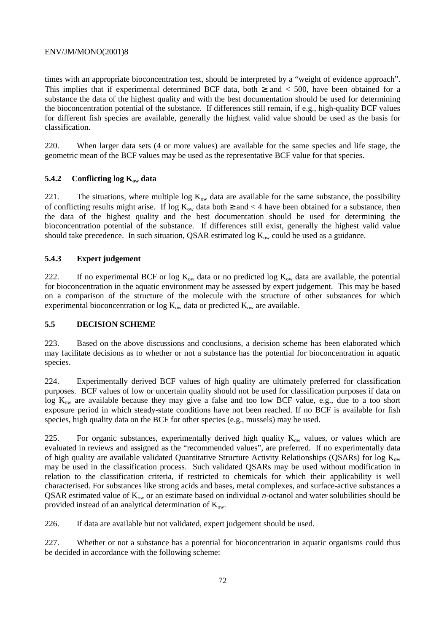times with an appropriate bioconcentration test, should be interpreted by a "weight of evidence approach". This implies that if experimental determined BCF data, both  $\geq$  and  $\lt$  500, have been obtained for a substance the data of the highest quality and with the best documentation should be used for determining the bioconcentration potential of the substance. If differences still remain, if e.g., high-quality BCF values for different fish species are available, generally the highest valid value should be used as the basis for classification.

220. When larger data sets (4 or more values) are available for the same species and life stage, the geometric mean of the BCF values may be used as the representative BCF value for that species.

# **5.4.2** Conflicting log K<sub>ow</sub> data

221. The situations, where multiple log  $K_{ow}$  data are available for the same substance, the possibility of conflicting results might arise. If log  $K_{ow}$  data both  $\geq$  and  $<$  4 have been obtained for a substance, then the data of the highest quality and the best documentation should be used for determining the bioconcentration potential of the substance. If differences still exist, generally the highest valid value should take precedence. In such situation, QSAR estimated log  $K_{ow}$  could be used as a guidance.

# **5.4.3 Expert judgement**

222. If no experimental BCF or log  $K_{ow}$  data or no predicted log  $K_{ow}$  data are available, the potential for bioconcentration in the aquatic environment may be assessed by expert judgement. This may be based on a comparison of the structure of the molecule with the structure of other substances for which experimental bioconcentration or log  $K_{ow}$  data or predicted  $K_{ow}$  are available.

## **5.5 DECISION SCHEME**

223. Based on the above discussions and conclusions, a decision scheme has been elaborated which may facilitate decisions as to whether or not a substance has the potential for bioconcentration in aquatic species.

224. Experimentally derived BCF values of high quality are ultimately preferred for classification purposes. BCF values of low or uncertain quality should not be used for classification purposes if data on log  $K_{ow}$  are available because they may give a false and too low BCF value, e.g., due to a too short exposure period in which steady-state conditions have not been reached. If no BCF is available for fish species, high quality data on the BCF for other species (e.g., mussels) may be used.

225. For organic substances, experimentally derived high quality  $K_{ow}$  values, or values which are evaluated in reviews and assigned as the "recommended values", are preferred. If no experimentally data of high quality are available validated Quantitative Structure Activity Relationships (QSARs) for log  $K_{ow}$ may be used in the classification process. Such validated QSARs may be used without modification in relation to the classification criteria, if restricted to chemicals for which their applicability is well characterised. For substances like strong acids and bases, metal complexes, and surface-active substances a QSAR estimated value of  $K_{ow}$  or an estimate based on individual *n*-octanol and water solubilities should be provided instead of an analytical determination of  $K_{ow}$ .

226. If data are available but not validated, expert judgement should be used.

227. Whether or not a substance has a potential for bioconcentration in aquatic organisms could thus be decided in accordance with the following scheme: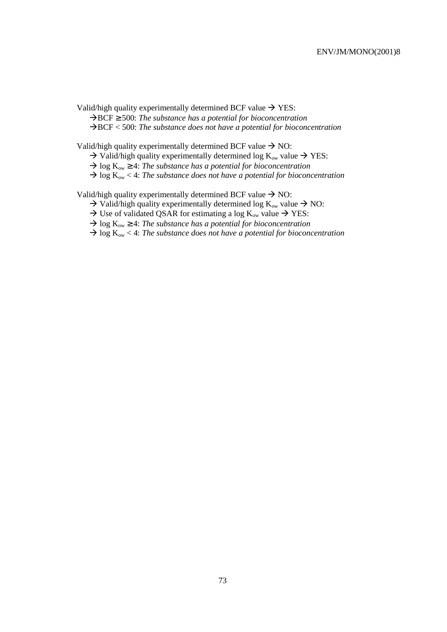Valid/high quality experimentally determined BCF value  $\rightarrow$  YES:

BCF ≥ 500: *The substance has a potential for bioconcentration*

BCF < 500: *The substance does not have a potential for bioconcentration*

Valid/high quality experimentally determined BCF value  $\rightarrow$  NO:

 $\rightarrow$  Valid/high quality experimentally determined log K<sub>ow</sub> value  $\rightarrow$  YES:

 $\rightarrow$  log K<sub>ow</sub>  $\geq$  4: *The substance has a potential for bioconcentration* 

 $\rightarrow$  log K<sub>ow</sub> < 4: *The substance does not have a potential for bioconcentration* 

Valid/high quality experimentally determined BCF value  $\rightarrow$  NO:

- $\rightarrow$  Valid/high quality experimentally determined log K<sub>ow</sub> value  $\rightarrow$  NO:
- $\rightarrow$  Use of validated QSAR for estimating a log K<sub>ow</sub> value  $\rightarrow$  YES:

 $\rightarrow$  log K<sub>ow</sub>  $\geq$  4: *The substance has a potential for bioconcentration* 

 $\rightarrow$  log K<sub>ow</sub> < 4: The substance does not have a potential for bioconcentration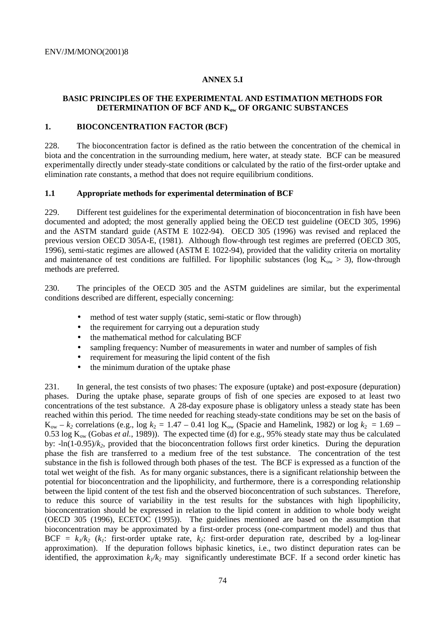## **ANNEX 5.I**

## **BASIC PRINCIPLES OF THE EXPERIMENTAL AND ESTIMATION METHODS FOR DETERMINATION OF BCF AND Kow OF ORGANIC SUBSTANCES**

## **1. BIOCONCENTRATION FACTOR (BCF)**

228. The bioconcentration factor is defined as the ratio between the concentration of the chemical in biota and the concentration in the surrounding medium, here water, at steady state. BCF can be measured experimentally directly under steady-state conditions or calculated by the ratio of the first-order uptake and elimination rate constants, a method that does not require equilibrium conditions.

#### **1.1 Appropriate methods for experimental determination of BCF**

229. Different test guidelines for the experimental determination of bioconcentration in fish have been documented and adopted; the most generally applied being the OECD test guideline (OECD 305, 1996) and the ASTM standard guide (ASTM E 1022-94). OECD 305 (1996) was revised and replaced the previous version OECD 305A-E, (1981). Although flow-through test regimes are preferred (OECD 305, 1996), semi-static regimes are allowed (ASTM E 1022-94), provided that the validity criteria on mortality and maintenance of test conditions are fulfilled. For lipophilic substances (log  $K_{ow} > 3$ ), flow-through methods are preferred.

230. The principles of the OECD 305 and the ASTM guidelines are similar, but the experimental conditions described are different, especially concerning:

- method of test water supply (static, semi-static or flow through)
- the requirement for carrying out a depuration study
- the mathematical method for calculating BCF
- sampling frequency: Number of measurements in water and number of samples of fish
- requirement for measuring the lipid content of the fish
- the minimum duration of the uptake phase

231. In general, the test consists of two phases: The exposure (uptake) and post-exposure (depuration) phases. During the uptake phase, separate groups of fish of one species are exposed to at least two concentrations of the test substance. A 28-day exposure phase is obligatory unless a steady state has been reached within this period. The time needed for reaching steady-state conditions may be set on the basis of  $K_{ow} - k_2$  correlations (e.g.,  $\log k_2 = 1.47 - 0.41 \log K_{ow}$  (Spacie and Hamelink, 1982) or  $\log k_2 = 1.69 -$ 0.53 log  $K_{ow}$  (Gobas *et al.*, 1989)). The expected time (d) for e.g., 95% steady state may thus be calculated by: -ln(1-0.95)/*k2*, provided that the bioconcentration follows first order kinetics. During the depuration phase the fish are transferred to a medium free of the test substance. The concentration of the test substance in the fish is followed through both phases of the test. The BCF is expressed as a function of the total wet weight of the fish. As for many organic substances, there is a significant relationship between the potential for bioconcentration and the lipophilicity, and furthermore, there is a corresponding relationship between the lipid content of the test fish and the observed bioconcentration of such substances. Therefore, to reduce this source of variability in the test results for the substances with high lipophilicity, bioconcentration should be expressed in relation to the lipid content in addition to whole body weight (OECD 305 (1996), ECETOC (1995)). The guidelines mentioned are based on the assumption that bioconcentration may be approximated by a first-order process (one-compartment model) and thus that BCF =  $k_1/k_2$  ( $k_1$ : first-order uptake rate,  $k_2$ : first-order depuration rate, described by a log-linear approximation). If the depuration follows biphasic kinetics, i.e., two distinct depuration rates can be identified, the approximation  $k_1/k_2$  may significantly underestimate BCF. If a second order kinetic has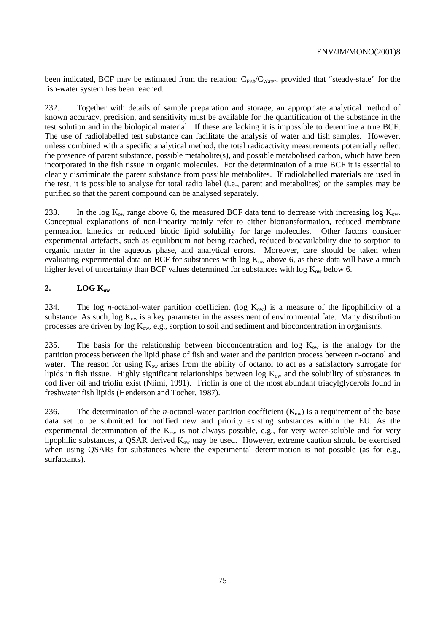been indicated, BCF may be estimated from the relation:  $C_{Fish}/C_{Water}$ , provided that "steady-state" for the fish-water system has been reached.

232. Together with details of sample preparation and storage, an appropriate analytical method of known accuracy, precision, and sensitivity must be available for the quantification of the substance in the test solution and in the biological material. If these are lacking it is impossible to determine a true BCF. The use of radiolabelled test substance can facilitate the analysis of water and fish samples. However, unless combined with a specific analytical method, the total radioactivity measurements potentially reflect the presence of parent substance, possible metabolite(s), and possible metabolised carbon, which have been incorporated in the fish tissue in organic molecules. For the determination of a true BCF it is essential to clearly discriminate the parent substance from possible metabolites. If radiolabelled materials are used in the test, it is possible to analyse for total radio label (i.e., parent and metabolites) or the samples may be purified so that the parent compound can be analysed separately.

233. In the log  $K_{ow}$  range above 6, the measured BCF data tend to decrease with increasing log  $K_{ow}$ . Conceptual explanations of non-linearity mainly refer to either biotransformation, reduced membrane permeation kinetics or reduced biotic lipid solubility for large molecules. Other factors consider experimental artefacts, such as equilibrium not being reached, reduced bioavailability due to sorption to organic matter in the aqueous phase, and analytical errors. Moreover, care should be taken when evaluating experimental data on BCF for substances with  $\log K_{ow}$  above 6, as these data will have a much higher level of uncertainty than BCF values determined for substances with log  $K_{ow}$  below 6.

## **2. LOG K<sub>ow</sub>**

234. The log *n*-octanol-water partition coefficient (log  $K_{ow}$ ) is a measure of the lipophilicity of a substance. As such,  $log K<sub>ow</sub>$  is a key parameter in the assessment of environmental fate. Many distribution processes are driven by  $log K_{ow}$ , e.g., sorption to soil and sediment and bioconcentration in organisms.

235. The basis for the relationship between bioconcentration and log  $K_{ow}$  is the analogy for the partition process between the lipid phase of fish and water and the partition process between n-octanol and water. The reason for using  $K_{ow}$  arises from the ability of octanol to act as a satisfactory surrogate for lipids in fish tissue. Highly significant relationships between log  $K_{ow}$  and the solubility of substances in cod liver oil and triolin exist (Niimi, 1991). Triolin is one of the most abundant triacylglycerols found in freshwater fish lipids (Henderson and Tocher, 1987).

236. The determination of the *n*-octanol-water partition coefficient  $(K_{ow})$  is a requirement of the base data set to be submitted for notified new and priority existing substances within the EU. As the experimental determination of the  $K_{ow}$  is not always possible, e.g., for very water-soluble and for very lipophilic substances, a QSAR derived  $K_{ow}$  may be used. However, extreme caution should be exercised when using QSARs for substances where the experimental determination is not possible (as for e.g., surfactants).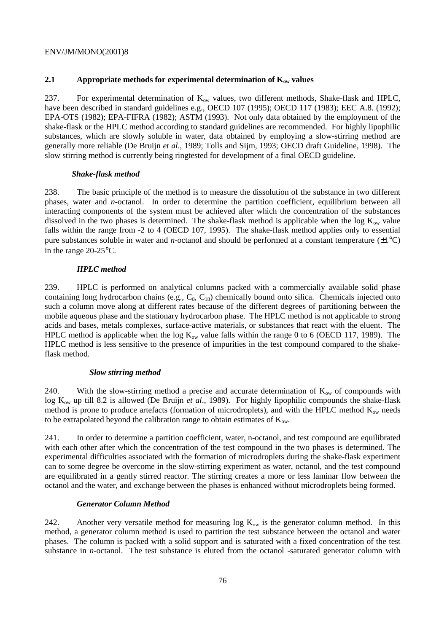### **2.1** Appropriate methods for experimental determination of K<sub>ow</sub> values

237. For experimental determination of  $K_{ow}$  values, two different methods, Shake-flask and HPLC, have been described in standard guidelines e.g., OECD 107 (1995); OECD 117 (1983); EEC A.8. (1992); EPA-OTS (1982); EPA-FIFRA (1982); ASTM (1993). Not only data obtained by the employment of the shake-flask or the HPLC method according to standard guidelines are recommended. For highly lipophilic substances, which are slowly soluble in water, data obtained by employing a slow-stirring method are generally more reliable (De Bruijn *et al*., 1989; Tolls and Sijm, 1993; OECD draft Guideline, 1998). The slow stirring method is currently being ringtested for development of a final OECD guideline.

#### *Shake-flask method*

238. The basic principle of the method is to measure the dissolution of the substance in two different phases, water and *n*-octanol. In order to determine the partition coefficient, equilibrium between all interacting components of the system must be achieved after which the concentration of the substances dissolved in the two phases is determined. The shake-flask method is applicable when the log  $K_{ow}$  value falls within the range from -2 to 4 (OECD 107, 1995). The shake-flask method applies only to essential pure substances soluble in water and *n*-octanol and should be performed at a constant temperature  $(\pm 1^{\circ}C)$ in the range 20-25°C.

#### *HPLC method*

239. HPLC is performed on analytical columns packed with a commercially available solid phase containing long hydrocarbon chains (e.g.,  $C_8$ ,  $C_{18}$ ) chemically bound onto silica. Chemicals injected onto such a column move along at different rates because of the different degrees of partitioning between the mobile aqueous phase and the stationary hydrocarbon phase. The HPLC method is not applicable to strong acids and bases, metals complexes, surface-active materials, or substances that react with the eluent. The HPLC method is applicable when the log  $K_{ow}$  value falls within the range 0 to 6 (OECD 117, 1989). The HPLC method is less sensitive to the presence of impurities in the test compound compared to the shakeflask method.

#### *Slow stirring method*

240. With the slow-stirring method a precise and accurate determination of  $K_{ow}$  of compounds with log K<sub>ow</sub> up till 8.2 is allowed (De Bruijn *et al.*, 1989). For highly lipophilic compounds the shake-flask method is prone to produce artefacts (formation of microdroplets), and with the HPLC method  $K_{ow}$  needs to be extrapolated beyond the calibration range to obtain estimates of  $K_{ow}$ .

241. In order to determine a partition coefficient, water, n-octanol, and test compound are equilibrated with each other after which the concentration of the test compound in the two phases is determined. The experimental difficulties associated with the formation of microdroplets during the shake-flask experiment can to some degree be overcome in the slow-stirring experiment as water, octanol, and the test compound are equilibrated in a gently stirred reactor. The stirring creates a more or less laminar flow between the octanol and the water, and exchange between the phases is enhanced without microdroplets being formed.

#### *Generator Column Method*

242. Another very versatile method for measuring  $\log K_{ow}$  is the generator column method. In this method, a generator column method is used to partition the test substance between the octanol and water phases. The column is packed with a solid support and is saturated with a fixed concentration of the test substance in *n*-octanol. The test substance is eluted from the octanol -saturated generator column with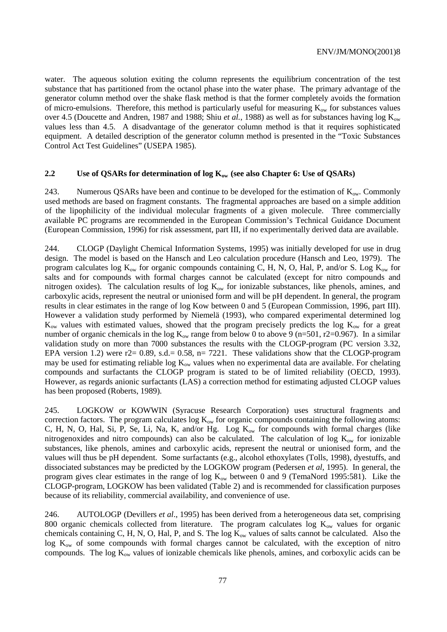water. The aqueous solution exiting the column represents the equilibrium concentration of the test substance that has partitioned from the octanol phase into the water phase. The primary advantage of the generator column method over the shake flask method is that the former completely avoids the formation of micro-emulsions. Therefore, this method is particularly useful for measuring  $K_{ow}$  for substances values over 4.5 (Doucette and Andren, 1987 and 1988; Shiu *et al.*, 1988) as well as for substances having log  $K_{ow}$ values less than 4.5. A disadvantage of the generator column method is that it requires sophisticated equipment. A detailed description of the generator column method is presented in the "Toxic Substances Control Act Test Guidelines" (USEPA 1985).

#### 2.2 Use of QSARs for determination of log K<sub>ow</sub> (see also Chapter 6: Use of QSARs)

243. Numerous QSARs have been and continue to be developed for the estimation of  $K_{ow}$ . Commonly used methods are based on fragment constants. The fragmental approaches are based on a simple addition of the lipophilicity of the individual molecular fragments of a given molecule. Three commercially available PC programs are recommended in the European Commission's Technical Guidance Document (European Commission, 1996) for risk assessment, part III, if no experimentally derived data are available.

244. CLOGP (Daylight Chemical Information Systems, 1995) was initially developed for use in drug design. The model is based on the Hansch and Leo calculation procedure (Hansch and Leo, 1979). The program calculates log  $K_{ow}$  for organic compounds containing C, H, N, O, Hal, P, and/or S. Log  $K_{ow}$  for salts and for compounds with formal charges cannot be calculated (except for nitro compounds and nitrogen oxides). The calculation results of log  $K_{ow}$  for ionizable substances, like phenols, amines, and carboxylic acids, represent the neutral or unionised form and will be pH dependent. In general, the program results in clear estimates in the range of log Kow between 0 and 5 (European Commission, 1996, part III). However a validation study performed by Niemelä (1993), who compared experimental determined log  $K_{ow}$  values with estimated values, showed that the program precisely predicts the log  $K_{ow}$  for a great number of organic chemicals in the log  $K_{ow}$  range from below 0 to above 9 (n=501, r2=0.967). In a similar validation study on more than 7000 substances the results with the CLOGP-program (PC version 3.32, EPA version 1.2) were  $r2 = 0.89$ , s.d. = 0.58, n = 7221. These validations show that the CLOGP-program may be used for estimating reliable  $\log K_{ow}$  values when no experimental data are available. For chelating compounds and surfactants the CLOGP program is stated to be of limited reliability (OECD, 1993). However, as regards anionic surfactants (LAS) a correction method for estimating adjusted CLOGP values has been proposed (Roberts, 1989).

245. LOGKOW or KOWWIN (Syracuse Research Corporation) uses structural fragments and correction factors. The program calculates  $\log K_{ow}$  for organic compounds containing the following atoms: C, H, N, O, Hal, Si, P, Se, Li, Na, K, and/or Hg. Log K<sub>ow</sub> for compounds with formal charges (like nitrogenoxides and nitro compounds) can also be calculated. The calculation of log  $K_{ow}$  for ionizable substances, like phenols, amines and carboxylic acids, represent the neutral or unionised form, and the values will thus be pH dependent. Some surfactants (e.g., alcohol ethoxylates (Tolls, 1998), dyestuffs, and dissociated substances may be predicted by the LOGKOW program (Pedersen *et al*, 1995). In general, the program gives clear estimates in the range of log  $K_{ow}$  between 0 and 9 (TemaNord 1995:581). Like the CLOGP-program, LOGKOW has been validated (Table 2) and is recommended for classification purposes because of its reliability, commercial availability, and convenience of use.

246. AUTOLOGP (Devillers *et al*., 1995) has been derived from a heterogeneous data set, comprising 800 organic chemicals collected from literature. The program calculates log  $K_{ow}$  values for organic chemicals containing C, H, N, O, Hal, P, and S. The log  $K_{ow}$  values of salts cannot be calculated. Also the  $\log K_{ow}$  of some compounds with formal charges cannot be calculated, with the exception of nitro compounds. The log  $K_{ow}$  values of ionizable chemicals like phenols, amines, and corboxylic acids can be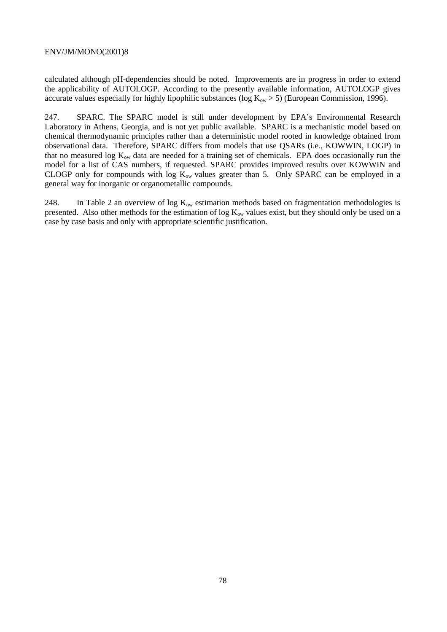calculated although pH-dependencies should be noted. Improvements are in progress in order to extend the applicability of AUTOLOGP. According to the presently available information, AUTOLOGP gives accurate values especially for highly lipophilic substances (log  $K_{ow} > 5$ ) (European Commission, 1996).

247. SPARC. The SPARC model is still under development by EPA's Environmental Research Laboratory in Athens, Georgia, and is not yet public available. SPARC is a mechanistic model based on chemical thermodynamic principles rather than a deterministic model rooted in knowledge obtained from observational data. Therefore, SPARC differs from models that use QSARs (i.e., KOWWIN, LOGP) in that no measured log  $K_{ow}$  data are needed for a training set of chemicals. EPA does occasionally run the model for a list of CAS numbers, if requested. SPARC provides improved results over KOWWIN and CLOGP only for compounds with log  $K_{ow}$  values greater than 5. Only SPARC can be employed in a general way for inorganic or organometallic compounds.

248. In Table 2 an overview of log  $K_{ow}$  estimation methods based on fragmentation methodologies is presented. Also other methods for the estimation of log  $K_{ow}$  values exist, but they should only be used on a case by case basis and only with appropriate scientific justification.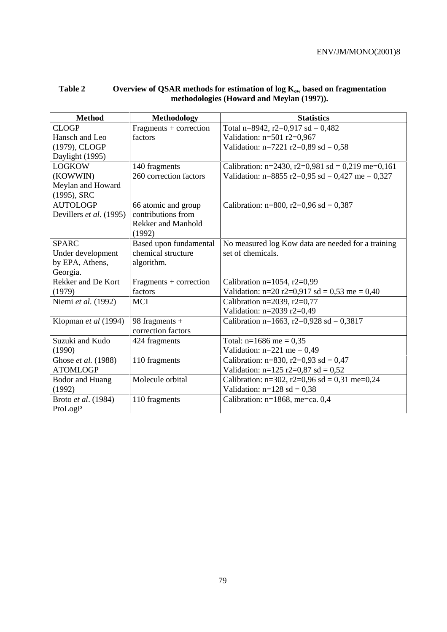| Table 2 | Overview of QSAR methods for estimation of $log Kow$ based on fragmentation |
|---------|-----------------------------------------------------------------------------|
|         | methodologies (Howard and Meylan (1997)).                                   |

| <b>Method</b>           | <b>Methodology</b>        | <b>Statistics</b>                                    |
|-------------------------|---------------------------|------------------------------------------------------|
| <b>CLOGP</b>            | $Fragments + correction$  | Total n=8942, r2=0,917 sd = 0,482                    |
| Hansch and Leo          | factors                   | Validation: $n=501$ r2=0,967                         |
| (1979), CLOGP           |                           | Validation: $n=7221$ r2=0,89 sd = 0,58               |
| Daylight (1995)         |                           |                                                      |
| <b>LOGKOW</b>           | 140 fragments             | Calibration: n=2430, r2=0,981 sd = 0,219 me=0,161    |
| (KOWWIN)                | 260 correction factors    | Validation: $n=8855$ $r2=0.95$ sd = 0.427 me = 0.327 |
| Meylan and Howard       |                           |                                                      |
| $(1995)$ , SRC          |                           |                                                      |
| <b>AUTOLOGP</b>         | 66 atomic and group       | Calibration: $n=800$ , $r2=0.96$ sd = 0.387          |
| Devillers et al. (1995) | contributions from        |                                                      |
|                         | <b>Rekker and Manhold</b> |                                                      |
|                         | (1992)                    |                                                      |
| <b>SPARC</b>            | Based upon fundamental    | No measured log Kow data are needed for a training   |
| Under development       | chemical structure        | set of chemicals.                                    |
| by EPA, Athens,         | algorithm.                |                                                      |
| Georgia.                |                           |                                                      |
| Rekker and De Kort      | $Fragments + correction$  | Calibration n= $1054$ , r2=0,99                      |
| (1979)                  | factors                   | Validation: $n=20$ r2=0,917 sd = 0,53 me = 0,40      |
| Niemi et al. (1992)     | <b>MCI</b>                | Calibration n=2039, r2=0,77                          |
|                         |                           | Validation: $n=2039$ r2=0,49                         |
| Klopman et al (1994)    | 98 fragments $+$          | Calibration n=1663, r2=0,928 sd = 0,3817             |
|                         | correction factors        |                                                      |
| Suzuki and Kudo         | 424 fragments             | Total: $n=1686$ me = 0,35                            |
| (1990)                  |                           | Validation: $n=221$ me = 0,49                        |
| Ghose et al. (1988)     | 110 fragments             | Calibration: $n=830$ , $r2=0.93$ sd = 0.47           |
| <b>ATOMLOGP</b>         |                           | Validation: $n=125$ r2=0,87 sd = 0,52                |
| Bodor and Huang         | Molecule orbital          | Calibration: $n=302$ , $r2=0.96$ sd = 0.31 me=0.24   |
| (1992)                  |                           | Validation: $n=128$ sd = 0,38                        |
| Broto et al. (1984)     | 110 fragments             | Calibration: n=1868, me=ca. 0,4                      |
| ProLogP                 |                           |                                                      |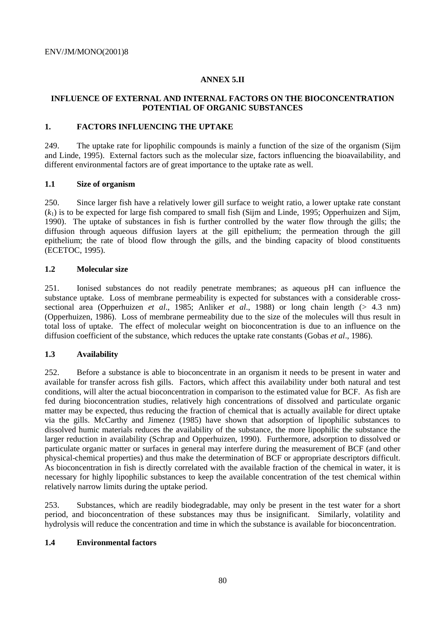## **ANNEX 5.II**

## **INFLUENCE OF EXTERNAL AND INTERNAL FACTORS ON THE BIOCONCENTRATION POTENTIAL OF ORGANIC SUBSTANCES**

## **1. FACTORS INFLUENCING THE UPTAKE**

249. The uptake rate for lipophilic compounds is mainly a function of the size of the organism (Sijm and Linde, 1995). External factors such as the molecular size, factors influencing the bioavailability, and different environmental factors are of great importance to the uptake rate as well.

### **1.1 Size of organism**

250. Since larger fish have a relatively lower gill surface to weight ratio, a lower uptake rate constant  $(k_1)$  is to be expected for large fish compared to small fish (Sijm and Linde, 1995; Opperhuizen and Sijm, 1990). The uptake of substances in fish is further controlled by the water flow through the gills; the diffusion through aqueous diffusion layers at the gill epithelium; the permeation through the gill epithelium; the rate of blood flow through the gills, and the binding capacity of blood constituents (ECETOC, 1995).

## **1.2 Molecular size**

251. Ionised substances do not readily penetrate membranes; as aqueous pH can influence the substance uptake. Loss of membrane permeability is expected for substances with a considerable crosssectional area (Opperhuizen *et al*., 1985; Anliker *et al*., 1988) or long chain length (> 4.3 nm) (Opperhuizen, 1986). Loss of membrane permeability due to the size of the molecules will thus result in total loss of uptake. The effect of molecular weight on bioconcentration is due to an influence on the diffusion coefficient of the substance, which reduces the uptake rate constants (Gobas *et al*., 1986).

## **1.3 Availability**

252. Before a substance is able to bioconcentrate in an organism it needs to be present in water and available for transfer across fish gills. Factors, which affect this availability under both natural and test conditions, will alter the actual bioconcentration in comparison to the estimated value for BCF. As fish are fed during bioconcentration studies, relatively high concentrations of dissolved and particulate organic matter may be expected, thus reducing the fraction of chemical that is actually available for direct uptake via the gills. McCarthy and Jimenez (1985) have shown that adsorption of lipophilic substances to dissolved humic materials reduces the availability of the substance, the more lipophilic the substance the larger reduction in availability (Schrap and Opperhuizen, 1990). Furthermore, adsorption to dissolved or particulate organic matter or surfaces in general may interfere during the measurement of BCF (and other physical-chemical properties) and thus make the determination of BCF or appropriate descriptors difficult. As bioconcentration in fish is directly correlated with the available fraction of the chemical in water, it is necessary for highly lipophilic substances to keep the available concentration of the test chemical within relatively narrow limits during the uptake period.

253. Substances, which are readily biodegradable, may only be present in the test water for a short period, and bioconcentration of these substances may thus be insignificant. Similarly, volatility and hydrolysis will reduce the concentration and time in which the substance is available for bioconcentration.

### **1.4 Environmental factors**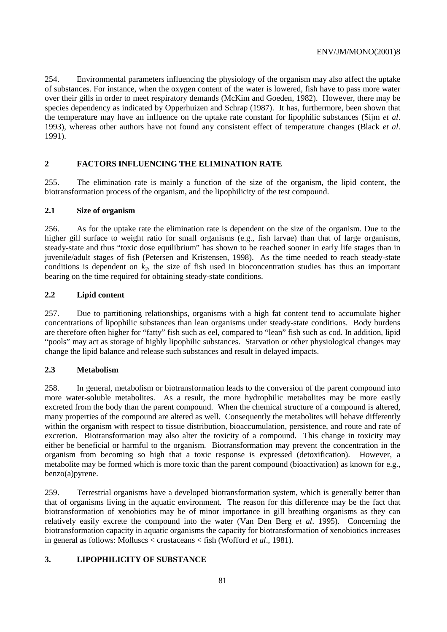254. Environmental parameters influencing the physiology of the organism may also affect the uptake of substances. For instance, when the oxygen content of the water is lowered, fish have to pass more water over their gills in order to meet respiratory demands (McKim and Goeden, 1982). However, there may be species dependency as indicated by Opperhuizen and Schrap (1987). It has, furthermore, been shown that the temperature may have an influence on the uptake rate constant for lipophilic substances (Sijm *et al*. 1993), whereas other authors have not found any consistent effect of temperature changes (Black *et al*. 1991).

## **2 FACTORS INFLUENCING THE ELIMINATION RATE**

255. The elimination rate is mainly a function of the size of the organism, the lipid content, the biotransformation process of the organism, and the lipophilicity of the test compound.

### **2.1 Size of organism**

256. As for the uptake rate the elimination rate is dependent on the size of the organism. Due to the higher gill surface to weight ratio for small organisms (e.g., fish larvae) than that of large organisms, steady-state and thus "toxic dose equilibrium" has shown to be reached sooner in early life stages than in juvenile/adult stages of fish (Petersen and Kristensen, 1998). As the time needed to reach steady-state conditions is dependent on  $k_2$ , the size of fish used in bioconcentration studies has thus an important bearing on the time required for obtaining steady-state conditions.

### **2.2 Lipid content**

257. Due to partitioning relationships, organisms with a high fat content tend to accumulate higher concentrations of lipophilic substances than lean organisms under steady-state conditions. Body burdens are therefore often higher for "fatty" fish such as eel, compared to "lean" fish such as cod. In addition, lipid "pools" may act as storage of highly lipophilic substances. Starvation or other physiological changes may change the lipid balance and release such substances and result in delayed impacts.

### **2.3 Metabolism**

258. In general, metabolism or biotransformation leads to the conversion of the parent compound into more water-soluble metabolites. As a result, the more hydrophilic metabolites may be more easily excreted from the body than the parent compound. When the chemical structure of a compound is altered, many properties of the compound are altered as well. Consequently the metabolites will behave differently within the organism with respect to tissue distribution, bioaccumulation, persistence, and route and rate of excretion. Biotransformation may also alter the toxicity of a compound. This change in toxicity may either be beneficial or harmful to the organism. Biotransformation may prevent the concentration in the organism from becoming so high that a toxic response is expressed (detoxification). However, a metabolite may be formed which is more toxic than the parent compound (bioactivation) as known for e.g., benzo(a)pyrene.

259. Terrestrial organisms have a developed biotransformation system, which is generally better than that of organisms living in the aquatic environment. The reason for this difference may be the fact that biotransformation of xenobiotics may be of minor importance in gill breathing organisms as they can relatively easily excrete the compound into the water (Van Den Berg *et al*. 1995). Concerning the biotransformation capacity in aquatic organisms the capacity for biotransformation of xenobiotics increases in general as follows: Molluscs < crustaceans < fish (Wofford *et al*., 1981).

## **3. LIPOPHILICITY OF SUBSTANCE**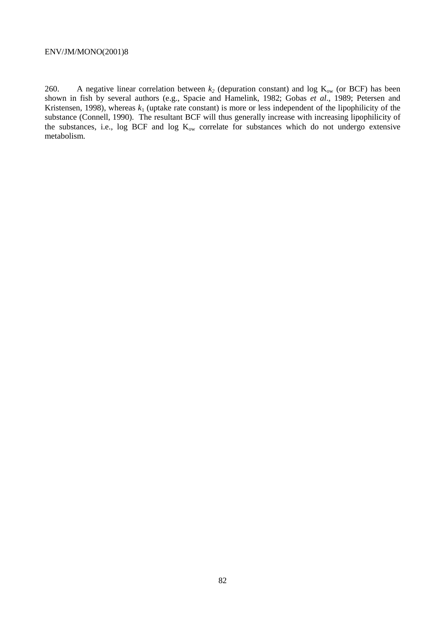260. A negative linear correlation between  $k_2$  (depuration constant) and log  $K_{ow}$  (or BCF) has been shown in fish by several authors (e.g., Spacie and Hamelink, 1982; Gobas *et al*., 1989; Petersen and Kristensen, 1998), whereas  $k_1$  (uptake rate constant) is more or less independent of the lipophilicity of the substance (Connell, 1990). The resultant BCF will thus generally increase with increasing lipophilicity of the substances, i.e., log BCF and log  $K_{ow}$  correlate for substances which do not undergo extensive metabolism.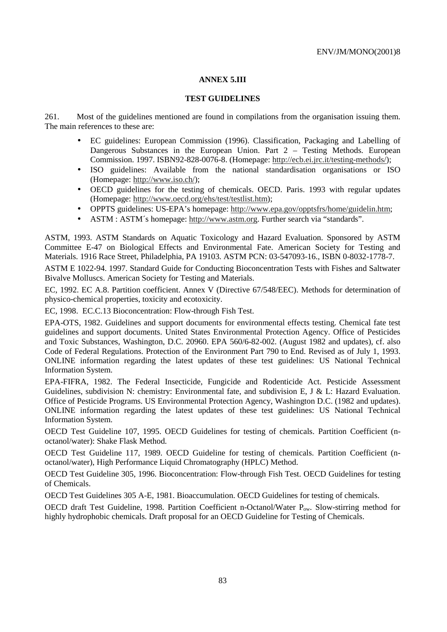## **ANNEX 5.III**

### **TEST GUIDELINES**

261. Most of the guidelines mentioned are found in compilations from the organisation issuing them. The main references to these are:

- EC guidelines: European Commission (1996). Classification, Packaging and Labelling of Dangerous Substances in the European Union. Part 2 – Testing Methods. European Commission. 1997. ISBN92-828-0076-8. (Homepage: http://ecb.ei.jrc.it/testing-methods/);
- ISO guidelines: Available from the national standardisation organisations or ISO (Homepage: http://www.iso.ch/);
- OECD guidelines for the testing of chemicals. OECD. Paris. 1993 with regular updates (Homepage: http://www.oecd.org/ehs/test/testlist.htm);
- OPPTS guidelines: US-EPA's homepage: http://www.epa.gov/opptsfrs/home/guidelin.htm;
- ASTM : ASTM's homepage: http://www.astm.org. Further search via "standards".

ASTM, 1993. ASTM Standards on Aquatic Toxicology and Hazard Evaluation. Sponsored by ASTM Committee E-47 on Biological Effects and Environmental Fate. American Society for Testing and Materials. 1916 Race Street, Philadelphia, PA 19103. ASTM PCN: 03-547093-16., ISBN 0-8032-1778-7.

ASTM E 1022-94. 1997. Standard Guide for Conducting Bioconcentration Tests with Fishes and Saltwater Bivalve Molluscs. American Society for Testing and Materials.

EC, 1992. EC A.8. Partition coefficient. Annex V (Directive 67/548/EEC). Methods for determination of physico-chemical properties, toxicity and ecotoxicity.

EC, 1998. EC.C.13 Bioconcentration: Flow-through Fish Test.

EPA-OTS, 1982. Guidelines and support documents for environmental effects testing. Chemical fate test guidelines and support documents. United States Environmental Protection Agency. Office of Pesticides and Toxic Substances, Washington, D.C. 20960. EPA 560/6-82-002. (August 1982 and updates), cf. also Code of Federal Regulations. Protection of the Environment Part 790 to End. Revised as of July 1, 1993. ONLINE information regarding the latest updates of these test guidelines: US National Technical Information System.

EPA-FIFRA, 1982. The Federal Insecticide, Fungicide and Rodenticide Act. Pesticide Assessment Guidelines, subdivision N: chemistry: Environmental fate, and subdivision E, J & L: Hazard Evaluation. Office of Pesticide Programs. US Environmental Protection Agency, Washington D.C. (1982 and updates). ONLINE information regarding the latest updates of these test guidelines: US National Technical Information System.

OECD Test Guideline 107, 1995. OECD Guidelines for testing of chemicals. Partition Coefficient (noctanol/water): Shake Flask Method.

OECD Test Guideline 117, 1989. OECD Guideline for testing of chemicals. Partition Coefficient (noctanol/water), High Performance Liquid Chromatography (HPLC) Method.

OECD Test Guideline 305, 1996. Bioconcentration: Flow-through Fish Test. OECD Guidelines for testing of Chemicals.

OECD Test Guidelines 305 A-E, 1981. Bioaccumulation. OECD Guidelines for testing of chemicals.

OECD draft Test Guideline, 1998. Partition Coefficient n-Octanol/Water  $P_{ow}$ . Slow-stirring method for highly hydrophobic chemicals. Draft proposal for an OECD Guideline for Testing of Chemicals.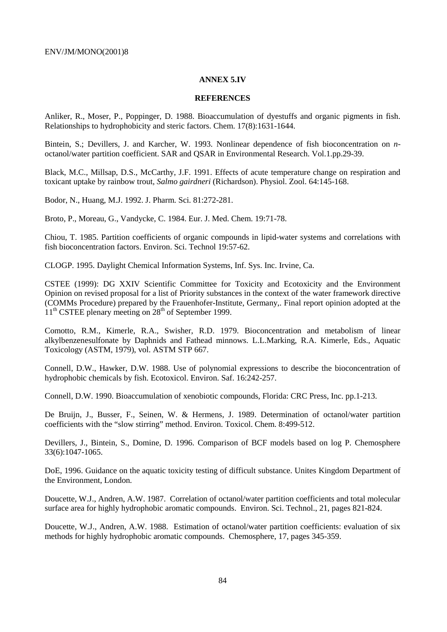#### **ANNEX 5.IV**

#### **REFERENCES**

Anliker, R., Moser, P., Poppinger, D. 1988. Bioaccumulation of dyestuffs and organic pigments in fish. Relationships to hydrophobicity and steric factors. Chem. 17(8):1631-1644.

Bintein, S.; Devillers, J. and Karcher, W. 1993. Nonlinear dependence of fish bioconcentration on *n*octanol/water partition coefficient. SAR and QSAR in Environmental Research. Vol.1.pp.29-39.

Black, M.C., Millsap, D.S., McCarthy, J.F. 1991. Effects of acute temperature change on respiration and toxicant uptake by rainbow trout, *Salmo gairdneri* (Richardson). Physiol. Zool. 64:145-168.

Bodor, N., Huang, M.J. 1992. J. Pharm. Sci. 81:272-281.

Broto, P., Moreau, G., Vandycke, C. 1984. Eur. J. Med. Chem. 19:71-78.

Chiou, T. 1985. Partition coefficients of organic compounds in lipid-water systems and correlations with fish bioconcentration factors. Environ. Sci. Technol 19:57-62.

CLOGP. 1995. Daylight Chemical Information Systems, Inf. Sys. Inc. Irvine, Ca.

CSTEE (1999): DG XXIV Scientific Committee for Toxicity and Ecotoxicity and the Environment Opinion on revised proposal for a list of Priority substances in the context of the water framework directive (COMMs Procedure) prepared by the Frauenhofer-Institute, Germany,. Final report opinion adopted at the  $11<sup>th</sup>$  CSTEE plenary meeting on  $28<sup>th</sup>$  of September 1999.

Comotto, R.M., Kimerle, R.A., Swisher, R.D. 1979. Bioconcentration and metabolism of linear alkylbenzenesulfonate by Daphnids and Fathead minnows. L.L.Marking, R.A. Kimerle, Eds., Aquatic Toxicology (ASTM, 1979), vol. ASTM STP 667.

Connell, D.W., Hawker, D.W. 1988. Use of polynomial expressions to describe the bioconcentration of hydrophobic chemicals by fish. Ecotoxicol. Environ. Saf. 16:242-257.

Connell, D.W. 1990. Bioaccumulation of xenobiotic compounds, Florida: CRC Press, Inc. pp.1-213.

De Bruijn, J., Busser, F., Seinen, W. & Hermens, J. 1989. Determination of octanol/water partition coefficients with the "slow stirring" method. Environ. Toxicol. Chem. 8:499-512.

Devillers, J., Bintein, S., Domine, D. 1996. Comparison of BCF models based on log P. Chemosphere 33(6):1047-1065.

DoE, 1996. Guidance on the aquatic toxicity testing of difficult substance. Unites Kingdom Department of the Environment, London.

Doucette, W.J., Andren, A.W. 1987. Correlation of octanol/water partition coefficients and total molecular surface area for highly hydrophobic aromatic compounds. Environ. Sci. Technol., 21, pages 821-824.

Doucette, W.J., Andren, A.W. 1988. Estimation of octanol/water partition coefficients: evaluation of six methods for highly hydrophobic aromatic compounds. Chemosphere, 17, pages 345-359.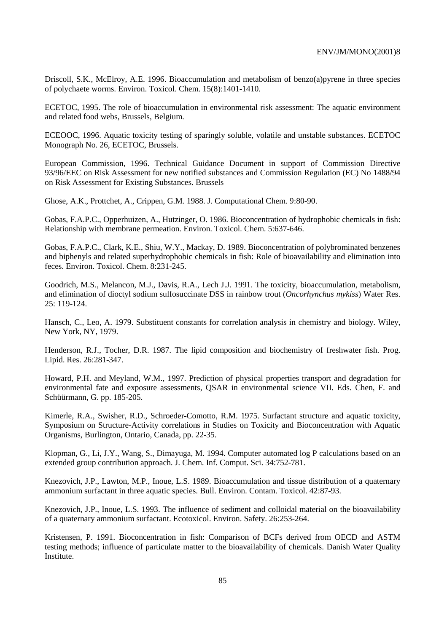Driscoll, S.K., McElroy, A.E. 1996. Bioaccumulation and metabolism of benzo(a)pyrene in three species of polychaete worms. Environ. Toxicol. Chem. 15(8):1401-1410.

ECETOC, 1995. The role of bioaccumulation in environmental risk assessment: The aquatic environment and related food webs, Brussels, Belgium.

ECEOOC, 1996. Aquatic toxicity testing of sparingly soluble, volatile and unstable substances. ECETOC Monograph No. 26, ECETOC, Brussels.

European Commission, 1996. Technical Guidance Document in support of Commission Directive 93/96/EEC on Risk Assessment for new notified substances and Commission Regulation (EC) No 1488/94 on Risk Assessment for Existing Substances. Brussels

Ghose, A.K., Prottchet, A., Crippen, G.M. 1988. J. Computational Chem. 9:80-90.

Gobas, F.A.P.C., Opperhuizen, A., Hutzinger, O. 1986. Bioconcentration of hydrophobic chemicals in fish: Relationship with membrane permeation. Environ. Toxicol. Chem. 5:637-646.

Gobas, F.A.P.C., Clark, K.E., Shiu, W.Y., Mackay, D. 1989. Bioconcentration of polybrominated benzenes and biphenyls and related superhydrophobic chemicals in fish: Role of bioavailability and elimination into feces. Environ. Toxicol. Chem. 8:231-245.

Goodrich, M.S., Melancon, M.J., Davis, R.A., Lech J.J. 1991. The toxicity, bioaccumulation, metabolism, and elimination of dioctyl sodium sulfosuccinate DSS in rainbow trout (*Oncorhynchus mykiss*) Water Res. 25: 119-124.

Hansch, C., Leo, A. 1979. Substituent constants for correlation analysis in chemistry and biology. Wiley, New York, NY, 1979.

Henderson, R.J., Tocher, D.R. 1987. The lipid composition and biochemistry of freshwater fish. Prog. Lipid. Res. 26:281-347.

Howard, P.H. and Meyland, W.M., 1997. Prediction of physical properties transport and degradation for environmental fate and exposure assessments, QSAR in environmental science VII. Eds. Chen, F. and Schüürmann, G. pp. 185-205.

Kimerle, R.A., Swisher, R.D., Schroeder-Comotto, R.M. 1975. Surfactant structure and aquatic toxicity, Symposium on Structure-Activity correlations in Studies on Toxicity and Bioconcentration with Aquatic Organisms, Burlington, Ontario, Canada, pp. 22-35.

Klopman, G., Li, J.Y., Wang, S., Dimayuga, M. 1994. Computer automated log P calculations based on an extended group contribution approach. J. Chem. Inf. Comput. Sci. 34:752-781.

Knezovich, J.P., Lawton, M.P., Inoue, L.S. 1989. Bioaccumulation and tissue distribution of a quaternary ammonium surfactant in three aquatic species. Bull. Environ. Contam. Toxicol. 42:87-93.

Knezovich, J.P., Inoue, L.S. 1993. The influence of sediment and colloidal material on the bioavailability of a quaternary ammonium surfactant. Ecotoxicol. Environ. Safety. 26:253-264.

Kristensen, P. 1991. Bioconcentration in fish: Comparison of BCFs derived from OECD and ASTM testing methods; influence of particulate matter to the bioavailability of chemicals. Danish Water Quality Institute.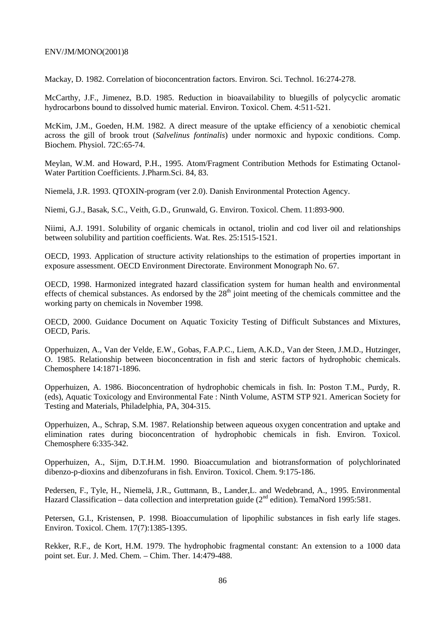Mackay, D. 1982. Correlation of bioconcentration factors. Environ. Sci. Technol. 16:274-278.

McCarthy, J.F., Jimenez, B.D. 1985. Reduction in bioavailability to bluegills of polycyclic aromatic hydrocarbons bound to dissolved humic material. Environ. Toxicol. Chem. 4:511-521.

McKim, J.M., Goeden, H.M. 1982. A direct measure of the uptake efficiency of a xenobiotic chemical across the gill of brook trout (*Salvelinus fontinalis*) under normoxic and hypoxic conditions. Comp. Biochem. Physiol. 72C:65-74.

Meylan, W.M. and Howard, P.H., 1995. Atom/Fragment Contribution Methods for Estimating Octanol-Water Partition Coefficients. J.Pharm.Sci. 84, 83.

Niemelä, J.R. 1993. QTOXIN-program (ver 2.0). Danish Environmental Protection Agency.

Niemi, G.J., Basak, S.C., Veith, G.D., Grunwald, G. Environ. Toxicol. Chem. 11:893-900.

Niimi, A.J. 1991. Solubility of organic chemicals in octanol, triolin and cod liver oil and relationships between solubility and partition coefficients. Wat. Res. 25:1515-1521.

OECD, 1993. Application of structure activity relationships to the estimation of properties important in exposure assessment. OECD Environment Directorate. Environment Monograph No. 67.

OECD, 1998. Harmonized integrated hazard classification system for human health and environmental effects of chemical substances. As endorsed by the  $28<sup>th</sup>$  joint meeting of the chemicals committee and the working party on chemicals in November 1998.

OECD, 2000. Guidance Document on Aquatic Toxicity Testing of Difficult Substances and Mixtures, OECD, Paris.

Opperhuizen, A., Van der Velde, E.W., Gobas, F.A.P.C., Liem, A.K.D., Van der Steen, J.M.D., Hutzinger, O. 1985. Relationship between bioconcentration in fish and steric factors of hydrophobic chemicals. Chemosphere 14:1871-1896.

Opperhuizen, A. 1986. Bioconcentration of hydrophobic chemicals in fish. In: Poston T.M., Purdy, R. (eds), Aquatic Toxicology and Environmental Fate : Ninth Volume, ASTM STP 921. American Society for Testing and Materials, Philadelphia, PA, 304-315.

Opperhuizen, A., Schrap, S.M. 1987. Relationship between aqueous oxygen concentration and uptake and elimination rates during bioconcentration of hydrophobic chemicals in fish. Environ. Toxicol. Chemosphere 6:335-342.

Opperhuizen, A., Sijm, D.T.H.M. 1990. Bioaccumulation and biotransformation of polychlorinated dibenzo-p-dioxins and dibenzofurans in fish. Environ. Toxicol. Chem. 9:175-186.

Pedersen, F., Tyle, H., Niemelä, J.R., Guttmann, B., Lander,L. and Wedebrand, A., 1995. Environmental Hazard Classification – data collection and interpretation guide ( $2<sup>nd</sup>$  edition). TemaNord 1995:581.

Petersen, G.I., Kristensen, P. 1998. Bioaccumulation of lipophilic substances in fish early life stages. Environ. Toxicol. Chem. 17(7):1385-1395.

Rekker, R.F., de Kort, H.M. 1979. The hydrophobic fragmental constant: An extension to a 1000 data point set. Eur. J. Med. Chem. – Chim. Ther. 14:479-488.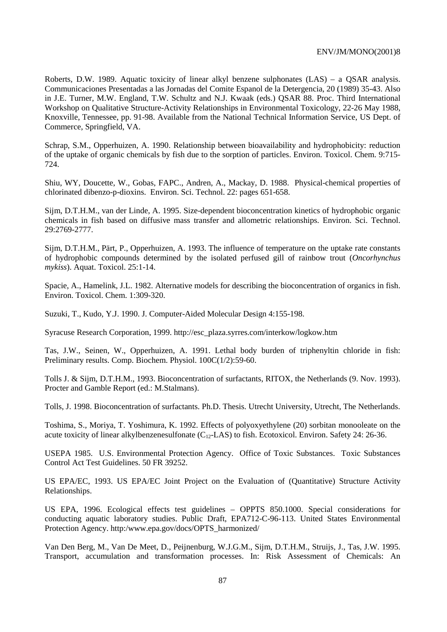Roberts, D.W. 1989. Aquatic toxicity of linear alkyl benzene sulphonates (LAS) – a QSAR analysis. Communicaciones Presentadas a las Jornadas del Comite Espanol de la Detergencia, 20 (1989) 35-43. Also in J.E. Turner, M.W. England, T.W. Schultz and N.J. Kwaak (eds.) QSAR 88. Proc. Third International Workshop on Qualitative Structure-Activity Relationships in Environmental Toxicology, 22-26 May 1988, Knoxville, Tennessee, pp. 91-98. Available from the National Technical Information Service, US Dept. of Commerce, Springfield, VA.

Schrap, S.M., Opperhuizen, A. 1990. Relationship between bioavailability and hydrophobicity: reduction of the uptake of organic chemicals by fish due to the sorption of particles. Environ. Toxicol. Chem. 9:715- 724.

Shiu, WY, Doucette, W., Gobas, FAPC., Andren, A., Mackay, D. 1988. Physical-chemical properties of chlorinated dibenzo-p-dioxins. Environ. Sci. Technol. 22: pages 651-658.

Sijm, D.T.H.M., van der Linde, A. 1995. Size-dependent bioconcentration kinetics of hydrophobic organic chemicals in fish based on diffusive mass transfer and allometric relationships. Environ. Sci. Technol. 29:2769-2777.

Sijm, D.T.H.M., Pärt, P., Opperhuizen, A. 1993. The influence of temperature on the uptake rate constants of hydrophobic compounds determined by the isolated perfused gill of rainbow trout (*Oncorhynchus mykiss*). Aquat. Toxicol. 25:1-14.

Spacie, A., Hamelink, J.L. 1982. Alternative models for describing the bioconcentration of organics in fish. Environ. Toxicol. Chem. 1:309-320.

Suzuki, T., Kudo, Y.J. 1990. J. Computer-Aided Molecular Design 4:155-198.

Syracuse Research Corporation, 1999. http://esc\_plaza.syrres.com/interkow/logkow.htm

Tas, J.W., Seinen, W., Opperhuizen, A. 1991. Lethal body burden of triphenyltin chloride in fish: Preliminary results. Comp. Biochem. Physiol. 100C(1/2):59-60.

Tolls J. & Sijm, D.T.H.M., 1993. Bioconcentration of surfactants, RITOX, the Netherlands (9. Nov. 1993). Procter and Gamble Report (ed.: M.Stalmans).

Tolls, J. 1998. Bioconcentration of surfactants. Ph.D. Thesis. Utrecht University, Utrecht, The Netherlands.

Toshima, S., Moriya, T. Yoshimura, K. 1992. Effects of polyoxyethylene (20) sorbitan monooleate on the acute toxicity of linear alkylbenzenesulfonate  $(C_{12}$ -LAS) to fish. Ecotoxicol. Environ. Safety 24: 26-36.

USEPA 1985. U.S. Environmental Protection Agency. Office of Toxic Substances. Toxic Substances Control Act Test Guidelines. 50 FR 39252.

US EPA/EC, 1993. US EPA/EC Joint Project on the Evaluation of (Quantitative) Structure Activity Relationships.

US EPA, 1996. Ecological effects test guidelines – OPPTS 850.1000. Special considerations for conducting aquatic laboratory studies. Public Draft, EPA712-C-96-113. United States Environmental Protection Agency. http:/www.epa.gov/docs/OPTS\_harmonized/

Van Den Berg, M., Van De Meet, D., Peijnenburg, W.J.G.M., Sijm, D.T.H.M., Struijs, J., Tas, J.W. 1995. Transport, accumulation and transformation processes. In: Risk Assessment of Chemicals: An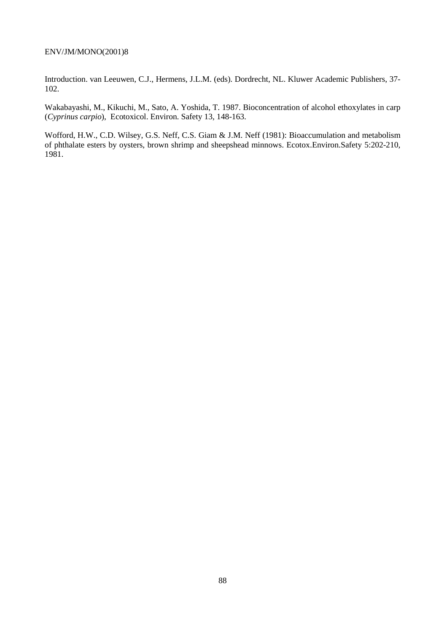Introduction. van Leeuwen, C.J., Hermens, J.L.M. (eds). Dordrecht, NL. Kluwer Academic Publishers, 37- 102.

Wakabayashi, M., Kikuchi, M., Sato, A. Yoshida, T. 1987. Bioconcentration of alcohol ethoxylates in carp (*Cyprinus carpio*), Ecotoxicol. Environ. Safety 13, 148-163.

Wofford, H.W., C.D. Wilsey, G.S. Neff, C.S. Giam & J.M. Neff (1981): Bioaccumulation and metabolism of phthalate esters by oysters, brown shrimp and sheepshead minnows. Ecotox.Environ.Safety 5:202-210, 1981.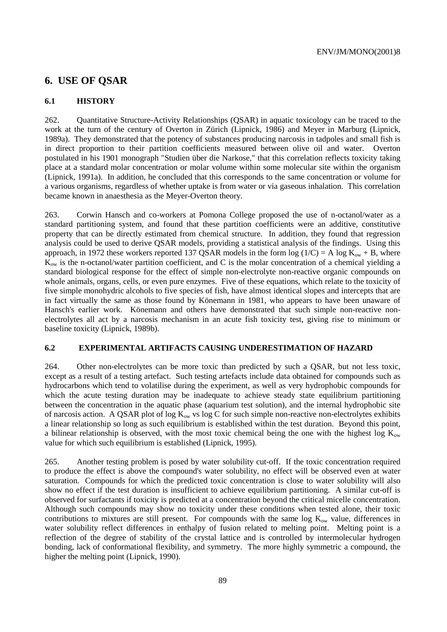## **6. USE OF QSAR**

#### **6.1 HISTORY**

262. Quantitative Structure-Activity Relationships (QSAR) in aquatic toxicology can be traced to the work at the turn of the century of Overton in Zürich (Lipnick, 1986) and Meyer in Marburg (Lipnick, 1989a). They demonstrated that the potency of substances producing narcosis in tadpoles and small fish is in direct proportion to their partition coefficients measured between olive oil and water. Overton postulated in his 1901 monograph "Studien über die Narkose," that this correlation reflects toxicity taking place at a standard molar concentration or molar volume within some molecular site within the organism (Lipnick, 1991a). In addition, he concluded that this corresponds to the same concentration or volume for a various organisms, regardless of whether uptake is from water or via gaseous inhalation. This correlation became known in anaesthesia as the Meyer-Overton theory.

263. Corwin Hansch and co-workers at Pomona College proposed the use of n-octanol/water as a standard partitioning system, and found that these partition coefficients were an additive, constitutive property that can be directly estimated from chemical structure. In addition, they found that regression analysis could be used to derive QSAR models, providing a statistical analysis of the findings. Using this approach, in 1972 these workers reported 137 QSAR models in the form  $log(1/C) = A log K<sub>ow</sub> + B$ , where  $K_{ow}$  is the n-octanol/water partition coefficient, and C is the molar concentration of a chemical yielding a standard biological response for the effect of simple non-electrolyte non-reactive organic compounds on whole animals, organs, cells, or even pure enzymes. Five of these equations, which relate to the toxicity of five simple monohydric alcohols to five species of fish, have almost identical slopes and intercepts that are in fact virtually the same as those found by Könemann in 1981, who appears to have been unaware of Hansch's earlier work. Könemann and others have demonstrated that such simple non-reactive nonelectrolytes all act by a narcosis mechanism in an acute fish toxicity test, giving rise to minimum or baseline toxicity (Lipnick, 1989b).

#### **6.2 EXPERIMENTAL ARTIFACTS CAUSING UNDERESTIMATION OF HAZARD**

264. Other non-electrolytes can be more toxic than predicted by such a QSAR, but not less toxic, except as a result of a testing artefact. Such testing artefacts include data obtained for compounds such as hydrocarbons which tend to volatilise during the experiment, as well as very hydrophobic compounds for which the acute testing duration may be inadequate to achieve steady state equilibrium partitioning between the concentration in the aquatic phase (aquarium test solution), and the internal hydrophobic site of narcosis action. A QSAR plot of  $log K<sub>ow</sub>$  vs  $log C$  for such simple non-reactive non-electrolytes exhibits a linear relationship so long as such equilibrium is established within the test duration. Beyond this point, a bilinear relationship is observed, with the most toxic chemical being the one with the highest log  $K_{ow}$ value for which such equilibrium is established (Lipnick, 1995).

265. Another testing problem is posed by water solubility cut-off. If the toxic concentration required to produce the effect is above the compound's water solubility, no effect will be observed even at water saturation. Compounds for which the predicted toxic concentration is close to water solubility will also show no effect if the test duration is insufficient to achieve equilibrium partitioning. A similar cut-off is observed for surfactants if toxicity is predicted at a concentration beyond the critical micelle concentration. Although such compounds may show no toxicity under these conditions when tested alone, their toxic contributions to mixtures are still present. For compounds with the same log  $K_{ow}$  value, differences in water solubility reflect differences in enthalpy of fusion related to melting point. Melting point is a reflection of the degree of stability of the crystal lattice and is controlled by intermolecular hydrogen bonding, lack of conformational flexibility, and symmetry. The more highly symmetric a compound, the higher the melting point (Lipnick, 1990).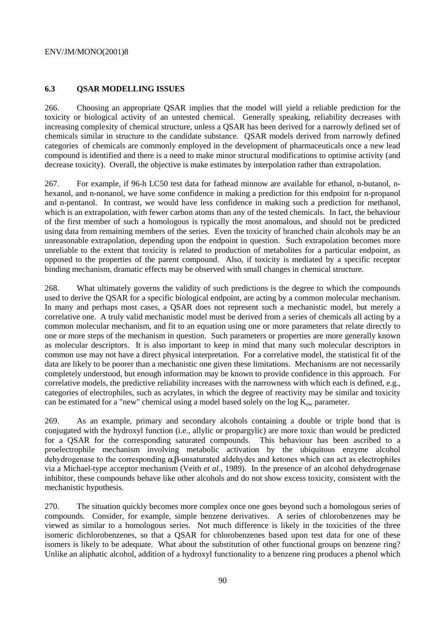## **6.3 QSAR MODELLING ISSUES**

266. Choosing an appropriate QSAR implies that the model will yield a reliable prediction for the toxicity or biological activity of an untested chemical. Generally speaking, reliability decreases with increasing complexity of chemical structure, unless a QSAR has been derived for a narrowly defined set of chemicals similar in structure to the candidate substance. QSAR models derived from narrowly defined categories of chemicals are commonly employed in the development of pharmaceuticals once a new lead compound is identified and there is a need to make minor structural modifications to optimise activity (and decrease toxicity). Overall, the objective is make estimates by interpolation rather than extrapolation.

267. For example, if 96-h LC50 test data for fathead minnow are available for ethanol, n-butanol, nhexanol, and n-nonanol, we have some confidence in making a prediction for this endpoint for n-propanol and n-pentanol. In contrast, we would have less confidence in making such a prediction for methanol, which is an extrapolation, with fewer carbon atoms than any of the tested chemicals. In fact, the behaviour of the first member of such a homologous is typically the most anomalous, and should not be predicted using data from remaining members of the series. Even the toxicity of branched chain alcohols may be an unreasonable extrapolation, depending upon the endpoint in question. Such extrapolation becomes more unreliable to the extent that toxicity is related to production of metabolites for a particular endpoint, as opposed to the properties of the parent compound. Also, if toxicity is mediated by a specific receptor binding mechanism, dramatic effects may be observed with small changes in chemical structure.

268. What ultimately governs the validity of such predictions is the degree to which the compounds used to derive the QSAR for a specific biological endpoint, are acting by a common molecular mechanism. In many and perhaps most cases, a QSAR does not represent such a mechanistic model, but merely a correlative one. A truly valid mechanistic model must be derived from a series of chemicals all acting by a common molecular mechanism, and fit to an equation using one or more parameters that relate directly to one or more steps of the mechanism in question. Such parameters or properties are more generally known as molecular descriptors. It is also important to keep in mind that many such molecular descriptors in common use may not have a direct physical interpretation. For a correlative model, the statistical fit of the data are likely to be poorer than a mechanistic one given these limitations. Mechanisms are not necessarily completely understood, but enough information may be known to provide confidence in this approach. For correlative models, the predictive reliability increases with the narrowness with which each is defined, e.g., categories of electrophiles, such as acrylates, in which the degree of reactivity may be similar and toxicity can be estimated for a "new" chemical using a model based solely on the log  $K_{ow}$  parameter.

269. As an example, primary and secondary alcohols containing a double or triple bond that is conjugated with the hydroxyl function (i.e., allylic or propargylic) are more toxic than would be predicted for a QSAR for the corresponding saturated compounds. This behaviour has been ascribed to a proelectrophile mechanism involving metabolic activation by the ubiquitous enzyme alcohol dehydrogenase to the corresponding  $\alpha$ ,  $\beta$ -unsaturated aldehydes and ketones which can act as electrophiles via a Michael-type acceptor mechanism (Veith *et al.*, 1989). In the presence of an alcohol dehydrogenase inhibitor, these compounds behave like other alcohols and do not show excess toxicity, consistent with the mechanistic hypothesis.

270. The situation quickly becomes more complex once one goes beyond such a homologous series of compounds. Consider, for example, simple benzene derivatives. A series of chlorobenzenes may be viewed as similar to a homologous series. Not much difference is likely in the toxicities of the three isomeric dichlorobenzenes, so that a QSAR for chlorobenzenes based upon test data for one of these isomers is likely to be adequate. What about the substitution of other functional groups on benzene ring? Unlike an aliphatic alcohol, addition of a hydroxyl functionality to a benzene ring produces a phenol which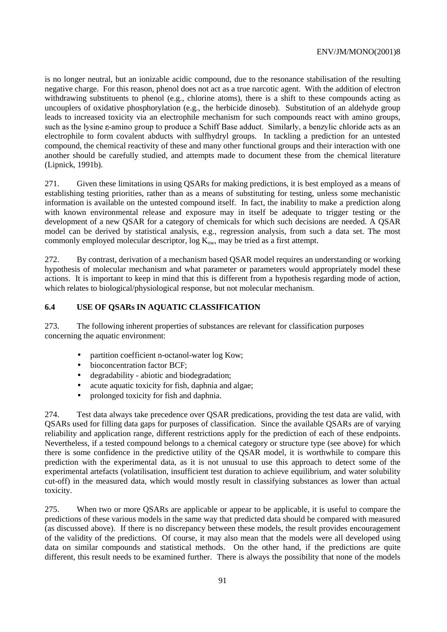is no longer neutral, but an ionizable acidic compound, due to the resonance stabilisation of the resulting negative charge. For this reason, phenol does not act as a true narcotic agent. With the addition of electron withdrawing substituents to phenol (e.g., chlorine atoms), there is a shift to these compounds acting as uncouplers of oxidative phosphorylation (e.g., the herbicide dinoseb). Substitution of an aldehyde group leads to increased toxicity via an electrophile mechanism for such compounds react with amino groups, such as the lysine  $\varepsilon$ -amino group to produce a Schiff Base adduct. Similarly, a benzylic chloride acts as an electrophile to form covalent abducts with sulfhydryl groups. In tackling a prediction for an untested compound, the chemical reactivity of these and many other functional groups and their interaction with one another should be carefully studied, and attempts made to document these from the chemical literature (Lipnick, 1991b).

271. Given these limitations in using QSARs for making predictions, it is best employed as a means of establishing testing priorities, rather than as a means of substituting for testing, unless some mechanistic information is available on the untested compound itself. In fact, the inability to make a prediction along with known environmental release and exposure may in itself be adequate to trigger testing or the development of a new QSAR for a category of chemicals for which such decisions are needed. A QSAR model can be derived by statistical analysis, e.g., regression analysis, from such a data set. The most commonly employed molecular descriptor,  $log K_{ow}$ , may be tried as a first attempt.

272. By contrast, derivation of a mechanism based QSAR model requires an understanding or working hypothesis of molecular mechanism and what parameter or parameters would appropriately model these actions. It is important to keep in mind that this is different from a hypothesis regarding mode of action, which relates to biological/physiological response, but not molecular mechanism.

## **6.4 USE OF QSARs IN AQUATIC CLASSIFICATION**

273. The following inherent properties of substances are relevant for classification purposes concerning the aquatic environment:

- partition coefficient n-octanol-water log Kow;
- bioconcentration factor BCF;
- degradability abiotic and biodegradation;
- acute aquatic toxicity for fish, daphnia and algae;
- prolonged toxicity for fish and daphnia.

274. Test data always take precedence over QSAR predications, providing the test data are valid, with QSARs used for filling data gaps for purposes of classification. Since the available QSARs are of varying reliability and application range, different restrictions apply for the prediction of each of these endpoints. Nevertheless, if a tested compound belongs to a chemical category or structure type (see above) for which there is some confidence in the predictive utility of the QSAR model, it is worthwhile to compare this prediction with the experimental data, as it is not unusual to use this approach to detect some of the experimental artefacts (volatilisation, insufficient test duration to achieve equilibrium, and water solubility cut-off) in the measured data, which would mostly result in classifying substances as lower than actual toxicity.

275. When two or more QSARs are applicable or appear to be applicable, it is useful to compare the predictions of these various models in the same way that predicted data should be compared with measured (as discussed above). If there is no discrepancy between these models, the result provides encouragement of the validity of the predictions. Of course, it may also mean that the models were all developed using data on similar compounds and statistical methods. On the other hand, if the predictions are quite different, this result needs to be examined further. There is always the possibility that none of the models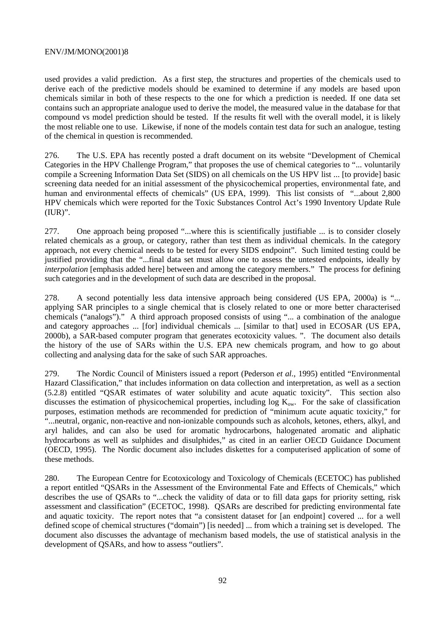used provides a valid prediction. As a first step, the structures and properties of the chemicals used to derive each of the predictive models should be examined to determine if any models are based upon chemicals similar in both of these respects to the one for which a prediction is needed. If one data set contains such an appropriate analogue used to derive the model, the measured value in the database for that compound vs model prediction should be tested. If the results fit well with the overall model, it is likely the most reliable one to use. Likewise, if none of the models contain test data for such an analogue, testing of the chemical in question is recommended.

276. The U.S. EPA has recently posted a draft document on its website "Development of Chemical Categories in the HPV Challenge Program," that proposes the use of chemical categories to "... voluntarily compile a Screening Information Data Set (SIDS) on all chemicals on the US HPV list ... [to provide] basic screening data needed for an initial assessment of the physicochemical properties, environmental fate, and human and environmental effects of chemicals" (US EPA, 1999). This list consists of "...about 2,800 HPV chemicals which were reported for the Toxic Substances Control Act's 1990 Inventory Update Rule (IUR)".

277. One approach being proposed "...where this is scientifically justifiable ... is to consider closely related chemicals as a group, or category, rather than test them as individual chemicals. In the category approach, not every chemical needs to be tested for every SIDS endpoint". Such limited testing could be justified providing that the "...final data set must allow one to assess the untested endpoints, ideally by *interpolation* [emphasis added here] between and among the category members." The process for defining such categories and in the development of such data are described in the proposal.

278. A second potentially less data intensive approach being considered (US EPA, 2000a) is "... applying SAR principles to a single chemical that is closely related to one or more better characterised chemicals ("analogs")." A third approach proposed consists of using "... a combination of the analogue and category approaches ... [for] individual chemicals ... [similar to that] used in ECOSAR (US EPA, 2000b), a SAR-based computer program that generates ecotoxicity values. ". The document also details the history of the use of SARs within the U.S. EPA new chemicals program, and how to go about collecting and analysing data for the sake of such SAR approaches.

279. The Nordic Council of Ministers issued a report (Pederson *et al.*, 1995) entitled "Environmental Hazard Classification," that includes information on data collection and interpretation, as well as a section (5.2.8) entitled "QSAR estimates of water solubility and acute aquatic toxicity". This section also discusses the estimation of physicochemical properties, including log  $K_{ow}$ . For the sake of classification purposes, estimation methods are recommended for prediction of "minimum acute aquatic toxicity," for "...neutral, organic, non-reactive and non-ionizable compounds such as alcohols, ketones, ethers, alkyl, and aryl halides, and can also be used for aromatic hydrocarbons, halogenated aromatic and aliphatic hydrocarbons as well as sulphides and disulphides," as cited in an earlier OECD Guidance Document (OECD, 1995). The Nordic document also includes diskettes for a computerised application of some of these methods.

280. The European Centre for Ecotoxicology and Toxicology of Chemicals (ECETOC) has published a report entitled "QSARs in the Assessment of the Environmental Fate and Effects of Chemicals," which describes the use of QSARs to "...check the validity of data or to fill data gaps for priority setting, risk assessment and classification" (ECETOC, 1998). QSARs are described for predicting environmental fate and aquatic toxicity. The report notes that "a consistent dataset for [an endpoint] covered ... for a well defined scope of chemical structures ("domain") [is needed] ... from which a training set is developed. The document also discusses the advantage of mechanism based models, the use of statistical analysis in the development of QSARs, and how to assess "outliers".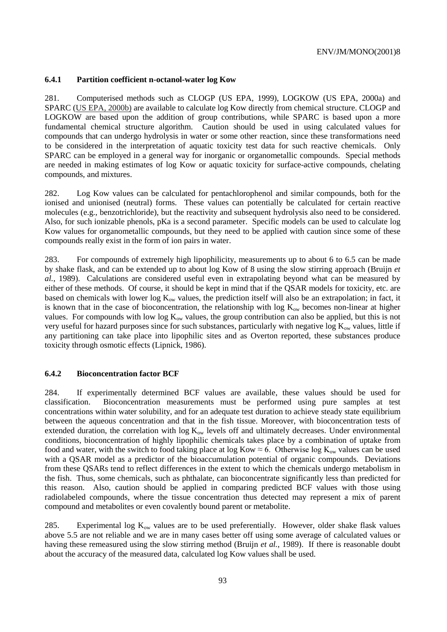#### **6.4.1 Partition coefficient n-octanol-water log Kow**

281. Computerised methods such as CLOGP (US EPA, 1999), LOGKOW (US EPA, 2000a) and SPARC (US EPA, 2000b) are available to calculate log Kow directly from chemical structure. CLOGP and LOGKOW are based upon the addition of group contributions, while SPARC is based upon a more fundamental chemical structure algorithm. Caution should be used in using calculated values for compounds that can undergo hydrolysis in water or some other reaction, since these transformations need to be considered in the interpretation of aquatic toxicity test data for such reactive chemicals. Only SPARC can be employed in a general way for inorganic or organometallic compounds. Special methods are needed in making estimates of log Kow or aquatic toxicity for surface-active compounds, chelating compounds, and mixtures.

282. Log Kow values can be calculated for pentachlorophenol and similar compounds, both for the ionised and unionised (neutral) forms. These values can potentially be calculated for certain reactive molecules (e.g., benzotrichloride), but the reactivity and subsequent hydrolysis also need to be considered. Also, for such ionizable phenols, pKa is a second parameter. Specific models can be used to calculate log Kow values for organometallic compounds, but they need to be applied with caution since some of these compounds really exist in the form of ion pairs in water.

283. For compounds of extremely high lipophilicity, measurements up to about 6 to 6.5 can be made by shake flask, and can be extended up to about log Kow of 8 using the slow stirring approach (Bruijn *et al.*, 1989). Calculations are considered useful even in extrapolating beyond what can be measured by either of these methods. Of course, it should be kept in mind that if the QSAR models for toxicity, etc. are based on chemicals with lower log  $K_{ow}$  values, the prediction itself will also be an extrapolation; in fact, it is known that in the case of bioconcentration, the relationship with log  $K_{ow}$  becomes non-linear at higher values. For compounds with low log  $K_{ow}$  values, the group contribution can also be applied, but this is not very useful for hazard purposes since for such substances, particularly with negative log  $K_{ow}$  values, little if any partitioning can take place into lipophilic sites and as Overton reported, these substances produce toxicity through osmotic effects (Lipnick, 1986).

### **6.4.2 Bioconcentration factor BCF**

284. If experimentally determined BCF values are available, these values should be used for classification. Bioconcentration measurements must be performed using pure samples at test concentrations within water solubility, and for an adequate test duration to achieve steady state equilibrium between the aqueous concentration and that in the fish tissue. Moreover, with bioconcentration tests of extended duration, the correlation with  $\log K_{ow}$  levels off and ultimately decreases. Under environmental conditions, bioconcentration of highly lipophilic chemicals takes place by a combination of uptake from food and water, with the switch to food taking place at log Kow  $\approx$  6. Otherwise log K<sub>ow</sub> values can be used with a QSAR model as a predictor of the bioaccumulation potential of organic compounds. Deviations from these QSARs tend to reflect differences in the extent to which the chemicals undergo metabolism in the fish. Thus, some chemicals, such as phthalate, can bioconcentrate significantly less than predicted for this reason. Also, caution should be applied in comparing predicted BCF values with those using radiolabeled compounds, where the tissue concentration thus detected may represent a mix of parent compound and metabolites or even covalently bound parent or metabolite.

285. Experimental log  $K_{ow}$  values are to be used preferentially. However, older shake flask values above 5.5 are not reliable and we are in many cases better off using some average of calculated values or having these remeasured using the slow stirring method (Bruijn *et al.*, 1989). If there is reasonable doubt about the accuracy of the measured data, calculated log Kow values shall be used.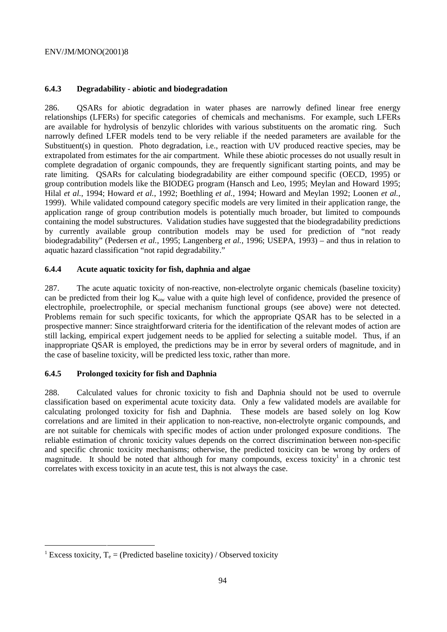## **6.4.3 Degradability - abiotic and biodegradation**

286. QSARs for abiotic degradation in water phases are narrowly defined linear free energy relationships (LFERs) for specific categories of chemicals and mechanisms. For example, such LFERs are available for hydrolysis of benzylic chlorides with various substituents on the aromatic ring. Such narrowly defined LFER models tend to be very reliable if the needed parameters are available for the Substituent(s) in question. Photo degradation, i.e., reaction with UV produced reactive species, may be extrapolated from estimates for the air compartment. While these abiotic processes do not usually result in complete degradation of organic compounds, they are frequently significant starting points, and may be rate limiting. QSARs for calculating biodegradability are either compound specific (OECD, 1995) or group contribution models like the BIODEG program (Hansch and Leo, 1995; Meylan and Howard 1995; Hilal *et al.*, 1994; Howard *et al.*, 1992; Boethling *et al.*, 1994; Howard and Meylan 1992; Loonen *et al.*, 1999). While validated compound category specific models are very limited in their application range, the application range of group contribution models is potentially much broader, but limited to compounds containing the model substructures. Validation studies have suggested that the biodegradability predictions by currently available group contribution models may be used for prediction of "not ready biodegradability" (Pedersen *et al.*, 1995; Langenberg *et al.*, 1996; USEPA, 1993) – and thus in relation to aquatic hazard classification "not rapid degradability."

## **6.4.4 Acute aquatic toxicity for fish, daphnia and algae**

287. The acute aquatic toxicity of non-reactive, non-electrolyte organic chemicals (baseline toxicity) can be predicted from their log  $K_{ow}$  value with a quite high level of confidence, provided the presence of electrophile, proelectrophile, or special mechanism functional groups (see above) were not detected. Problems remain for such specific toxicants, for which the appropriate QSAR has to be selected in a prospective manner: Since straightforward criteria for the identification of the relevant modes of action are still lacking, empirical expert judgement needs to be applied for selecting a suitable model. Thus, if an inappropriate QSAR is employed, the predictions may be in error by several orders of magnitude, and in the case of baseline toxicity, will be predicted less toxic, rather than more.

## **6.4.5 Prolonged toxicity for fish and Daphnia**

288. Calculated values for chronic toxicity to fish and Daphnia should not be used to overrule classification based on experimental acute toxicity data. Only a few validated models are available for calculating prolonged toxicity for fish and Daphnia. These models are based solely on log Kow correlations and are limited in their application to non-reactive, non-electrolyte organic compounds, and are not suitable for chemicals with specific modes of action under prolonged exposure conditions. The reliable estimation of chronic toxicity values depends on the correct discrimination between non-specific and specific chronic toxicity mechanisms; otherwise, the predicted toxicity can be wrong by orders of magnitude. It should be noted that although for many compounds, excess toxicity<sup>1</sup> in a chronic test correlates with excess toxicity in an acute test, this is not always the case.

<sup>&</sup>lt;sup>1</sup> Excess toxicity,  $T_e$  = (Predicted baseline toxicity) / Observed toxicity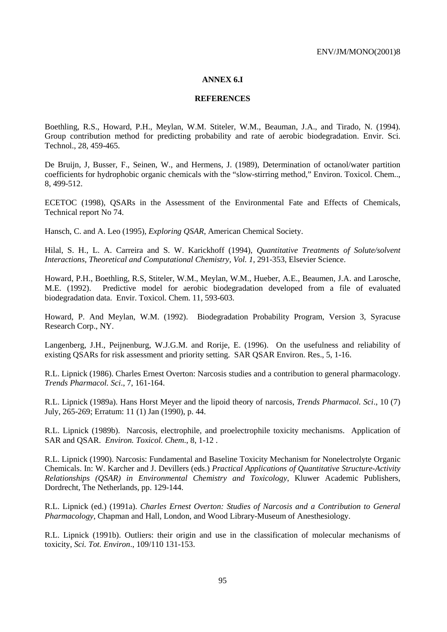#### **ANNEX 6.I**

#### **REFERENCES**

Boethling, R.S., Howard, P.H., Meylan, W.M. Stiteler, W.M., Beauman, J.A., and Tirado, N. (1994). Group contribution method for predicting probability and rate of aerobic biodegradation. Envir. Sci. Technol., 28, 459-465.

De Bruijn, J, Busser, F., Seinen, W., and Hermens, J. (1989), Determination of octanol/water partition coefficients for hydrophobic organic chemicals with the "slow-stirring method," Environ. Toxicol. Chem.., 8, 499-512.

ECETOC (1998), QSARs in the Assessment of the Environmental Fate and Effects of Chemicals, Technical report No 74.

Hansch, C. and A. Leo (1995), *Exploring QSAR*, American Chemical Society.

Hilal, S. H., L. A. Carreira and S. W. Karickhoff (1994), *Quantitative Treatments of Solute/solvent Interactions. Theoretical and Computational Chemistry, Vol. 1, 291-353, Elsevier Science.* 

Howard, P.H., Boethling, R.S, Stiteler, W.M., Meylan, W.M., Hueber, A.E., Beaumen, J.A. and Larosche, M.E. (1992). Predictive model for aerobic biodegradation developed from a file of evaluated biodegradation data. Envir. Toxicol. Chem. 11, 593-603.

Howard, P. And Meylan, W.M. (1992). Biodegradation Probability Program, Version 3, Syracuse Research Corp., NY.

Langenberg, J.H., Peijnenburg, W.J.G.M. and Rorije, E. (1996). On the usefulness and reliability of existing QSARs for risk assessment and priority setting. SAR QSAR Environ. Res., 5, 1-16.

R.L. Lipnick (1986). Charles Ernest Overton: Narcosis studies and a contribution to general pharmacology. *Trends Pharmacol. Sci*., 7, 161-164.

R.L. Lipnick (1989a). Hans Horst Meyer and the lipoid theory of narcosis, *Trends Pharmacol. Sci*., 10 (7) July, 265-269; Erratum: 11 (1) Jan (1990), p. 44.

R.L. Lipnick (1989b). Narcosis, electrophile, and proelectrophile toxicity mechanisms. Application of SAR and QSAR. *Environ. Toxicol. Chem*., 8, 1-12 .

R.L. Lipnick (1990). Narcosis: Fundamental and Baseline Toxicity Mechanism for Nonelectrolyte Organic Chemicals. In: W. Karcher and J. Devillers (eds.) *Practical Applications of Quantitative Structure-Activity Relationships (QSAR) in Environmental Chemistry and Toxicology*, Kluwer Academic Publishers, Dordrecht, The Netherlands, pp. 129-144.

R.L. Lipnick (ed.) (1991a). *Charles Ernest Overton: Studies of Narcosis and a Contribution to General Pharmacology*, Chapman and Hall, London, and Wood Library-Museum of Anesthesiology.

R.L. Lipnick (1991b). Outliers: their origin and use in the classification of molecular mechanisms of toxicity, *Sci. Tot. Environ*., 109/110 131-153.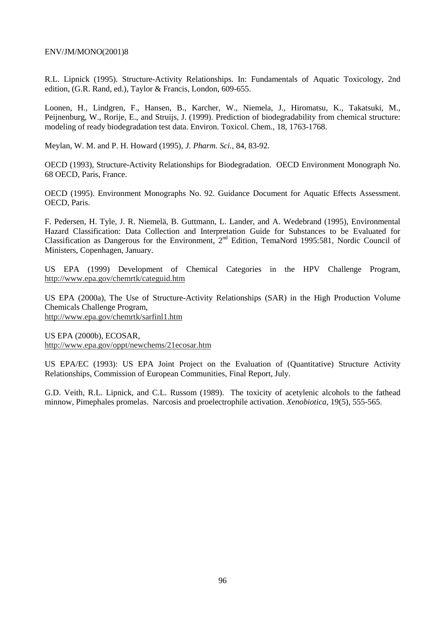R.L. Lipnick (1995). Structure-Activity Relationships. In: Fundamentals of Aquatic Toxicology, 2nd edition, (G.R. Rand, ed.), Taylor & Francis, London, 609-655.

Loonen, H., Lindgren, F., Hansen, B., Karcher, W., Niemela, J., Hiromatsu, K., Takatsuki, M., Peijnenburg, W., Rorije, E., and Struijs, J. (1999). Prediction of biodegradability from chemical structure: modeling of ready biodegradation test data. Environ. Toxicol. Chem., 18, 1763-1768.

Meylan, W. M. and P. H. Howard (1995), *J. Pharm. Sci.*, 84, 83-92.

OECD (1993), Structure-Activity Relationships for Biodegradation. OECD Environment Monograph No. 68 OECD, Paris, France.

OECD (1995). Environment Monographs No. 92. Guidance Document for Aquatic Effects Assessment. OECD, Paris.

F. Pedersen, H. Tyle, J. R. Niemelä, B. Guttmann, L. Lander, and A. Wedebrand (1995), Environmental Hazard Classification: Data Collection and Interpretation Guide for Substances to be Evaluated for Classification as Dangerous for the Environment, 2nd Edition, TemaNord 1995:581, Nordic Council of Ministers, Copenhagen, January.

US EPA (1999) Development of Chemical Categories in the HPV Challenge Program, http://www.epa.gov/chemrtk/categuid.htm

US EPA (2000a), The Use of Structure-Activity Relationships (SAR) in the High Production Volume Chemicals Challenge Program, http://www.epa.gov/chemrtk/sarfinl1.htm

US EPA (2000b), ECOSAR, http://www.epa.gov/oppt/newchems/21ecosar.htm

US EPA/EC (1993): US EPA Joint Project on the Evaluation of (Quantitative) Structure Activity Relationships, Commission of European Communities, Final Report, July.

G.D. Veith, R.L. Lipnick, and C.L. Russom (1989). The toxicity of acetylenic alcohols to the fathead minnow, Pimephales promelas. Narcosis and proelectrophile activation. *Xenobiotica*, 19(5), 555-565.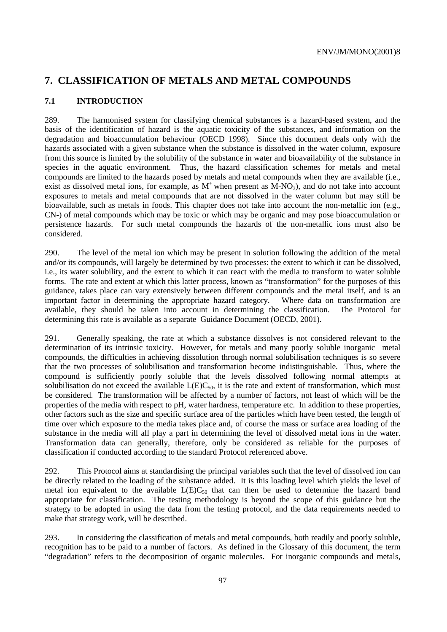# **7. CLASSIFICATION OF METALS AND METAL COMPOUNDS**

## **7.1 INTRODUCTION**

289. The harmonised system for classifying chemical substances is a hazard-based system, and the basis of the identification of hazard is the aquatic toxicity of the substances, and information on the degradation and bioaccumulation behaviour (OECD 1998). Since this document deals only with the hazards associated with a given substance when the substance is dissolved in the water column, exposure from this source is limited by the solubility of the substance in water and bioavailability of the substance in species in the aquatic environment. Thus, the hazard classification schemes for metals and metal compounds are limited to the hazards posed by metals and metal compounds when they are available (i.e., exist as dissolved metal ions, for example, as  $M^+$  when present as  $M-NO<sub>3</sub>$ ), and do not take into account exposures to metals and metal compounds that are not dissolved in the water column but may still be bioavailable, such as metals in foods. This chapter does not take into account the non-metallic ion (e.g., CN-) of metal compounds which may be toxic or which may be organic and may pose bioaccumulation or persistence hazards. For such metal compounds the hazards of the non-metallic ions must also be considered.

290. The level of the metal ion which may be present in solution following the addition of the metal and/or its compounds, will largely be determined by two processes: the extent to which it can be dissolved, i.e., its water solubility, and the extent to which it can react with the media to transform to water soluble forms. The rate and extent at which this latter process, known as "transformation" for the purposes of this guidance, takes place can vary extensively between different compounds and the metal itself, and is an important factor in determining the appropriate hazard category. Where data on transformation are available, they should be taken into account in determining the classification. The Protocol for determining this rate is available as a separate Guidance Document (OECD, 2001).

291. Generally speaking, the rate at which a substance dissolves is not considered relevant to the determination of its intrinsic toxicity. However, for metals and many poorly soluble inorganic metal compounds, the difficulties in achieving dissolution through normal solubilisation techniques is so severe that the two processes of solubilisation and transformation become indistinguishable. Thus, where the compound is sufficiently poorly soluble that the levels dissolved following normal attempts at solubilisation do not exceed the available  $L(E)C_{50}$ , it is the rate and extent of transformation, which must be considered. The transformation will be affected by a number of factors, not least of which will be the properties of the media with respect to pH, water hardness, temperature etc. In addition to these properties, other factors such as the size and specific surface area of the particles which have been tested, the length of time over which exposure to the media takes place and, of course the mass or surface area loading of the substance in the media will all play a part in determining the level of dissolved metal ions in the water. Transformation data can generally, therefore, only be considered as reliable for the purposes of classification if conducted according to the standard Protocol referenced above.

292. This Protocol aims at standardising the principal variables such that the level of dissolved ion can be directly related to the loading of the substance added. It is this loading level which yields the level of metal ion equivalent to the available  $L(E)C_{50}$  that can then be used to determine the hazard band appropriate for classification. The testing methodology is beyond the scope of this guidance but the strategy to be adopted in using the data from the testing protocol, and the data requirements needed to make that strategy work, will be described.

293. In considering the classification of metals and metal compounds, both readily and poorly soluble, recognition has to be paid to a number of factors. As defined in the Glossary of this document, the term "degradation" refers to the decomposition of organic molecules. For inorganic compounds and metals,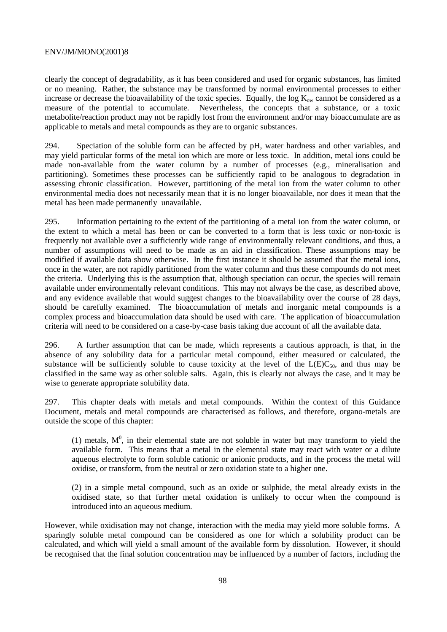clearly the concept of degradability, as it has been considered and used for organic substances, has limited or no meaning. Rather, the substance may be transformed by normal environmental processes to either increase or decrease the bioavailability of the toxic species. Equally, the log  $K_{ow}$  cannot be considered as a measure of the potential to accumulate. Nevertheless, the concepts that a substance, or a toxic metabolite/reaction product may not be rapidly lost from the environment and/or may bioaccumulate are as applicable to metals and metal compounds as they are to organic substances.

294. Speciation of the soluble form can be affected by pH, water hardness and other variables, and may yield particular forms of the metal ion which are more or less toxic. In addition, metal ions could be made non-available from the water column by a number of processes (e.g., mineralisation and partitioning). Sometimes these processes can be sufficiently rapid to be analogous to degradation in assessing chronic classification. However, partitioning of the metal ion from the water column to other environmental media does not necessarily mean that it is no longer bioavailable, nor does it mean that the metal has been made permanently unavailable.

295. Information pertaining to the extent of the partitioning of a metal ion from the water column, or the extent to which a metal has been or can be converted to a form that is less toxic or non-toxic is frequently not available over a sufficiently wide range of environmentally relevant conditions, and thus, a number of assumptions will need to be made as an aid in classification. These assumptions may be modified if available data show otherwise. In the first instance it should be assumed that the metal ions, once in the water, are not rapidly partitioned from the water column and thus these compounds do not meet the criteria. Underlying this is the assumption that, although speciation can occur, the species will remain available under environmentally relevant conditions. This may not always be the case, as described above, and any evidence available that would suggest changes to the bioavailability over the course of 28 days, should be carefully examined. The bioaccumulation of metals and inorganic metal compounds is a complex process and bioaccumulation data should be used with care. The application of bioaccumulation criteria will need to be considered on a case-by-case basis taking due account of all the available data.

296. A further assumption that can be made, which represents a cautious approach, is that, in the absence of any solubility data for a particular metal compound, either measured or calculated, the substance will be sufficiently soluble to cause toxicity at the level of the  $L(E)C_{50}$ , and thus may be classified in the same way as other soluble salts. Again, this is clearly not always the case, and it may be wise to generate appropriate solubility data.

297. This chapter deals with metals and metal compounds. Within the context of this Guidance Document, metals and metal compounds are characterised as follows, and therefore, organo-metals are outside the scope of this chapter:

(1) metals,  $M<sup>0</sup>$ , in their elemental state are not soluble in water but may transform to yield the available form. This means that a metal in the elemental state may react with water or a dilute aqueous electrolyte to form soluble cationic or anionic products, and in the process the metal will oxidise, or transform, from the neutral or zero oxidation state to a higher one.

(2) in a simple metal compound, such as an oxide or sulphide, the metal already exists in the oxidised state, so that further metal oxidation is unlikely to occur when the compound is introduced into an aqueous medium.

However, while oxidisation may not change, interaction with the media may yield more soluble forms. A sparingly soluble metal compound can be considered as one for which a solubility product can be calculated, and which will yield a small amount of the available form by dissolution. However, it should be recognised that the final solution concentration may be influenced by a number of factors, including the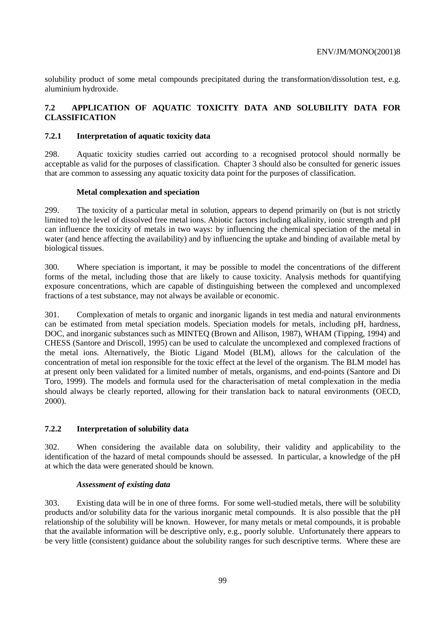solubility product of some metal compounds precipitated during the transformation/dissolution test, e.g. aluminium hydroxide.

## **7.2 APPLICATION OF AQUATIC TOXICITY DATA AND SOLUBILITY DATA FOR CLASSIFICATION**

## **7.2.1 Interpretation of aquatic toxicity data**

298. Aquatic toxicity studies carried out according to a recognised protocol should normally be acceptable as valid for the purposes of classification. Chapter 3 should also be consulted for generic issues that are common to assessing any aquatic toxicity data point for the purposes of classification.

### **Metal complexation and speciation**

299. The toxicity of a particular metal in solution, appears to depend primarily on (but is not strictly limited to) the level of dissolved free metal ions. Abiotic factors including alkalinity, ionic strength and pH can influence the toxicity of metals in two ways: by influencing the chemical speciation of the metal in water (and hence affecting the availability) and by influencing the uptake and binding of available metal by biological tissues.

300. Where speciation is important, it may be possible to model the concentrations of the different forms of the metal, including those that are likely to cause toxicity. Analysis methods for quantifying exposure concentrations, which are capable of distinguishing between the complexed and uncomplexed fractions of a test substance, may not always be available or economic.

301. Complexation of metals to organic and inorganic ligands in test media and natural environments can be estimated from metal speciation models. Speciation models for metals, including pH, hardness, DOC, and inorganic substances such as MINTEQ (Brown and Allison, 1987), WHAM (Tipping, 1994) and CHESS (Santore and Driscoll, 1995) can be used to calculate the uncomplexed and complexed fractions of the metal ions. Alternatively, the Biotic Ligand Model (BLM), allows for the calculation of the concentration of metal ion responsible for the toxic effect at the level of the organism. The BLM model has at present only been validated for a limited number of metals, organisms, and end-points (Santore and Di Toro, 1999). The models and formula used for the characterisation of metal complexation in the media should always be clearly reported, allowing for their translation back to natural environments (OECD, 2000).

### **7.2.2 Interpretation of solubility data**

302. When considering the available data on solubility, their validity and applicability to the identification of the hazard of metal compounds should be assessed. In particular, a knowledge of the pH at which the data were generated should be known.

### *Assessment of existing data*

303. Existing data will be in one of three forms. For some well-studied metals, there will be solubility products and/or solubility data for the various inorganic metal compounds. It is also possible that the pH relationship of the solubility will be known. However, for many metals or metal compounds, it is probable that the available information will be descriptive only, e.g., poorly soluble. Unfortunately there appears to be very little (consistent) guidance about the solubility ranges for such descriptive terms. Where these are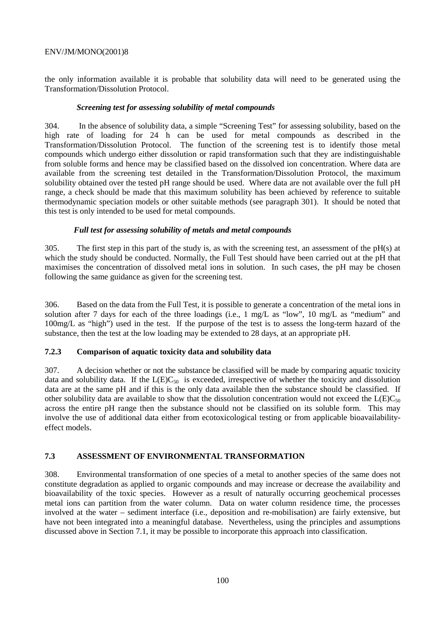the only information available it is probable that solubility data will need to be generated using the Transformation/Dissolution Protocol.

#### *Screening test for assessing solubility of metal compounds*

304. In the absence of solubility data, a simple "Screening Test" for assessing solubility, based on the high rate of loading for 24 h can be used for metal compounds as described in the Transformation/Dissolution Protocol. The function of the screening test is to identify those metal compounds which undergo either dissolution or rapid transformation such that they are indistinguishable from soluble forms and hence may be classified based on the dissolved ion concentration. Where data are available from the screening test detailed in the Transformation/Dissolution Protocol, the maximum solubility obtained over the tested pH range should be used. Where data are not available over the full pH range, a check should be made that this maximum solubility has been achieved by reference to suitable thermodynamic speciation models or other suitable methods (see paragraph 301). It should be noted that this test is only intended to be used for metal compounds.

### *Full test for assessing solubility of metals and metal compounds*

305. The first step in this part of the study is, as with the screening test, an assessment of the  $pH(s)$  at which the study should be conducted. Normally, the Full Test should have been carried out at the pH that maximises the concentration of dissolved metal ions in solution. In such cases, the pH may be chosen following the same guidance as given for the screening test.

306. Based on the data from the Full Test, it is possible to generate a concentration of the metal ions in solution after 7 days for each of the three loadings (i.e.,  $1 \text{ mg/L}$  as "low",  $10 \text{ mg/L}$  as "medium" and 100mg/L as "high") used in the test. If the purpose of the test is to assess the long-term hazard of the substance, then the test at the low loading may be extended to 28 days, at an appropriate pH.

### **7.2.3 Comparison of aquatic toxicity data and solubility data**

307. A decision whether or not the substance be classified will be made by comparing aquatic toxicity data and solubility data. If the  $L(E)C_{50}$  is exceeded, irrespective of whether the toxicity and dissolution data are at the same pH and if this is the only data available then the substance should be classified. If other solubility data are available to show that the dissolution concentration would not exceed the  $L(E)C_{50}$ across the entire pH range then the substance should not be classified on its soluble form. This may involve the use of additional data either from ecotoxicological testing or from applicable bioavailabilityeffect models.

## **7.3 ASSESSMENT OF ENVIRONMENTAL TRANSFORMATION**

308. Environmental transformation of one species of a metal to another species of the same does not constitute degradation as applied to organic compounds and may increase or decrease the availability and bioavailability of the toxic species. However as a result of naturally occurring geochemical processes metal ions can partition from the water column. Data on water column residence time, the processes involved at the water – sediment interface (i.e., deposition and re-mobilisation) are fairly extensive, but have not been integrated into a meaningful database. Nevertheless, using the principles and assumptions discussed above in Section 7.1, it may be possible to incorporate this approach into classification.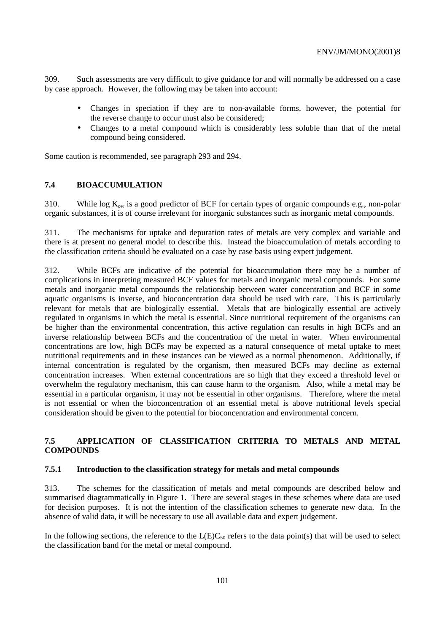309. Such assessments are very difficult to give guidance for and will normally be addressed on a case by case approach. However, the following may be taken into account:

- Changes in speciation if they are to non-available forms, however, the potential for the reverse change to occur must also be considered;
- Changes to a metal compound which is considerably less soluble than that of the metal compound being considered.

Some caution is recommended, see paragraph 293 and 294.

## **7.4 BIOACCUMULATION**

310. While log  $K_{ow}$  is a good predictor of BCF for certain types of organic compounds e.g., non-polar organic substances, it is of course irrelevant for inorganic substances such as inorganic metal compounds.

311. The mechanisms for uptake and depuration rates of metals are very complex and variable and there is at present no general model to describe this. Instead the bioaccumulation of metals according to the classification criteria should be evaluated on a case by case basis using expert judgement.

312. While BCFs are indicative of the potential for bioaccumulation there may be a number of complications in interpreting measured BCF values for metals and inorganic metal compounds. For some metals and inorganic metal compounds the relationship between water concentration and BCF in some aquatic organisms is inverse, and bioconcentration data should be used with care. This is particularly relevant for metals that are biologically essential. Metals that are biologically essential are actively regulated in organisms in which the metal is essential. Since nutritional requirement of the organisms can be higher than the environmental concentration, this active regulation can results in high BCFs and an inverse relationship between BCFs and the concentration of the metal in water. When environmental concentrations are low, high BCFs may be expected as a natural consequence of metal uptake to meet nutritional requirements and in these instances can be viewed as a normal phenomenon. Additionally, if internal concentration is regulated by the organism, then measured BCFs may decline as external concentration increases. When external concentrations are so high that they exceed a threshold level or overwhelm the regulatory mechanism, this can cause harm to the organism. Also, while a metal may be essential in a particular organism, it may not be essential in other organisms. Therefore, where the metal is not essential or when the bioconcentration of an essential metal is above nutritional levels special consideration should be given to the potential for bioconcentration and environmental concern.

## **7.5 APPLICATION OF CLASSIFICATION CRITERIA TO METALS AND METAL COMPOUNDS**

### **7.5.1 Introduction to the classification strategy for metals and metal compounds**

313. The schemes for the classification of metals and metal compounds are described below and summarised diagrammatically in Figure 1. There are several stages in these schemes where data are used for decision purposes. It is not the intention of the classification schemes to generate new data. In the absence of valid data, it will be necessary to use all available data and expert judgement.

In the following sections, the reference to the  $L(E)C_{50}$  refers to the data point(s) that will be used to select the classification band for the metal or metal compound.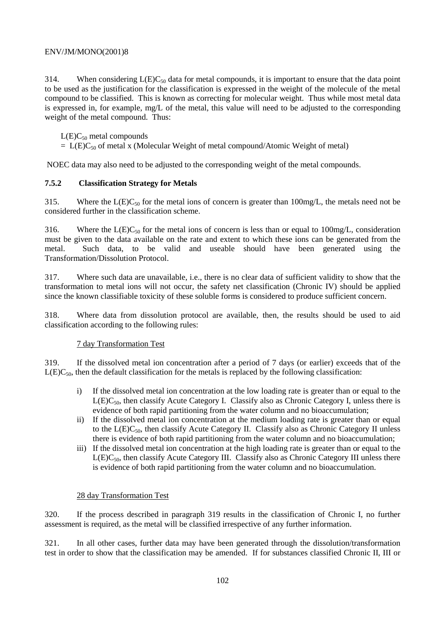314. When considering  $L(E)C_{50}$  data for metal compounds, it is important to ensure that the data point to be used as the justification for the classification is expressed in the weight of the molecule of the metal compound to be classified. This is known as correcting for molecular weight. Thus while most metal data is expressed in, for example, mg/L of the metal, this value will need to be adjusted to the corresponding weight of the metal compound. Thus:

 $L(E)C_{50}$  metal compounds

 $= L(E)C_{50}$  of metal x (Molecular Weight of metal compound/Atomic Weight of metal)

NOEC data may also need to be adjusted to the corresponding weight of the metal compounds.

## **7.5.2 Classification Strategy for Metals**

315. Where the  $L(E)C_{50}$  for the metal ions of concern is greater than 100mg/L, the metals need not be considered further in the classification scheme.

316. Where the  $L(E)C_{50}$  for the metal ions of concern is less than or equal to 100mg/L, consideration must be given to the data available on the rate and extent to which these ions can be generated from the metal. Such data, to be valid and useable should have been generated using the Transformation/Dissolution Protocol.

317. Where such data are unavailable, i.e., there is no clear data of sufficient validity to show that the transformation to metal ions will not occur, the safety net classification (Chronic IV) should be applied since the known classifiable toxicity of these soluble forms is considered to produce sufficient concern.

318. Where data from dissolution protocol are available, then, the results should be used to aid classification according to the following rules:

### 7 day Transformation Test

319. If the dissolved metal ion concentration after a period of 7 days (or earlier) exceeds that of the  $L(E)C_{50}$ , then the default classification for the metals is replaced by the following classification:

- i) If the dissolved metal ion concentration at the low loading rate is greater than or equal to the  $L(E)C_{50}$ , then classify Acute Category I. Classify also as Chronic Category I, unless there is evidence of both rapid partitioning from the water column and no bioaccumulation;
- ii) If the dissolved metal ion concentration at the medium loading rate is greater than or equal to the  $L(E)C_{50}$ , then classify Acute Category II. Classify also as Chronic Category II unless there is evidence of both rapid partitioning from the water column and no bioaccumulation;
- iii) If the dissolved metal ion concentration at the high loading rate is greater than or equal to the  $L(E)C_{50}$ , then classify Acute Category III. Classify also as Chronic Category III unless there is evidence of both rapid partitioning from the water column and no bioaccumulation.

### 28 day Transformation Test

320. If the process described in paragraph 319 results in the classification of Chronic I, no further assessment is required, as the metal will be classified irrespective of any further information.

321. In all other cases, further data may have been generated through the dissolution/transformation test in order to show that the classification may be amended. If for substances classified Chronic II, III or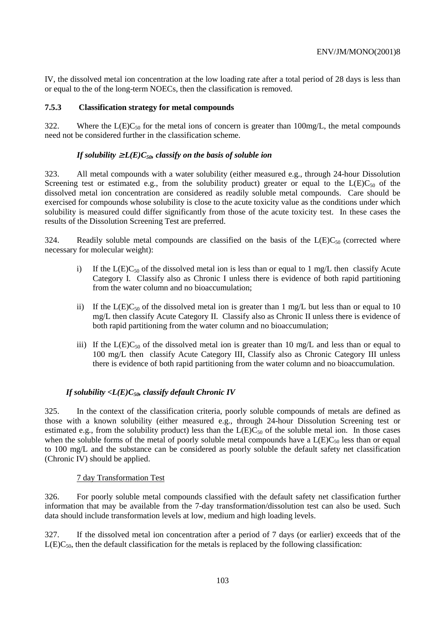IV, the dissolved metal ion concentration at the low loading rate after a total period of 28 days is less than or equal to the of the long-term NOECs, then the classification is removed.

### **7.5.3 Classification strategy for metal compounds**

322. Where the  $L(E)C_{50}$  for the metal ions of concern is greater than 100mg/L, the metal compounds need not be considered further in the classification scheme.

## *If solubility*  $\geq L(E)C_{50}$ , classify on the basis of soluble ion

323. All metal compounds with a water solubility (either measured e.g., through 24-hour Dissolution Screening test or estimated e.g., from the solubility product) greater or equal to the  $L(E)C_{50}$  of the dissolved metal ion concentration are considered as readily soluble metal compounds. Care should be exercised for compounds whose solubility is close to the acute toxicity value as the conditions under which solubility is measured could differ significantly from those of the acute toxicity test. In these cases the results of the Dissolution Screening Test are preferred.

324. Readily soluble metal compounds are classified on the basis of the  $L(E)C_{50}$  (corrected where necessary for molecular weight):

- i) If the  $L(E)C_{50}$  of the dissolved metal ion is less than or equal to 1 mg/L then classify Acute Category I. Classify also as Chronic I unless there is evidence of both rapid partitioning from the water column and no bioaccumulation;
- ii) If the  $L(E)C_{50}$  of the dissolved metal ion is greater than 1 mg/L but less than or equal to 10 mg/L then classify Acute Category II. Classify also as Chronic II unless there is evidence of both rapid partitioning from the water column and no bioaccumulation;
- iii) If the  $L(E)C_{50}$  of the dissolved metal ion is greater than 10 mg/L and less than or equal to 100 mg/L then classify Acute Category III, Classify also as Chronic Category III unless there is evidence of both rapid partitioning from the water column and no bioaccumulation.

## *If solubility <L(E)C50, classify default Chronic IV*

325. In the context of the classification criteria, poorly soluble compounds of metals are defined as those with a known solubility (either measured e.g., through 24-hour Dissolution Screening test or estimated e.g., from the solubility product) less than the  $L(E)C_{50}$  of the soluble metal ion. In those cases when the soluble forms of the metal of poorly soluble metal compounds have a  $L(E)C_{50}$  less than or equal to 100 mg/L and the substance can be considered as poorly soluble the default safety net classification (Chronic IV) should be applied.

### 7 day Transformation Test

326. For poorly soluble metal compounds classified with the default safety net classification further information that may be available from the 7-day transformation/dissolution test can also be used. Such data should include transformation levels at low, medium and high loading levels.

327. If the dissolved metal ion concentration after a period of 7 days (or earlier) exceeds that of the  $L(E)C_{50}$ , then the default classification for the metals is replaced by the following classification: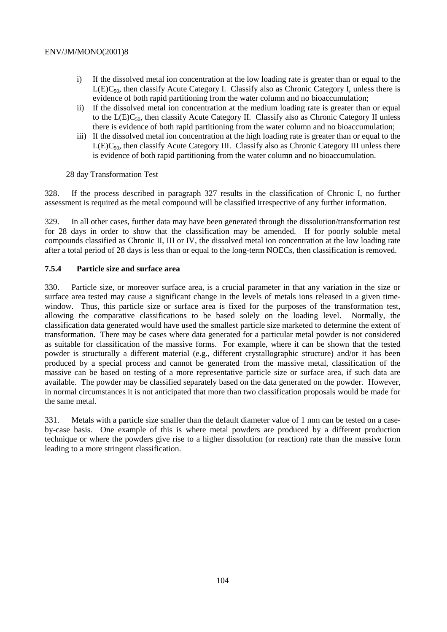- i) If the dissolved metal ion concentration at the low loading rate is greater than or equal to the  $L(E)C_{50}$ , then classify Acute Category I. Classify also as Chronic Category I, unless there is evidence of both rapid partitioning from the water column and no bioaccumulation;
- ii) If the dissolved metal ion concentration at the medium loading rate is greater than or equal to the  $L(E)C_{50}$ , then classify Acute Category II. Classify also as Chronic Category II unless there is evidence of both rapid partitioning from the water column and no bioaccumulation;
- iii) If the dissolved metal ion concentration at the high loading rate is greater than or equal to the  $L(E)C_{50}$ , then classify Acute Category III. Classify also as Chronic Category III unless there is evidence of both rapid partitioning from the water column and no bioaccumulation.

### 28 day Transformation Test

328. If the process described in paragraph 327 results in the classification of Chronic I, no further assessment is required as the metal compound will be classified irrespective of any further information.

329. In all other cases, further data may have been generated through the dissolution/transformation test for 28 days in order to show that the classification may be amended. If for poorly soluble metal compounds classified as Chronic II, III or IV, the dissolved metal ion concentration at the low loading rate after a total period of 28 days is less than or equal to the long-term NOECs, then classification is removed.

### **7.5.4 Particle size and surface area**

330. Particle size, or moreover surface area, is a crucial parameter in that any variation in the size or surface area tested may cause a significant change in the levels of metals ions released in a given timewindow. Thus, this particle size or surface area is fixed for the purposes of the transformation test, allowing the comparative classifications to be based solely on the loading level. Normally, the classification data generated would have used the smallest particle size marketed to determine the extent of transformation. There may be cases where data generated for a particular metal powder is not considered as suitable for classification of the massive forms. For example, where it can be shown that the tested powder is structurally a different material (e.g., different crystallographic structure) and/or it has been produced by a special process and cannot be generated from the massive metal, classification of the massive can be based on testing of a more representative particle size or surface area, if such data are available. The powder may be classified separately based on the data generated on the powder. However, in normal circumstances it is not anticipated that more than two classification proposals would be made for the same metal.

331. Metals with a particle size smaller than the default diameter value of 1 mm can be tested on a caseby-case basis. One example of this is where metal powders are produced by a different production technique or where the powders give rise to a higher dissolution (or reaction) rate than the massive form leading to a more stringent classification.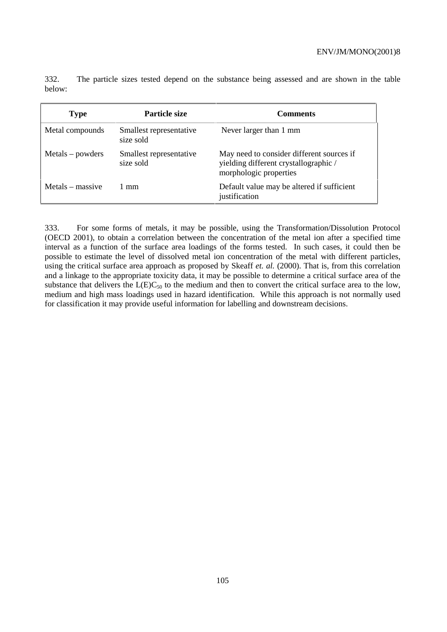**Type Particle size Comments** Metal compounds Smallest representative size sold Never larger than 1 mm Metals – powders Smallest representative size sold May need to consider different sources if yielding different crystallographic / morphologic properties Metals – massive 1 mm Default value may be altered if sufficient iustification

332. The particle sizes tested depend on the substance being assessed and are shown in the table below:

333. For some forms of metals, it may be possible, using the Transformation/Dissolution Protocol (OECD 2001), to obtain a correlation between the concentration of the metal ion after a specified time interval as a function of the surface area loadings of the forms tested. In such cases, it could then be possible to estimate the level of dissolved metal ion concentration of the metal with different particles, using the critical surface area approach as proposed by Skeaff *et. al.* (2000). That is, from this correlation and a linkage to the appropriate toxicity data, it may be possible to determine a critical surface area of the substance that delivers the  $L(E)C_{50}$  to the medium and then to convert the critical surface area to the low, medium and high mass loadings used in hazard identification. While this approach is not normally used for classification it may provide useful information for labelling and downstream decisions.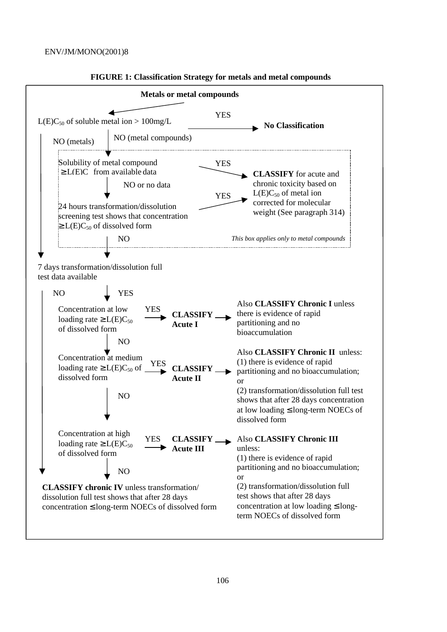

### **FIGURE 1: Classification Strategy for metals and metal compounds**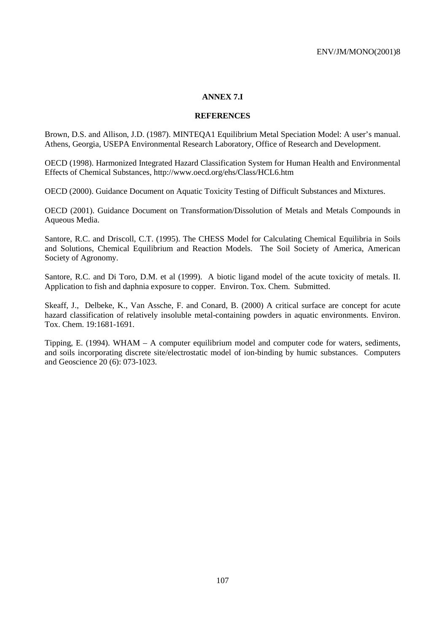## **ANNEX 7.I**

#### **REFERENCES**

Brown, D.S. and Allison, J.D. (1987). MINTEQA1 Equilibrium Metal Speciation Model: A user's manual. Athens, Georgia, USEPA Environmental Research Laboratory, Office of Research and Development.

OECD (1998). Harmonized Integrated Hazard Classification System for Human Health and Environmental Effects of Chemical Substances, http://www.oecd.org/ehs/Class/HCL6.htm

OECD (2000). Guidance Document on Aquatic Toxicity Testing of Difficult Substances and Mixtures.

OECD (2001). Guidance Document on Transformation/Dissolution of Metals and Metals Compounds in Aqueous Media.

Santore, R.C. and Driscoll, C.T. (1995). The CHESS Model for Calculating Chemical Equilibria in Soils and Solutions, Chemical Equilibrium and Reaction Models. The Soil Society of America, American Society of Agronomy.

Santore, R.C. and Di Toro, D.M. et al (1999). A biotic ligand model of the acute toxicity of metals. II. Application to fish and daphnia exposure to copper. Environ. Tox. Chem. Submitted.

Skeaff, J., Delbeke, K., Van Assche, F. and Conard, B. (2000) A critical surface are concept for acute hazard classification of relatively insoluble metal-containing powders in aquatic environments. Environ. Tox. Chem. 19:1681-1691.

Tipping, E. (1994). WHAM – A computer equilibrium model and computer code for waters, sediments, and soils incorporating discrete site/electrostatic model of ion-binding by humic substances. Computers and Geoscience 20 (6): 073-1023.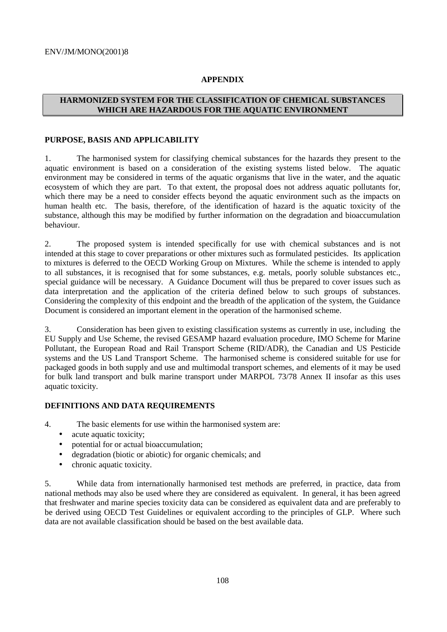## **APPENDIX**

## **HARMONIZED SYSTEM FOR THE CLASSIFICATION OF CHEMICAL SUBSTANCES WHICH ARE HAZARDOUS FOR THE AQUATIC ENVIRONMENT**

## **PURPOSE, BASIS AND APPLICABILITY**

1. The harmonised system for classifying chemical substances for the hazards they present to the aquatic environment is based on a consideration of the existing systems listed below. The aquatic environment may be considered in terms of the aquatic organisms that live in the water, and the aquatic ecosystem of which they are part. To that extent, the proposal does not address aquatic pollutants for, which there may be a need to consider effects beyond the aquatic environment such as the impacts on human health etc. The basis, therefore, of the identification of hazard is the aquatic toxicity of the substance, although this may be modified by further information on the degradation and bioaccumulation behaviour.

2. The proposed system is intended specifically for use with chemical substances and is not intended at this stage to cover preparations or other mixtures such as formulated pesticides. Its application to mixtures is deferred to the OECD Working Group on Mixtures. While the scheme is intended to apply to all substances, it is recognised that for some substances, e.g. metals, poorly soluble substances etc., special guidance will be necessary. A Guidance Document will thus be prepared to cover issues such as data interpretation and the application of the criteria defined below to such groups of substances. Considering the complexity of this endpoint and the breadth of the application of the system, the Guidance Document is considered an important element in the operation of the harmonised scheme.

3. Consideration has been given to existing classification systems as currently in use, including the EU Supply and Use Scheme, the revised GESAMP hazard evaluation procedure, IMO Scheme for Marine Pollutant, the European Road and Rail Transport Scheme (RID/ADR), the Canadian and US Pesticide systems and the US Land Transport Scheme. The harmonised scheme is considered suitable for use for packaged goods in both supply and use and multimodal transport schemes, and elements of it may be used for bulk land transport and bulk marine transport under MARPOL 73/78 Annex II insofar as this uses aquatic toxicity.

## **DEFINITIONS AND DATA REQUIREMENTS**

- 4. The basic elements for use within the harmonised system are:
	- acute aquatic toxicity;
	- potential for or actual bioaccumulation;
	- degradation (biotic or abiotic) for organic chemicals; and
	- chronic aquatic toxicity.

5. While data from internationally harmonised test methods are preferred, in practice, data from national methods may also be used where they are considered as equivalent. In general, it has been agreed that freshwater and marine species toxicity data can be considered as equivalent data and are preferably to be derived using OECD Test Guidelines or equivalent according to the principles of GLP. Where such data are not available classification should be based on the best available data.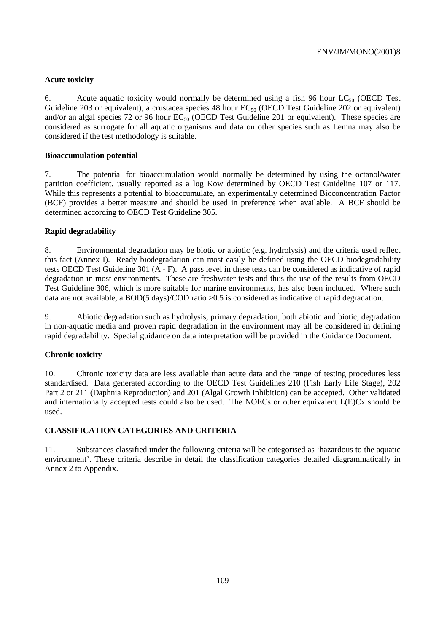## **Acute toxicity**

6. Acute aquatic toxicity would normally be determined using a fish 96 hour  $LC_{50}$  (OECD Test Guideline 203 or equivalent), a crustacea species 48 hour  $EC_{50}$  (OECD Test Guideline 202 or equivalent) and/or an algal species 72 or 96 hour  $EC_{50}$  (OECD Test Guideline 201 or equivalent). These species are considered as surrogate for all aquatic organisms and data on other species such as Lemna may also be considered if the test methodology is suitable.

## **Bioaccumulation potential**

7. The potential for bioaccumulation would normally be determined by using the octanol/water partition coefficient, usually reported as a log Kow determined by OECD Test Guideline 107 or 117. While this represents a potential to bioaccumulate, an experimentally determined Bioconcentration Factor (BCF) provides a better measure and should be used in preference when available. A BCF should be determined according to OECD Test Guideline 305.

## **Rapid degradability**

8. Environmental degradation may be biotic or abiotic (e.g. hydrolysis) and the criteria used reflect this fact (Annex I). Ready biodegradation can most easily be defined using the OECD biodegradability tests OECD Test Guideline 301 (A - F). A pass level in these tests can be considered as indicative of rapid degradation in most environments. These are freshwater tests and thus the use of the results from OECD Test Guideline 306, which is more suitable for marine environments, has also been included. Where such data are not available, a BOD(5 days)/COD ratio >0.5 is considered as indicative of rapid degradation.

9. Abiotic degradation such as hydrolysis, primary degradation, both abiotic and biotic, degradation in non-aquatic media and proven rapid degradation in the environment may all be considered in defining rapid degradability. Special guidance on data interpretation will be provided in the Guidance Document.

## **Chronic toxicity**

10. Chronic toxicity data are less available than acute data and the range of testing procedures less standardised. Data generated according to the OECD Test Guidelines 210 (Fish Early Life Stage), 202 Part 2 or 211 (Daphnia Reproduction) and 201 (Algal Growth Inhibition) can be accepted. Other validated and internationally accepted tests could also be used. The NOECs or other equivalent L(E)Cx should be used.

## **CLASSIFICATION CATEGORIES AND CRITERIA**

11. Substances classified under the following criteria will be categorised as 'hazardous to the aquatic environment'. These criteria describe in detail the classification categories detailed diagrammatically in Annex 2 to Appendix.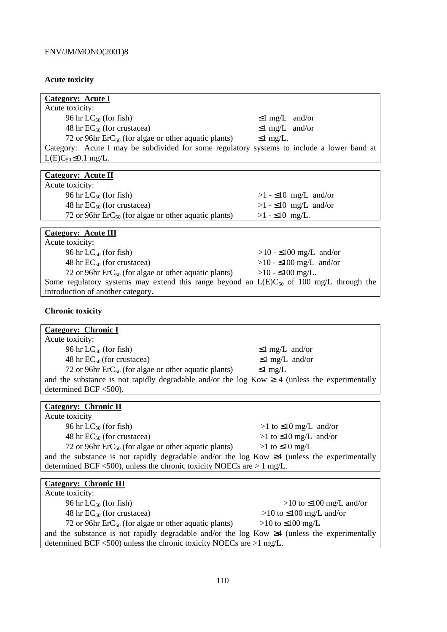### ENV/JM/MONO(2001)8

## **Acute toxicity**

| Category: Acute I                                                                          |                      |  |
|--------------------------------------------------------------------------------------------|----------------------|--|
| Acute toxicity:                                                                            |                      |  |
| 96 hr $LC_{50}$ (for fish)                                                                 | $\leq$ 1 mg/L and/or |  |
| 48 hr $EC_{50}$ (for crustacea)                                                            | $\leq$ 1 mg/L and/or |  |
| 72 or 96hr $\text{ErC}_{50}$ (for algae or other aquatic plants)                           | $\leq 1$ mg/L.       |  |
| Category: Acute I may be subdivided for some regulatory systems to include a lower band at |                      |  |
| $L(E)C_{50} \leq 0.1$ mg/L.                                                                |                      |  |
|                                                                                            |                      |  |

# **Category: Acute II**

| Acute toxicity:                                                  |                       |
|------------------------------------------------------------------|-----------------------|
| 96 hr $LC_{50}$ (for fish)                                       | $>1 - 10$ mg/L and/or |
| 48 hr $EC_{50}$ (for crustacea)                                  | $>1 - 10$ mg/L and/or |
| 72 or 96hr $\text{ErC}_{50}$ (for algae or other aquatic plants) | >1 - ≤10 mg/L.        |
|                                                                  |                       |

## **Category: Acute III**

| Acute toxicity:                                                                              |                                |
|----------------------------------------------------------------------------------------------|--------------------------------|
| 96 hr $LC_{50}$ (for fish)                                                                   | $>10$ - $\leq 100$ mg/L and/or |
| 48 hr $EC_{50}$ (for crustacea)                                                              | $>10$ - $\leq 100$ mg/L and/or |
| 72 or 96hr $\text{ErC}_{50}$ (for algae or other aquatic plants)                             | $>10 - 100$ mg/L.              |
| Some regulatory systems may extend this range beyond an $L(E)C_{50}$ of 100 mg/L through the |                                |
| introduction of another category.                                                            |                                |

# **Chronic toxicity**

| Category: Chronic I                                                                                |                      |
|----------------------------------------------------------------------------------------------------|----------------------|
| Acute toxicity:                                                                                    |                      |
| 96 hr $LC_{50}$ (for fish)                                                                         | $\leq$ 1 mg/L and/or |
| 48 hr $EC_{50}$ (for crustacea)                                                                    | $\leq$ 1 mg/L and/or |
| 72 or 96hr $\text{ErC}_{50}$ (for algae or other aquatic plants)                                   | $\leq 1$ mg/L        |
| and the substance is not rapidly degradable and/or the log Kow $\geq 4$ (unless the experimentally |                      |
| determined BCF $<$ 500).                                                                           |                      |
|                                                                                                    |                      |

# **Category: Chronic II**

| Acute toxicity                                                                                     |                               |  |  |
|----------------------------------------------------------------------------------------------------|-------------------------------|--|--|
| 96 hr $LC_{50}$ (for fish)                                                                         | $>1$ to $\leq 10$ mg/L and/or |  |  |
| 48 hr $EC_{50}$ (for crustacea)                                                                    | $>1$ to $\leq 10$ mg/L and/or |  |  |
| 72 or 96hr $\text{ErC}_{50}$ (for algae or other aquatic plants)                                   | $>1$ to $\leq 10$ mg/L        |  |  |
| and the substance is not rapidly degradable and/or the log Kow $\geq 4$ (unless the experimentally |                               |  |  |
| determined BCF <500), unless the chronic toxicity NOECs are $> 1$ mg/L.                            |                               |  |  |

# **Category: Chronic III** Acute toxicity: 96 hr LC<sub>50</sub> (for fish)  $>10$  to  $\leq 100$  mg/L and/or<br>48 hr EC<sub>50</sub> (for crustacea)  $>10$  to  $\leq 100$  mg/L and/or 48 hr  $EC_{50}$  (for crustacea) 72 or 96hr ErC<sub>50</sub> (for algae or other aquatic plants) >10 to  $\leq 100$  mg/L and the substance is not rapidly degradable and/or the log Kow  $\geq 4$  (unless the experimentally determined BCF <500) unless the chronic toxicity NOECs are >1 mg/L.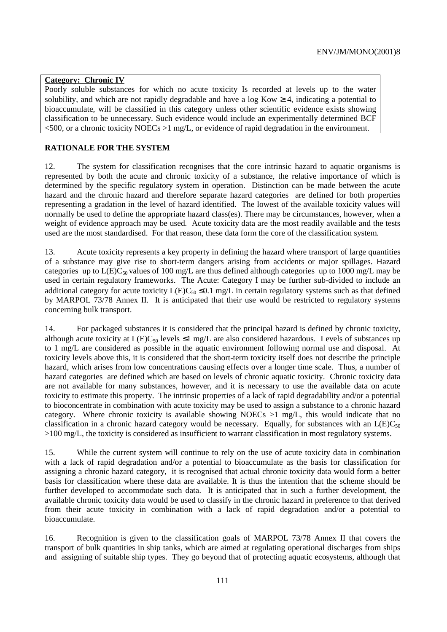# **Category: Chronic IV**

Poorly soluble substances for which no acute toxicity Is recorded at levels up to the water solubility, and which are not rapidly degradable and have a log Kow  $\geq 4$ , indicating a potential to bioaccumulate, will be classified in this category unless other scientific evidence exists showing classification to be unnecessary. Such evidence would include an experimentally determined BCF  $\leq$ 500, or a chronic toxicity NOECs  $>1$  mg/L, or evidence of rapid degradation in the environment.

## **RATIONALE FOR THE SYSTEM**

12. The system for classification recognises that the core intrinsic hazard to aquatic organisms is represented by both the acute and chronic toxicity of a substance, the relative importance of which is determined by the specific regulatory system in operation. Distinction can be made between the acute hazard and the chronic hazard and therefore separate hazard categories are defined for both properties representing a gradation in the level of hazard identified. The lowest of the available toxicity values will normally be used to define the appropriate hazard class(es). There may be circumstances, however, when a weight of evidence approach may be used*.* Acute toxicity data are the most readily available and the tests used are the most standardised. For that reason, these data form the core of the classification system.

13. Acute toxicity represents a key property in defining the hazard where transport of large quantities of a substance may give rise to short-term dangers arising from accidents or major spillages. Hazard categories up to  $L(E)C_{50}$  values of 100 mg/L are thus defined although categories up to 1000 mg/L may be used in certain regulatory frameworks. The Acute: Category I may be further sub-divided to include an additional category for acute toxicity  $L(E)C_{50} \leq 0.1$  mg/L in certain regulatory systems such as that defined by MARPOL 73/78 Annex II. It is anticipated that their use would be restricted to regulatory systems concerning bulk transport.

14. For packaged substances it is considered that the principal hazard is defined by chronic toxicity, although acute toxicity at  $L(E)C_{50}$  levels  $\leq 1$  mg/L are also considered hazardous. Levels of substances up to 1 mg/L are considered as possible in the aquatic environment following normal use and disposal. At toxicity levels above this, it is considered that the short-term toxicity itself does not describe the principle hazard, which arises from low concentrations causing effects over a longer time scale. Thus, a number of hazard categories are defined which are based on levels of chronic aquatic toxicity. Chronic toxicity data are not available for many substances, however, and it is necessary to use the available data on acute toxicity to estimate this property. The intrinsic properties of a lack of rapid degradability and/or a potential to bioconcentrate in combination with acute toxicity may be used to assign a substance to a chronic hazard category. Where chronic toxicity is available showing NOECs  $>1$  mg/L, this would indicate that no classification in a chronic hazard category would be necessary. Equally, for substances with an  $L(E)C_{50}$ >100 mg/L, the toxicity is considered as insufficient to warrant classification in most regulatory systems.

15. While the current system will continue to rely on the use of acute toxicity data in combination with a lack of rapid degradation and/or a potential to bioaccumulate as the basis for classification for assigning a chronic hazard category, it is recognised that actual chronic toxicity data would form a better basis for classification where these data are available. It is thus the intention that the scheme should be further developed to accommodate such data. It is anticipated that in such a further development, the available chronic toxicity data would be used to classify in the chronic hazard in preference to that derived from their acute toxicity in combination with a lack of rapid degradation and/or a potential to bioaccumulate.

16. Recognition is given to the classification goals of MARPOL 73/78 Annex II that covers the transport of bulk quantities in ship tanks, which are aimed at regulating operational discharges from ships and assigning of suitable ship types. They go beyond that of protecting aquatic ecosystems, although that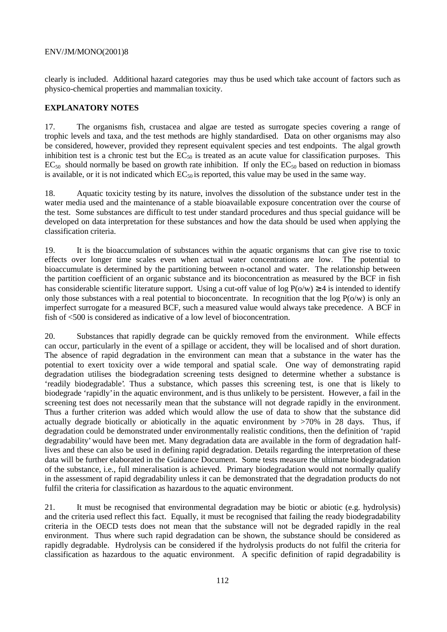## ENV/JM/MONO(2001)8

clearly is included. Additional hazard categories may thus be used which take account of factors such as physico-chemical properties and mammalian toxicity.

## **EXPLANATORY NOTES**

17. The organisms fish, crustacea and algae are tested as surrogate species covering a range of trophic levels and taxa, and the test methods are highly standardised. Data on other organisms may also be considered, however, provided they represent equivalent species and test endpoints. The algal growth inhibition test is a chronic test but the  $EC_{50}$  is treated as an acute value for classification purposes. This  $EC_{50}$  should normally be based on growth rate inhibition. If only the  $EC_{50}$  based on reduction in biomass is available, or it is not indicated which  $EC_{50}$  is reported, this value may be used in the same way.

18. Aquatic toxicity testing by its nature, involves the dissolution of the substance under test in the water media used and the maintenance of a stable bioavailable exposure concentration over the course of the test. Some substances are difficult to test under standard procedures and thus special guidance will be developed on data interpretation for these substances and how the data should be used when applying the classification criteria.

19. It is the bioaccumulation of substances within the aquatic organisms that can give rise to toxic effects over longer time scales even when actual water concentrations are low. The potential to bioaccumulate is determined by the partitioning between n-octanol and water. The relationship between the partition coefficient of an organic substance and its bioconcentration as measured by the BCF in fish has considerable scientific literature support. Using a cut-off value of log  $P(o/w) \ge 4$  is intended to identify only those substances with a real potential to bioconcentrate. In recognition that the log  $P(o/w)$  is only an imperfect surrogate for a measured BCF, such a measured value would always take precedence. A BCF in fish of <500 is considered as indicative of a low level of bioconcentration.

20. Substances that rapidly degrade can be quickly removed from the environment. While effects can occur, particularly in the event of a spillage or accident, they will be localised and of short duration. The absence of rapid degradation in the environment can mean that a substance in the water has the potential to exert toxicity over a wide temporal and spatial scale. One way of demonstrating rapid degradation utilises the biodegradation screening tests designed to determine whether a substance is 'readily biodegradable'. Thus a substance, which passes this screening test, is one that is likely to biodegrade 'rapidly' in the aquatic environment, and is thus unlikely to be persistent. However, a fail in the screening test does not necessarily mean that the substance will not degrade rapidly in the environment. Thus a further criterion was added which would allow the use of data to show that the substance did actually degrade biotically or abiotically in the aquatic environment by >70% in 28 days. Thus, if degradation could be demonstrated under environmentally realistic conditions, then the definition of 'rapid degradability' would have been met. Many degradation data are available in the form of degradation halflives and these can also be used in defining rapid degradation. Details regarding the interpretation of these data will be further elaborated in the Guidance Document. Some tests measure the ultimate biodegradation of the substance, i.e., full mineralisation is achieved. Primary biodegradation would not normally qualify in the assessment of rapid degradability unless it can be demonstrated that the degradation products do not fulfil the criteria for classification as hazardous to the aquatic environment.

21. It must be recognised that environmental degradation may be biotic or abiotic (e.g. hydrolysis) and the criteria used reflect this fact. Equally, it must be recognised that failing the ready biodegradability criteria in the OECD tests does not mean that the substance will not be degraded rapidly in the real environment. Thus where such rapid degradation can be shown, the substance should be considered as rapidly degradable. Hydrolysis can be considered if the hydrolysis products do not fulfil the criteria for classification as hazardous to the aquatic environment. A specific definition of rapid degradability is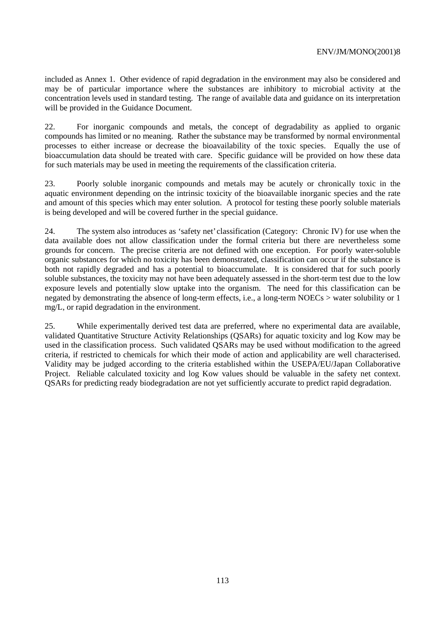included as Annex 1. Other evidence of rapid degradation in the environment may also be considered and may be of particular importance where the substances are inhibitory to microbial activity at the concentration levels used in standard testing. The range of available data and guidance on its interpretation will be provided in the Guidance Document.

22. For inorganic compounds and metals, the concept of degradability as applied to organic compounds has limited or no meaning. Rather the substance may be transformed by normal environmental processes to either increase or decrease the bioavailability of the toxic species. Equally the use of bioaccumulation data should be treated with care. Specific guidance will be provided on how these data for such materials may be used in meeting the requirements of the classification criteria.

23. Poorly soluble inorganic compounds and metals may be acutely or chronically toxic in the aquatic environment depending on the intrinsic toxicity of the bioavailable inorganic species and the rate and amount of this species which may enter solution. A protocol for testing these poorly soluble materials is being developed and will be covered further in the special guidance.

24. The system also introduces as 'safety net' classification (Category: Chronic IV) for use when the data available does not allow classification under the formal criteria but there are nevertheless some grounds for concern. The precise criteria are not defined with one exception. For poorly water-soluble organic substances for which no toxicity has been demonstrated, classification can occur if the substance is both not rapidly degraded and has a potential to bioaccumulate. It is considered that for such poorly soluble substances, the toxicity may not have been adequately assessed in the short-term test due to the low exposure levels and potentially slow uptake into the organism. The need for this classification can be negated by demonstrating the absence of long-term effects, i.e., a long-term NOECs > water solubility or 1 mg/L, or rapid degradation in the environment.

25. While experimentally derived test data are preferred, where no experimental data are available, validated Quantitative Structure Activity Relationships (QSARs) for aquatic toxicity and log Kow may be used in the classification process. Such validated QSARs may be used without modification to the agreed criteria, if restricted to chemicals for which their mode of action and applicability are well characterised. Validity may be judged according to the criteria established within the USEPA/EU/Japan Collaborative Project. Reliable calculated toxicity and log Kow values should be valuable in the safety net context. QSARs for predicting ready biodegradation are not yet sufficiently accurate to predict rapid degradation.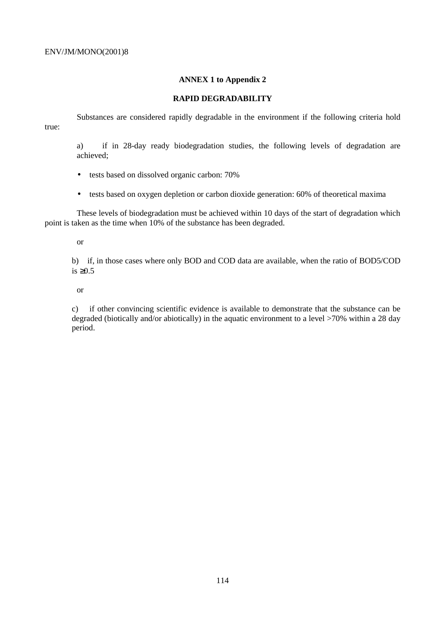## **ANNEX 1 to Appendix 2**

## **RAPID DEGRADABILITY**

Substances are considered rapidly degradable in the environment if the following criteria hold true:

a) if in 28-day ready biodegradation studies, the following levels of degradation are achieved;

- tests based on dissolved organic carbon: 70%
- tests based on oxygen depletion or carbon dioxide generation: 60% of theoretical maxima

These levels of biodegradation must be achieved within 10 days of the start of degradation which point is taken as the time when 10% of the substance has been degraded.

or

b) if, in those cases where only BOD and COD data are available, when the ratio of BOD5/COD is ≥0.5

or

c) if other convincing scientific evidence is available to demonstrate that the substance can be degraded (biotically and/or abiotically) in the aquatic environment to a level >70% within a 28 day period.